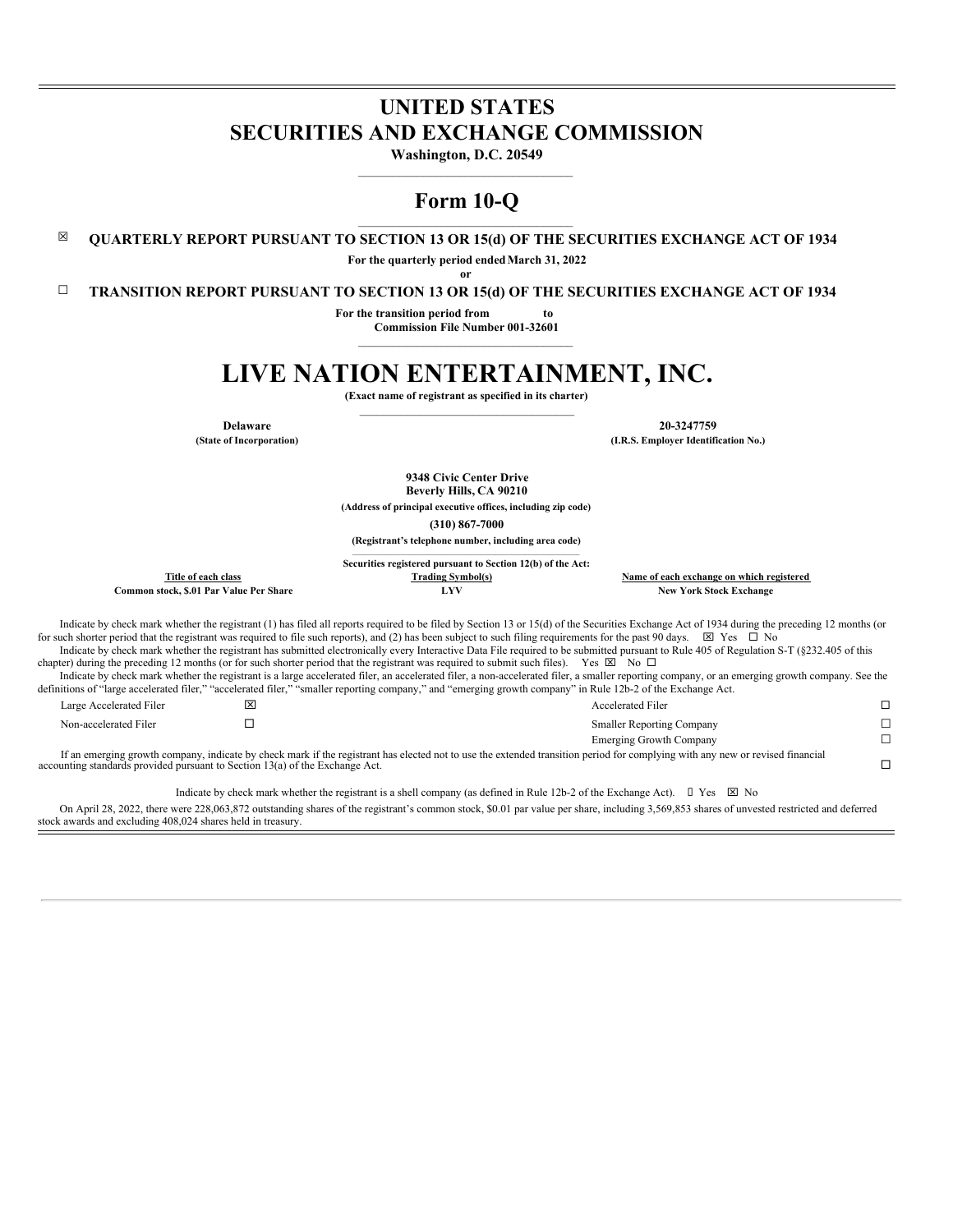# **UNITED STATES SECURITIES AND EXCHANGE COMMISSION**

**Washington, D.C. 20549**  $\mathcal{L}_\text{max}$ 

# **Form 10-Q** \_\_\_\_\_\_\_\_\_\_\_\_\_\_\_\_\_\_\_\_\_\_\_\_\_\_\_\_\_\_\_\_\_\_\_\_

☒ **QUARTERLY REPORT PURSUANT TO SECTION 13 OR 15(d) OF THE SECURITIES EXCHANGE ACT OF 1934**

**For the quarterly period endedMarch 31, 2022**

**or**

**☐ TRANSITION REPORT PURSUANT TO SECTION 13 OR 15(d) OF THE SECURITIES EXCHANGE ACT OF 1934**

**For the transition period from to**

**Commission File Number 001-32601** \_\_\_\_\_\_\_\_\_\_\_\_\_\_\_\_\_\_\_\_\_\_\_\_\_\_\_\_\_\_\_\_\_\_\_\_

# **LIVE NATION ENTERTAINMENT, INC.**

**(Exact name of registrant as specified in its charter)** \_\_\_\_\_\_\_\_\_\_\_\_\_\_\_\_\_\_\_\_\_\_\_\_\_\_\_\_\_\_\_\_\_\_\_\_

**Delaware 20-3247759 (State of Incorporation) (I.R.S. Employer Identification No.)**

> **9348 Civic Center Drive Beverly Hills, CA 90210**

**(Address of principal executive offices, including zip code)**

**(310) 867-7000**

**(Registrant's telephone number, including area code)**

**Securities registered pursuant to Section 12(b) of the Act:**

**Title of each class Trading Symbol(s) Name of each exchange on which registered Common stock, \$.01 Par Value Per Share LYV New York Stock Exchange**

Indicate by check mark whether the registrant (1) has filed all reports required to be filed by Section 13 or 15(d) of the Securities Exchange Act of 1934 during the preceding 12 months (or for such shorter period that the registrant was required to file such reports), and (2) has been subject to such filing requirements for the past 90 days.  $\boxtimes$  Yes  $\Box$  No Indicate by check mark whether the registrant has submitted electronically every Interactive Data File required to be submitted pursuant to Rule 405 of Regulation S-T (§232.405 of this chapter) during the preceding 12 months (or for such shorter period that the registrant was required to submit such files). Yes  $\boxtimes \Box$  No  $\Box$ Indicate by check mark whether the registrant is a large accelerated filer, an accelerated filer, a non-accelerated filer, a smaller reporting company, or an emerging growth company. See the definitions of "large accelerated filer," "accelerated filer," "smaller reporting company," and "emerging growth company" in Rule 12b-2 of the Exchange Act.

| Large Accelerated Filer                                                                                                                                                                                                                                       | × | Accelerated Filer                |  |  |
|---------------------------------------------------------------------------------------------------------------------------------------------------------------------------------------------------------------------------------------------------------------|---|----------------------------------|--|--|
| Non-accelerated Filer                                                                                                                                                                                                                                         |   | <b>Smaller Reporting Company</b> |  |  |
|                                                                                                                                                                                                                                                               |   | Emerging Growth Company          |  |  |
| If an emerging growth company, indicate by check mark if the registrant has elected not to use the extended transition period for complying with any new or revised financial<br>accounting standards provided pursuant to Section 13(a) of the Exchange Act. |   |                                  |  |  |

Indicate by check mark whether the registrant is a shell company (as defined in Rule 12b-2 of the Exchange Act).  $\Box$  Yes  $\boxtimes$  No

On April 28, 2022, there were 228,063,872 outstanding shares of the registrant's common stock, \$0.01 par value per share, including 3,569,853 shares of unvested restricted and deferred stock awards and excluding 408,024 shares held in treasury.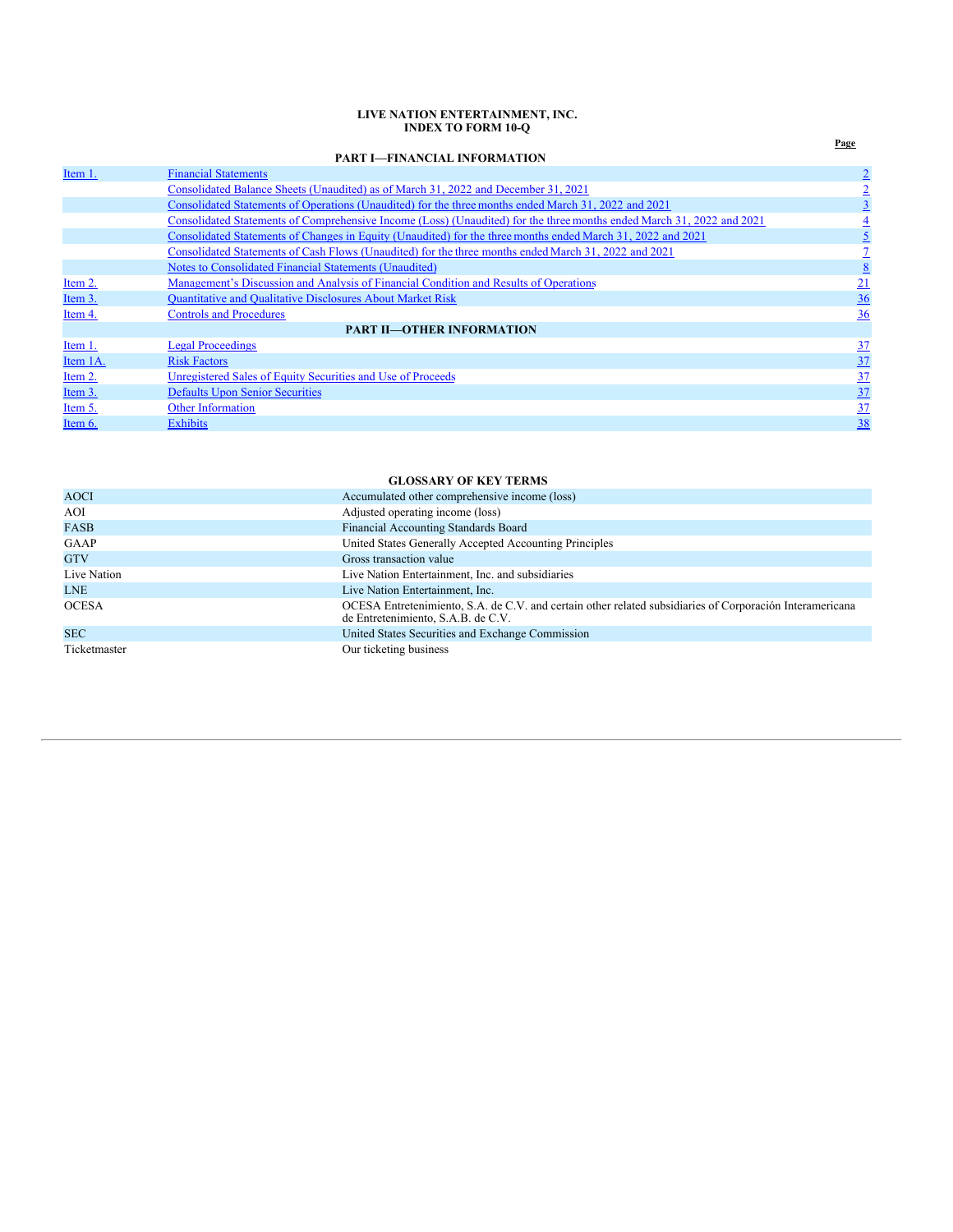# **LIVE NATION ENTERTAINMENT, INC. INDEX TO FORM 10-Q**

**Page**

# **PART I—FINANCIAL INFORMATION**

<span id="page-1-0"></span>

| $\overline{4}$  |
|-----------------|
|                 |
|                 |
|                 |
|                 |
|                 |
|                 |
|                 |
| $\overline{21}$ |
| 36              |
| 36              |
|                 |
| $\frac{37}{2}$  |
| 37              |
| 37              |
| 37              |
| 37              |
| 38              |
|                 |

# **GLOSSARY OF KEY TERMS**

| <b>AOCI</b>  | Accumulated other comprehensive income (loss)                                                                                                  |
|--------------|------------------------------------------------------------------------------------------------------------------------------------------------|
| AOI          | Adjusted operating income (loss)                                                                                                               |
| <b>FASB</b>  | Financial Accounting Standards Board                                                                                                           |
| GAAP         | United States Generally Accepted Accounting Principles                                                                                         |
| <b>GTV</b>   | Gross transaction value                                                                                                                        |
| Live Nation  | Live Nation Entertainment, Inc. and subsidiaries                                                                                               |
| <b>LNE</b>   | Live Nation Entertainment, Inc.                                                                                                                |
| <b>OCESA</b> | OCESA Entretenimiento, S.A. de C.V. and certain other related subsidiaries of Corporación Interamericana<br>de Entretenimiento, S.A.B. de C.V. |
| <b>SEC</b>   | United States Securities and Exchange Commission                                                                                               |
| Ticketmaster | Our ticketing business                                                                                                                         |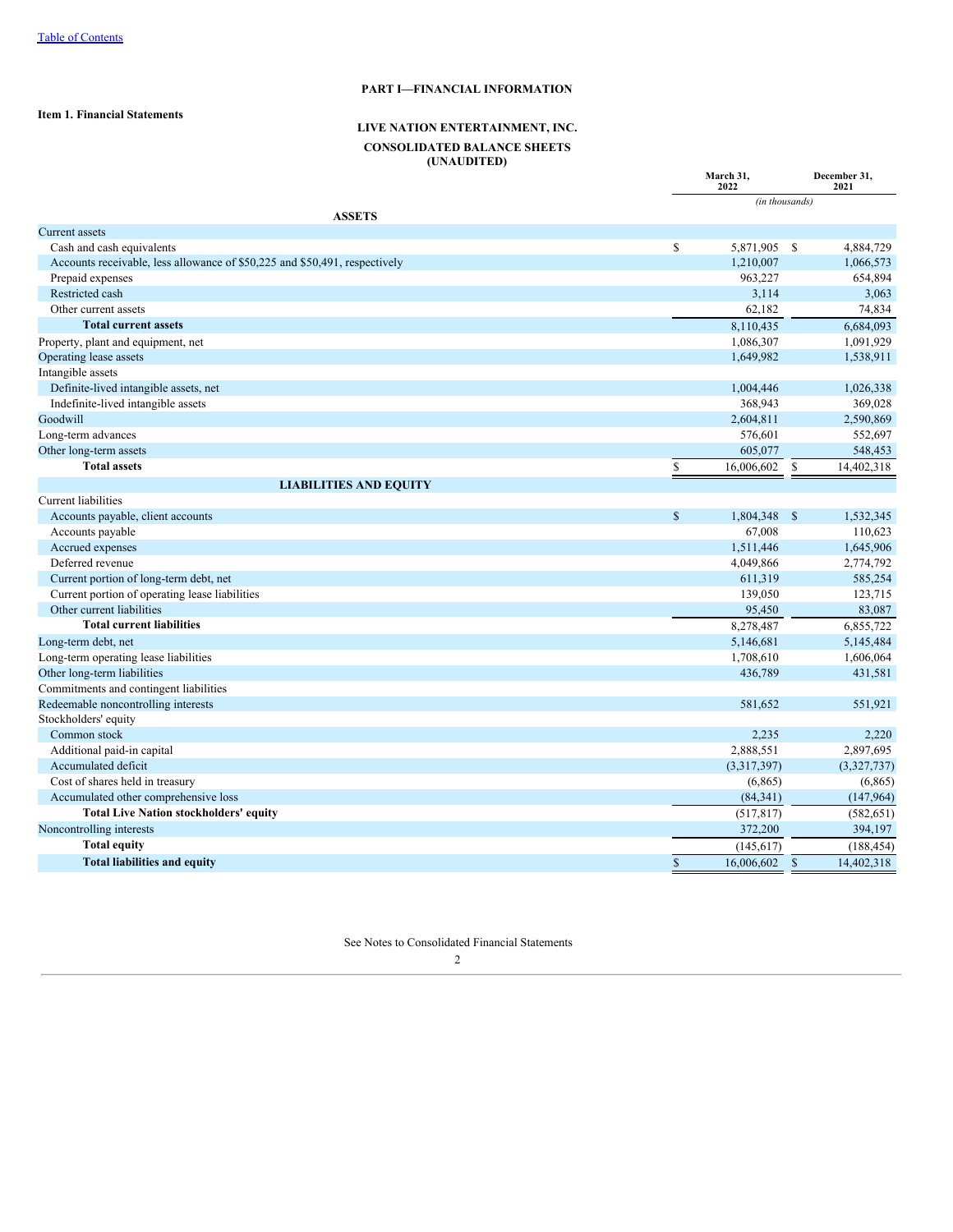# **PART I—FINANCIAL INFORMATION**

# <span id="page-2-1"></span><span id="page-2-0"></span>**Item 1. Financial Statements**

# **LIVE NATION ENTERTAINMENT, INC. CONSOLIDATED BALANCE SHEETS**

| (UNAUDITED) |  |
|-------------|--|
|-------------|--|

**March 31,**

**December 31,**

|                                                                            | 2022                  |               | 2021        |
|----------------------------------------------------------------------------|-----------------------|---------------|-------------|
|                                                                            | (in thousands)        |               |             |
| <b>ASSETS</b>                                                              |                       |               |             |
| <b>Current</b> assets                                                      |                       |               |             |
| Cash and cash equivalents                                                  | \$<br>5,871,905 \$    |               | 4,884,729   |
| Accounts receivable, less allowance of \$50,225 and \$50,491, respectively | 1,210,007             |               | 1,066,573   |
| Prepaid expenses                                                           | 963,227               |               | 654,894     |
| Restricted cash                                                            | 3,114                 |               | 3,063       |
| Other current assets                                                       | 62,182                |               | 74,834      |
| <b>Total current assets</b>                                                | 8,110,435             |               | 6,684,093   |
| Property, plant and equipment, net                                         | 1,086,307             |               | 1,091,929   |
| Operating lease assets                                                     | 1,649,982             |               | 1,538,911   |
| Intangible assets                                                          |                       |               |             |
| Definite-lived intangible assets, net                                      | 1,004,446             |               | 1,026,338   |
| Indefinite-lived intangible assets                                         | 368,943               |               | 369,028     |
| Goodwill                                                                   | 2,604,811             |               | 2,590,869   |
| Long-term advances                                                         | 576,601               |               | 552,697     |
| Other long-term assets                                                     | 605,077               |               | 548,453     |
| <b>Total assets</b>                                                        | \$<br>16,006,602      | $\mathcal{S}$ | 14,402,318  |
| <b>LIABILITIES AND EQUITY</b>                                              |                       |               |             |
| <b>Current liabilities</b>                                                 |                       |               |             |
| Accounts payable, client accounts                                          | \$<br>1,804,348 \$    |               | 1,532,345   |
| Accounts payable                                                           | 67,008                |               | 110,623     |
| Accrued expenses                                                           | 1,511,446             |               | 1,645,906   |
| Deferred revenue                                                           | 4,049,866             |               | 2,774,792   |
| Current portion of long-term debt, net                                     | 611,319               |               | 585,254     |
| Current portion of operating lease liabilities                             | 139,050               |               | 123,715     |
| Other current liabilities                                                  | 95,450                |               | 83,087      |
| <b>Total current liabilities</b>                                           | 8,278,487             |               | 6,855,722   |
| Long-term debt, net                                                        | 5,146,681             |               | 5,145,484   |
| Long-term operating lease liabilities                                      | 1,708,610             |               | 1,606,064   |
| Other long-term liabilities                                                | 436,789               |               | 431,581     |
| Commitments and contingent liabilities                                     |                       |               |             |
| Redeemable noncontrolling interests                                        | 581,652               |               | 551,921     |
| Stockholders' equity                                                       |                       |               |             |
| Common stock                                                               | 2,235                 |               | 2,220       |
| Additional paid-in capital                                                 | 2,888,551             |               | 2,897,695   |
| Accumulated deficit                                                        | (3,317,397)           |               | (3,327,737) |
| Cost of shares held in treasury                                            | (6, 865)              |               | (6,865)     |
| Accumulated other comprehensive loss                                       | (84, 341)             |               | (147, 964)  |
| <b>Total Live Nation stockholders' equity</b>                              | (517, 817)            |               | (582, 651)  |
| Noncontrolling interests                                                   | 372,200               |               | 394,197     |
| <b>Total equity</b>                                                        | (145, 617)            |               | (188, 454)  |
| <b>Total liabilities and equity</b>                                        | \$<br>$16,006,602$ \$ |               | 14,402,318  |
|                                                                            |                       |               |             |

<span id="page-2-2"></span>See Notes to Consolidated Financial Statements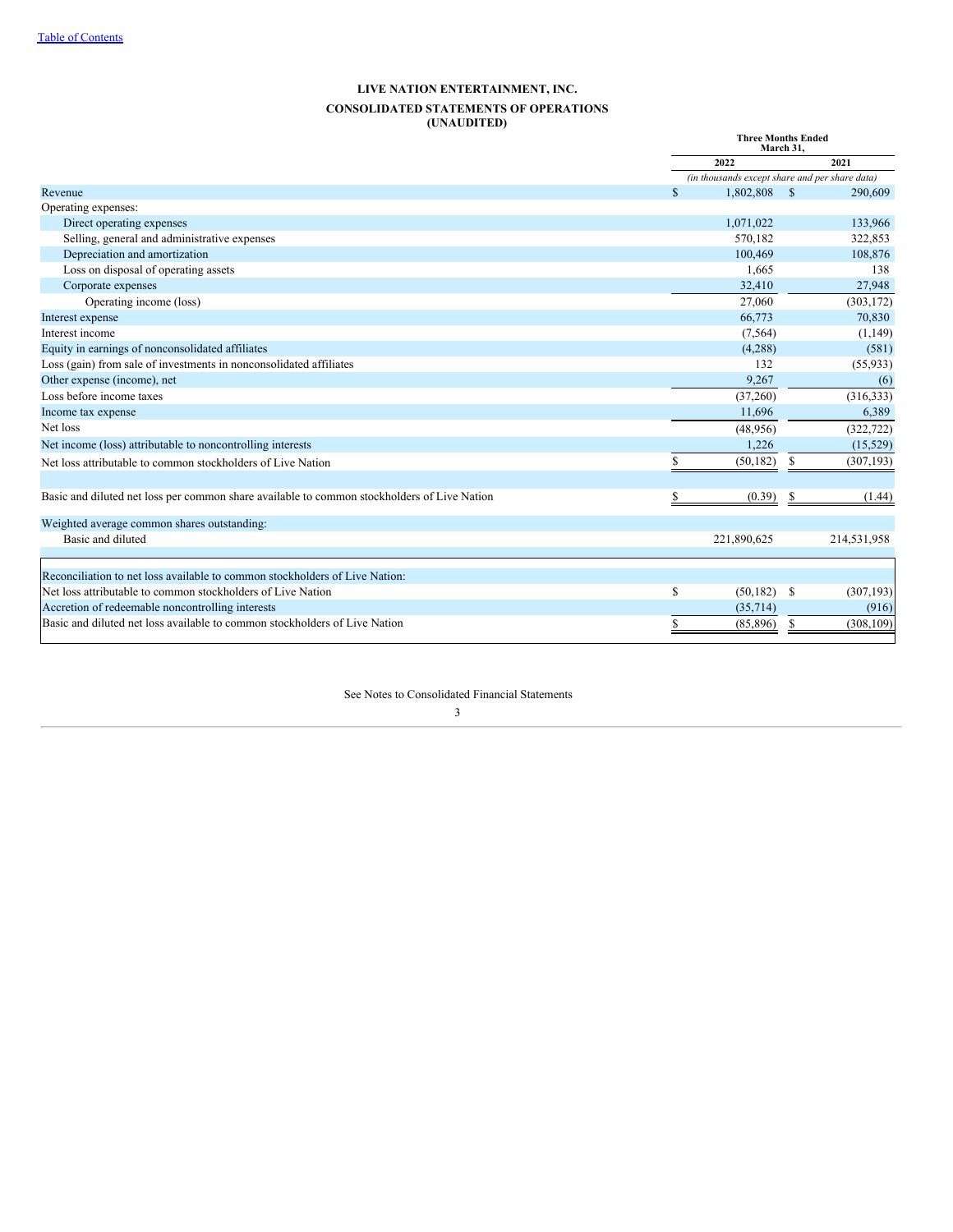# **LIVE NATION ENTERTAINMENT, INC. CONSOLIDATED STATEMENTS OF OPERATIONS (UNAUDITED)**

|                                                                                             |              | <b>Three Months Ended</b><br>March 31,         |   |             |
|---------------------------------------------------------------------------------------------|--------------|------------------------------------------------|---|-------------|
|                                                                                             |              | 2022                                           |   |             |
|                                                                                             |              | (in thousands except share and per share data) |   |             |
| Revenue                                                                                     | $\mathbb{S}$ | 1,802,808 \$                                   |   | 290,609     |
| Operating expenses:                                                                         |              |                                                |   |             |
| Direct operating expenses                                                                   |              | 1,071,022                                      |   | 133,966     |
| Selling, general and administrative expenses                                                |              | 570,182                                        |   | 322,853     |
| Depreciation and amortization                                                               |              | 100,469                                        |   | 108,876     |
| Loss on disposal of operating assets                                                        |              | 1,665                                          |   | 138         |
| Corporate expenses                                                                          |              | 32,410                                         |   | 27,948      |
| Operating income (loss)                                                                     |              | 27,060                                         |   | (303, 172)  |
| Interest expense                                                                            |              | 66,773                                         |   | 70,830      |
| Interest income                                                                             |              | (7, 564)                                       |   | (1, 149)    |
| Equity in earnings of nonconsolidated affiliates                                            |              | (4,288)                                        |   | (581)       |
| Loss (gain) from sale of investments in nonconsolidated affiliates                          |              | 132                                            |   | (55, 933)   |
| Other expense (income), net                                                                 |              | 9,267                                          |   | (6)         |
| Loss before income taxes                                                                    |              | (37,260)                                       |   | (316, 333)  |
| Income tax expense                                                                          |              | 11,696                                         |   | 6,389       |
| Net loss                                                                                    |              | (48,956)                                       |   | (322, 722)  |
| Net income (loss) attributable to noncontrolling interests                                  |              | 1,226                                          |   | (15, 529)   |
| Net loss attributable to common stockholders of Live Nation                                 | S            | (50, 182)                                      | S | (307, 193)  |
| Basic and diluted net loss per common share available to common stockholders of Live Nation |              | (0.39)                                         |   | (1.44)      |
| Weighted average common shares outstanding:                                                 |              |                                                |   |             |
| Basic and diluted                                                                           |              | 221,890,625                                    |   | 214,531,958 |
| Reconciliation to net loss available to common stockholders of Live Nation:                 |              |                                                |   |             |
| Net loss attributable to common stockholders of Live Nation                                 | \$           | $(50,182)$ \$                                  |   | (307, 193)  |
| Accretion of redeemable noncontrolling interests                                            |              | (35,714)                                       |   | (916)       |
| Basic and diluted net loss available to common stockholders of Live Nation                  |              | (85, 896)                                      | S | (308, 109)  |
|                                                                                             |              |                                                |   |             |

<span id="page-3-0"></span>See Notes to Consolidated Financial Statements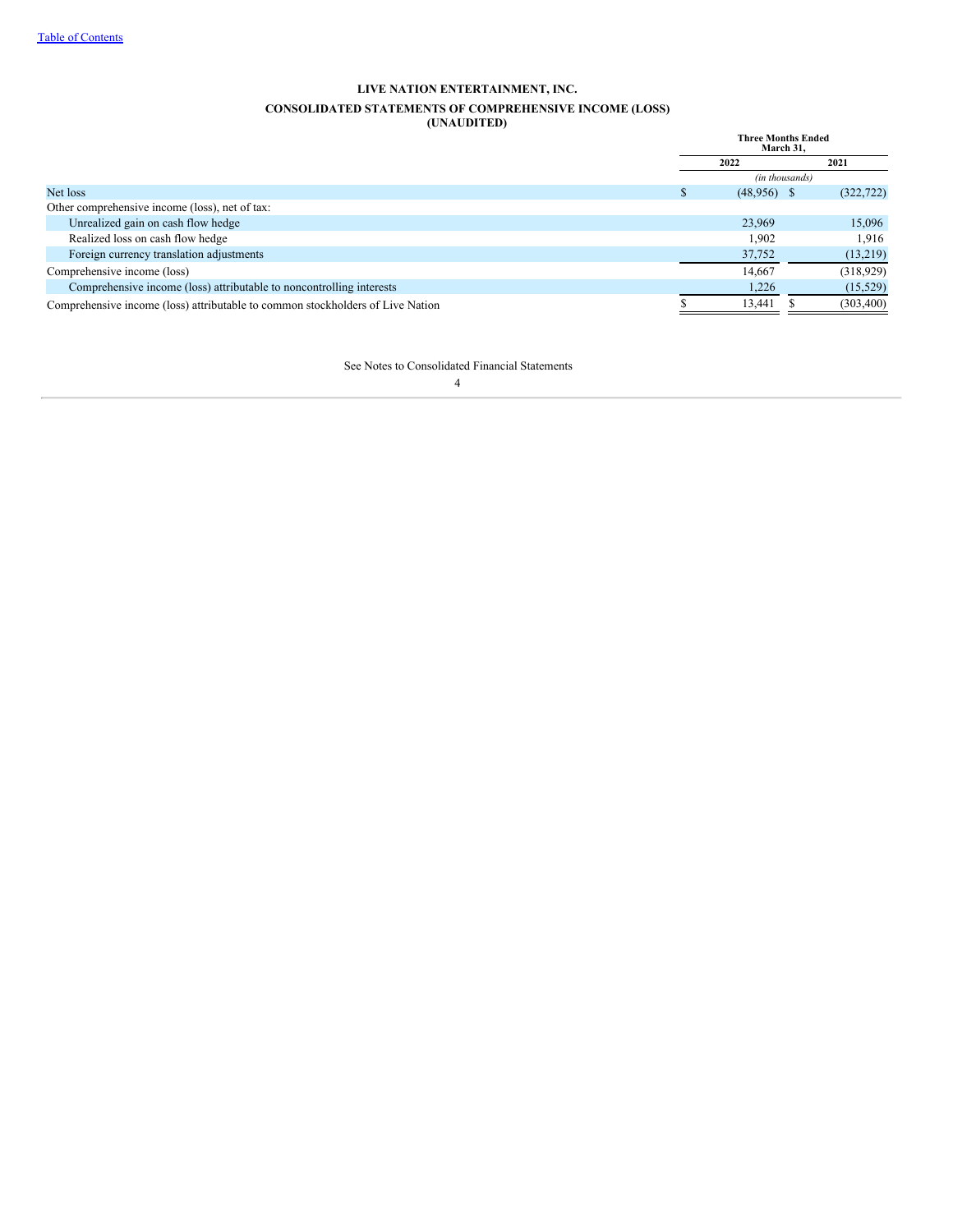# **LIVE NATION ENTERTAINMENT, INC. CONSOLIDATED STATEMENTS OF COMPREHENSIVE INCOME (LOSS) (UNAUDITED)**

<span id="page-4-0"></span>

| 1011100111001                                                                  |                                        |            |  |
|--------------------------------------------------------------------------------|----------------------------------------|------------|--|
|                                                                                | <b>Three Months Ended</b><br>March 31. |            |  |
|                                                                                | 2021<br>2022                           |            |  |
|                                                                                | (in thousands)                         |            |  |
| Net loss                                                                       | $(48,956)$ \$                          | (322, 722) |  |
| Other comprehensive income (loss), net of tax:                                 |                                        |            |  |
| Unrealized gain on cash flow hedge                                             | 23,969                                 | 15,096     |  |
| Realized loss on cash flow hedge                                               | 1,902                                  | 1,916      |  |
| Foreign currency translation adjustments                                       | 37,752                                 | (13,219)   |  |
| Comprehensive income (loss)                                                    | 14.667                                 | (318,929)  |  |
| Comprehensive income (loss) attributable to noncontrolling interests           | 1,226                                  | (15, 529)  |  |
| Comprehensive income (loss) attributable to common stockholders of Live Nation | 13,441                                 | (303, 400) |  |
|                                                                                |                                        |            |  |

See Notes to Consolidated Financial Statements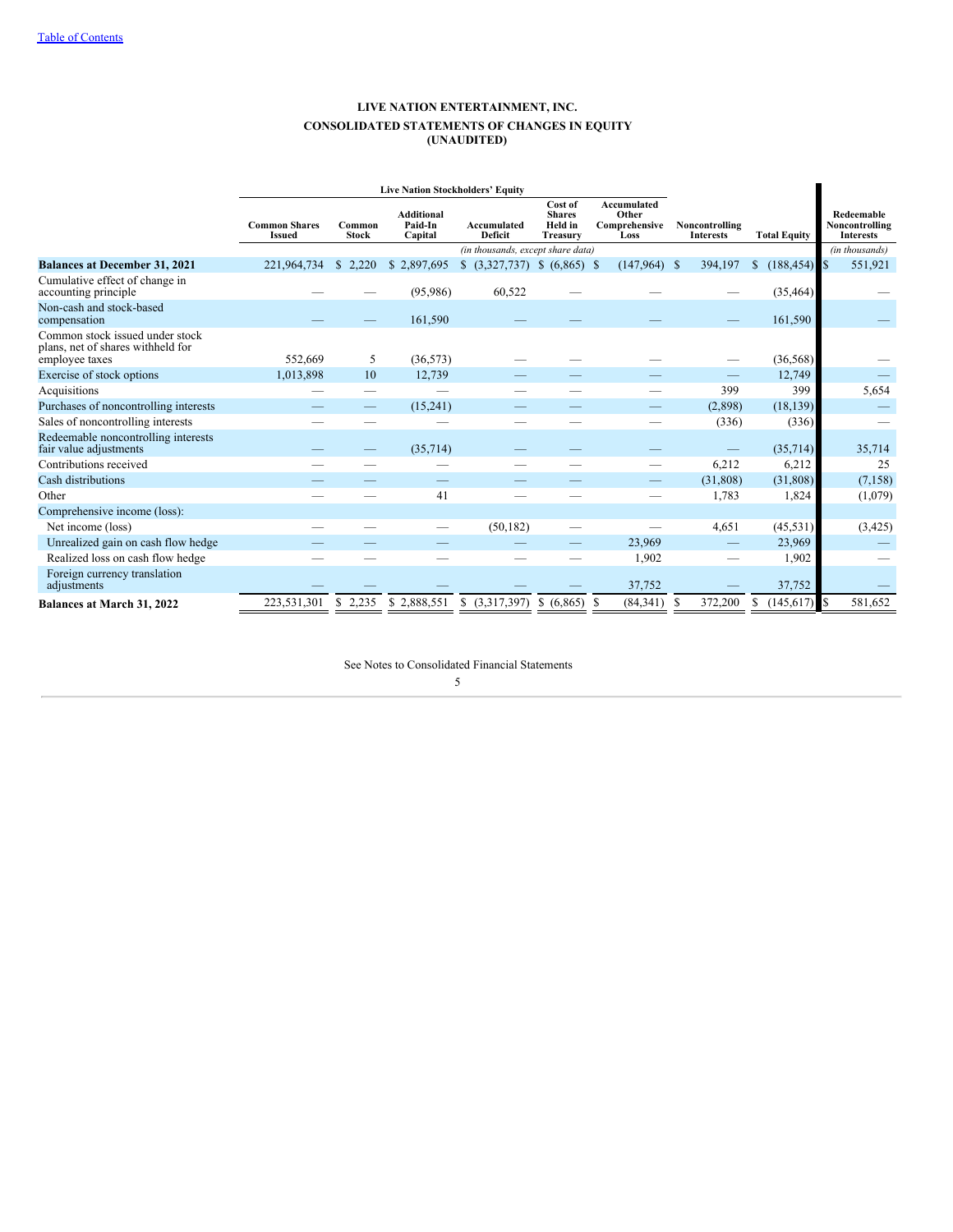# **LIVE NATION ENTERTAINMENT, INC. CONSOLIDATED STATEMENTS OF CHANGES IN EQUITY (UNAUDITED)**

| <b>Live Nation Stockholders' Equity</b>                                                |                                       |                        |                                         |                                   |                                                               |                                                      |                                    |                     |                                                  |
|----------------------------------------------------------------------------------------|---------------------------------------|------------------------|-----------------------------------------|-----------------------------------|---------------------------------------------------------------|------------------------------------------------------|------------------------------------|---------------------|--------------------------------------------------|
|                                                                                        | <b>Common Shares</b><br><b>Issued</b> | Common<br><b>Stock</b> | <b>Additional</b><br>Paid-In<br>Capital | Accumulated<br>Deficit            | Cost of<br><b>Shares</b><br><b>Held</b> in<br><b>Treasury</b> | <b>Accumulated</b><br>Other<br>Comprehensive<br>Loss | Noncontrolling<br><b>Interests</b> | <b>Total Equity</b> | Redeemable<br>Noncontrolling<br><b>Interests</b> |
|                                                                                        |                                       |                        |                                         | (in thousands, except share data) |                                                               |                                                      |                                    |                     | (in thousands)                                   |
| <b>Balances at December 31, 2021</b>                                                   | 221,964,734                           | $\mathbb{S}$<br>2,220  | \$2,897,695                             | $$$ (3,327,737) $$$ (6,865) $$$   |                                                               | (147, 964)                                           | 394,197<br>- \$                    | (188, 454)<br>S     | 551,921<br>S                                     |
| Cumulative effect of change in<br>accounting principle                                 |                                       |                        | (95,986)                                | 60,522                            |                                                               |                                                      |                                    | (35, 464)           |                                                  |
| Non-cash and stock-based<br>compensation                                               |                                       |                        | 161,590                                 |                                   |                                                               |                                                      |                                    | 161,590             |                                                  |
| Common stock issued under stock<br>plans, net of shares withheld for<br>employee taxes | 552,669                               | 5                      | (36, 573)                               |                                   |                                                               |                                                      |                                    | (36, 568)           |                                                  |
| Exercise of stock options                                                              | 1,013,898                             | 10                     | 12,739                                  |                                   |                                                               |                                                      |                                    | 12,749              |                                                  |
| Acquisitions                                                                           |                                       |                        |                                         |                                   |                                                               |                                                      | 399                                | 399                 | 5,654                                            |
| Purchases of noncontrolling interests                                                  |                                       |                        | (15,241)                                |                                   |                                                               |                                                      | (2,898)                            | (18, 139)           |                                                  |
| Sales of noncontrolling interests                                                      |                                       |                        |                                         |                                   |                                                               |                                                      | (336)                              | (336)               |                                                  |
| Redeemable noncontrolling interests<br>fair value adjustments                          |                                       |                        | (35,714)                                |                                   |                                                               |                                                      |                                    | (35,714)            | 35,714                                           |
| Contributions received                                                                 |                                       |                        |                                         |                                   |                                                               |                                                      | 6,212                              | 6,212               | 25                                               |
| Cash distributions                                                                     |                                       |                        |                                         |                                   |                                                               |                                                      | (31,808)                           | (31,808)            | (7, 158)                                         |
| Other                                                                                  |                                       |                        | 41                                      |                                   |                                                               |                                                      | 1,783                              | 1,824               | (1,079)                                          |
| Comprehensive income (loss):                                                           |                                       |                        |                                         |                                   |                                                               |                                                      |                                    |                     |                                                  |
| Net income (loss)                                                                      |                                       |                        |                                         | (50, 182)                         |                                                               |                                                      | 4,651                              | (45, 531)           | (3, 425)                                         |
| Unrealized gain on cash flow hedge                                                     |                                       |                        |                                         |                                   |                                                               | 23,969                                               |                                    | 23,969              |                                                  |
| Realized loss on cash flow hedge                                                       |                                       |                        |                                         |                                   |                                                               | 1,902                                                |                                    | 1,902               |                                                  |
| Foreign currency translation<br>adjustments                                            |                                       |                        |                                         |                                   |                                                               | 37,752                                               |                                    | 37,752              |                                                  |
| Balances at March 31, 2022                                                             | 223,531,301                           | \$2,235                | \$2,888,551                             | (3,317,397)                       | $$ (6,865)$ \$                                                | (84,341)                                             | 372,200                            | (145, 617)          | 581,652                                          |

See Notes to Consolidated Financial Statements 5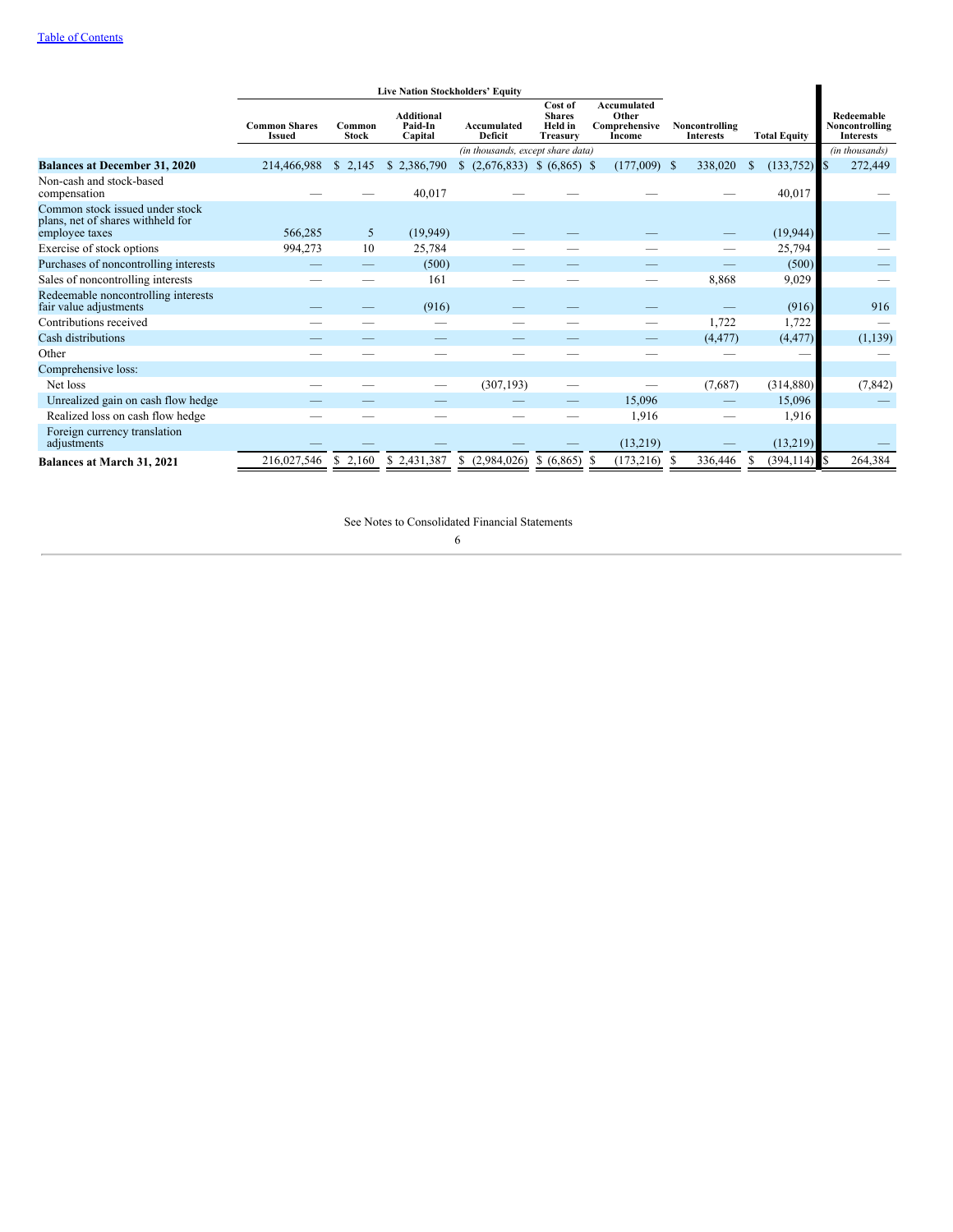|                                                                                        | <b>Live Nation Stockholders' Equity</b> |                        |                                         |                                   |                                                        |                                                 |                                    |                     |                                                  |
|----------------------------------------------------------------------------------------|-----------------------------------------|------------------------|-----------------------------------------|-----------------------------------|--------------------------------------------------------|-------------------------------------------------|------------------------------------|---------------------|--------------------------------------------------|
|                                                                                        | <b>Common Shares</b><br><b>Issued</b>   | Common<br><b>Stock</b> | <b>Additional</b><br>Paid-In<br>Capital | Accumulated<br><b>Deficit</b>     | Cost of<br><b>Shares</b><br><b>Held</b> in<br>Treasury | Accumulated<br>Other<br>Comprehensive<br>Income | Noncontrolling<br><b>Interests</b> | <b>Total Equity</b> | Redeemable<br>Noncontrolling<br><b>Interests</b> |
|                                                                                        |                                         |                        |                                         | (in thousands, except share data) |                                                        |                                                 |                                    |                     | (in thousands)                                   |
| <b>Balances at December 31, 2020</b>                                                   | 214,466,988                             | \$2,145                | \$2,386,790                             | $(2,676,833)$ \$ $(6,865)$ \$     |                                                        | (177,009)                                       | 338,020<br>-S                      | (133, 752)          | 272,449                                          |
| Non-cash and stock-based<br>compensation                                               |                                         |                        | 40,017                                  |                                   |                                                        |                                                 |                                    | 40,017              |                                                  |
| Common stock issued under stock<br>plans, net of shares withheld for<br>employee taxes | 566,285                                 | 5                      | (19, 949)                               |                                   |                                                        |                                                 |                                    | (19, 944)           |                                                  |
| Exercise of stock options                                                              | 994,273                                 | 10                     | 25,784                                  |                                   |                                                        |                                                 |                                    | 25,794              |                                                  |
| Purchases of noncontrolling interests                                                  |                                         |                        | (500)                                   |                                   |                                                        |                                                 |                                    | (500)               |                                                  |
| Sales of noncontrolling interests                                                      |                                         |                        | 161                                     |                                   |                                                        |                                                 | 8,868                              | 9,029               |                                                  |
| Redeemable noncontrolling interests<br>fair value adjustments                          |                                         |                        | (916)                                   |                                   |                                                        |                                                 |                                    | (916)               | 916                                              |
| Contributions received                                                                 |                                         |                        |                                         |                                   |                                                        |                                                 | 1,722                              | 1,722               |                                                  |
| Cash distributions                                                                     |                                         |                        |                                         |                                   |                                                        |                                                 | (4, 477)                           | (4, 477)            | (1, 139)                                         |
| Other                                                                                  |                                         |                        |                                         |                                   |                                                        |                                                 |                                    |                     |                                                  |
| Comprehensive loss:                                                                    |                                         |                        |                                         |                                   |                                                        |                                                 |                                    |                     |                                                  |
| Net loss                                                                               |                                         |                        |                                         | (307, 193)                        |                                                        |                                                 | (7,687)                            | (314, 880)          | (7, 842)                                         |
| Unrealized gain on cash flow hedge                                                     |                                         |                        |                                         |                                   |                                                        | 15,096                                          |                                    | 15,096              |                                                  |
| Realized loss on cash flow hedge                                                       |                                         |                        |                                         |                                   |                                                        | 1,916                                           |                                    | 1,916               |                                                  |
| Foreign currency translation<br>adjustments                                            |                                         |                        |                                         |                                   |                                                        | (13,219)                                        |                                    | (13,219)            |                                                  |
| Balances at March 31, 2021                                                             | 216,027,546                             | S.<br>2,160            | \$2,431,387                             | (2,984,026)<br>S.                 | \$ (6,865)                                             | (173, 216)<br>-8                                | 336,446                            | (394, 114)          | 264,384                                          |

<span id="page-6-0"></span>See Notes to Consolidated Financial Statements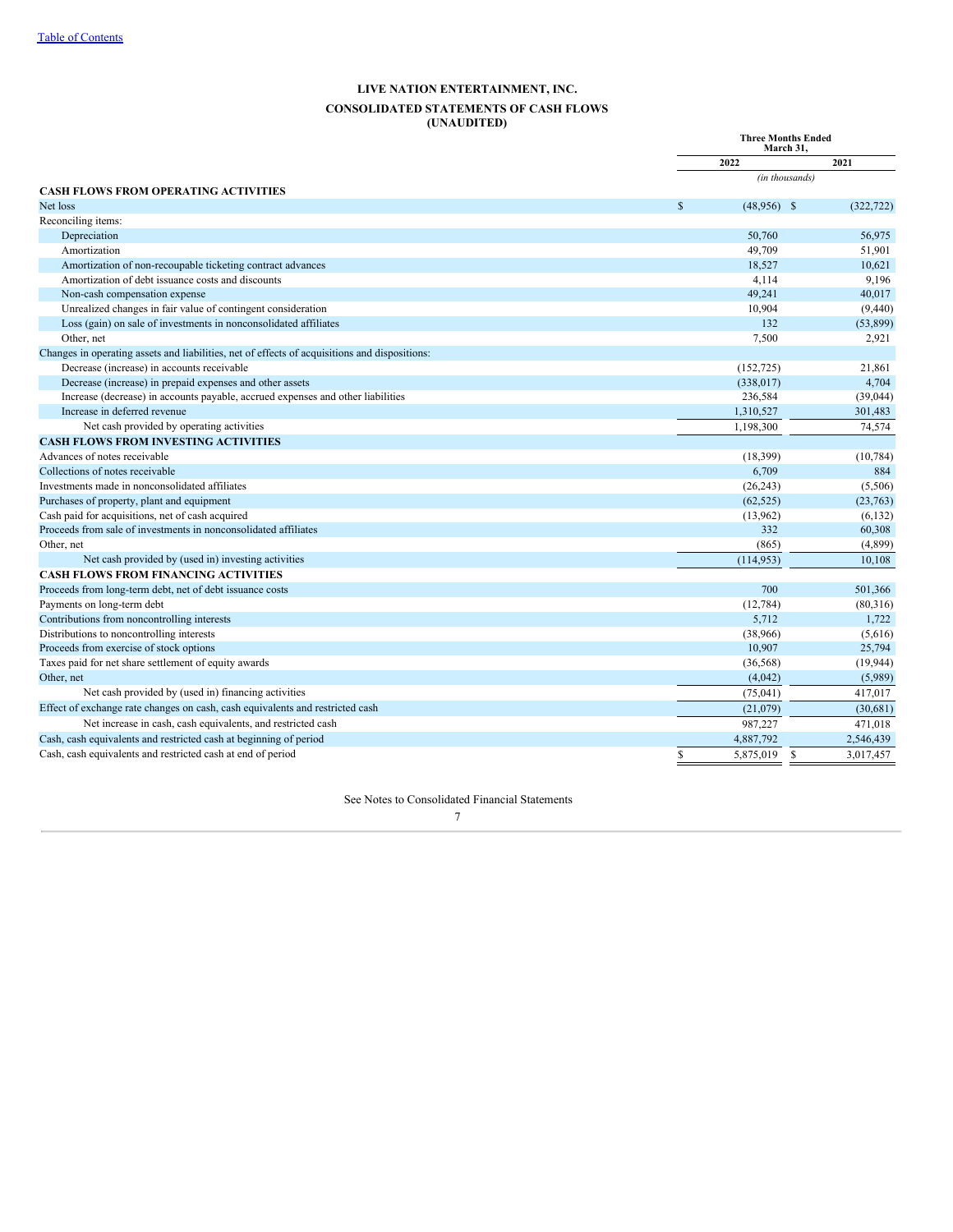# **LIVE NATION ENTERTAINMENT, INC. CONSOLIDATED STATEMENTS OF CASH FLOWS (UNAUDITED)**

|                                                                                               | <b>Three Months Ended</b><br>March 31, |                 |  |            |
|-----------------------------------------------------------------------------------------------|----------------------------------------|-----------------|--|------------|
|                                                                                               |                                        | 2022<br>2021    |  |            |
|                                                                                               |                                        | (in thousands)  |  |            |
| <b>CASH FLOWS FROM OPERATING ACTIVITIES</b>                                                   |                                        |                 |  |            |
| Net loss                                                                                      | $\mathbb{S}$                           | $(48,956)$ \$   |  | (322, 722) |
| Reconciling items:                                                                            |                                        |                 |  |            |
| Depreciation                                                                                  |                                        | 50,760          |  | 56,975     |
| Amortization                                                                                  |                                        | 49,709          |  | 51,901     |
| Amortization of non-recoupable ticketing contract advances                                    |                                        | 18,527          |  | 10,621     |
| Amortization of debt issuance costs and discounts                                             |                                        | 4,114           |  | 9,196      |
| Non-cash compensation expense                                                                 |                                        | 49,241          |  | 40,017     |
| Unrealized changes in fair value of contingent consideration                                  |                                        | 10,904          |  | (9, 440)   |
| Loss (gain) on sale of investments in nonconsolidated affiliates                              |                                        | 132             |  | (53,899)   |
| Other, net                                                                                    |                                        | 7,500           |  | 2,921      |
| Changes in operating assets and liabilities, net of effects of acquisitions and dispositions: |                                        |                 |  |            |
| Decrease (increase) in accounts receivable                                                    |                                        | (152, 725)      |  | 21.861     |
| Decrease (increase) in prepaid expenses and other assets                                      |                                        | (338, 017)      |  | 4,704      |
| Increase (decrease) in accounts payable, accrued expenses and other liabilities               |                                        | 236,584         |  | (39,044)   |
| Increase in deferred revenue                                                                  |                                        | 1,310,527       |  | 301,483    |
| Net cash provided by operating activities                                                     |                                        | 1,198,300       |  | 74,574     |
| <b>CASH FLOWS FROM INVESTING ACTIVITIES</b>                                                   |                                        |                 |  |            |
| Advances of notes receivable                                                                  |                                        | (18, 399)       |  | (10, 784)  |
| Collections of notes receivable                                                               |                                        | 6,709           |  | 884        |
| Investments made in nonconsolidated affiliates                                                |                                        | (26, 243)       |  | (5,506)    |
| Purchases of property, plant and equipment                                                    |                                        | (62, 525)       |  | (23,763)   |
| Cash paid for acquisitions, net of cash acquired                                              |                                        | (13,962)        |  | (6, 132)   |
| Proceeds from sale of investments in nonconsolidated affiliates                               |                                        | 332             |  | 60,308     |
| Other, net                                                                                    |                                        | (865)           |  | (4,899)    |
| Net cash provided by (used in) investing activities                                           |                                        | (114,953)       |  | 10,108     |
| <b>CASH FLOWS FROM FINANCING ACTIVITIES</b>                                                   |                                        |                 |  |            |
| Proceeds from long-term debt, net of debt issuance costs                                      |                                        | 700             |  | 501,366    |
| Payments on long-term debt                                                                    |                                        | (12, 784)       |  | (80,316)   |
| Contributions from noncontrolling interests                                                   |                                        | 5,712           |  | 1,722      |
| Distributions to noncontrolling interests                                                     |                                        | (38,966)        |  | (5,616)    |
| Proceeds from exercise of stock options                                                       |                                        | 10,907          |  | 25,794     |
| Taxes paid for net share settlement of equity awards                                          |                                        | (36, 568)       |  | (19, 944)  |
| Other, net                                                                                    |                                        | (4,042)         |  | (5,989)    |
| Net cash provided by (used in) financing activities                                           |                                        | (75, 041)       |  | 417,017    |
| Effect of exchange rate changes on cash, cash equivalents and restricted cash                 |                                        | (21,079)        |  | (30,681)   |
| Net increase in cash, cash equivalents, and restricted cash                                   |                                        | 987.227         |  | 471.018    |
| Cash, cash equivalents and restricted cash at beginning of period                             |                                        | 4,887,792       |  | 2,546,439  |
| Cash, cash equivalents and restricted cash at end of period                                   | $\mathbb{S}$                           | 5,875,019<br>-S |  | 3,017,457  |

<span id="page-7-0"></span>See Notes to Consolidated Financial Statements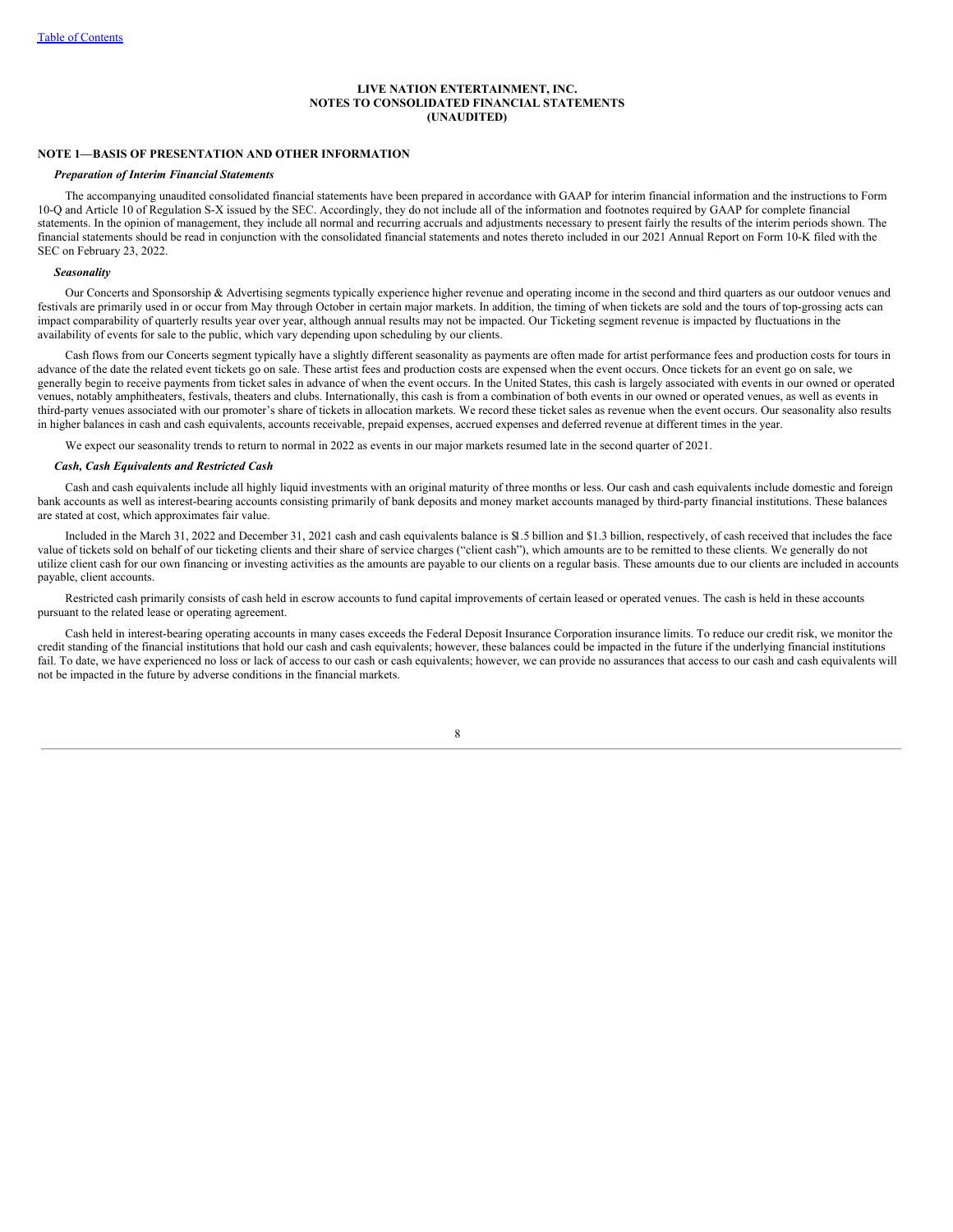# **LIVE NATION ENTERTAINMENT, INC. NOTES TO CONSOLIDATED FINANCIAL STATEMENTS (UNAUDITED)**

# **NOTE 1—BASIS OF PRESENTATION AND OTHER INFORMATION**

#### *Preparation of Interim Financial Statements*

The accompanying unaudited consolidated financial statements have been prepared in accordance with GAAP for interim financial information and the instructions to Form 10-Q and Article 10 of Regulation S-X issued by the SEC. Accordingly, they do not include all of the information and footnotes required by GAAP for complete financial statements. In the opinion of management, they include all normal and recurring accruals and adjustments necessary to present fairly the results of the interim periods shown. The financial statements should be read in conjunction with the consolidated financial statements and notes thereto included in our 2021 Annual Report on Form 10-K filed with the SEC on February 23, 2022.

## *Seasonality*

Our Concerts and Sponsorship & Advertising segments typically experience higher revenue and operating income in the second and third quarters as our outdoor venues and festivals are primarily used in or occur from May through October in certain major markets. In addition, the timing of when tickets are sold and the tours of top-grossing acts can impact comparability of quarterly results year over year, although annual results may not be impacted. Our Ticketing segment revenue is impacted by fluctuations in the availability of events for sale to the public, which vary depending upon scheduling by our clients.

Cash flows from our Concerts segment typically have a slightly different seasonality as payments are often made for artist performance fees and production costs for tours in advance of the date the related event tickets go on sale. These artist fees and production costs are expensed when the event occurs. Once tickets for an event go on sale, we generally begin to receive payments from ticket sales in advance of when the event occurs. In the United States, this cash is largely associated with events in our owned or operated venues, notably amphitheaters, festivals, theaters and clubs. Internationally, this cash is from a combination of both events in our owned or operated venues, as well as events in third-party venues associated with our promoter's share of tickets in allocation markets. We record these ticket sales as revenue when the event occurs. Our seasonality also results in higher balances in cash and cash equivalents, accounts receivable, prepaid expenses, accrued expenses and deferred revenue at different times in the year.

We expect our seasonality trends to return to normal in 2022 as events in our major markets resumed late in the second quarter of 2021.

#### *Cash, Cash Equivalents and Restricted Cash*

Cash and cash equivalents include all highly liquid investments with an original maturity of three months or less. Our cash and cash equivalents include domestic and foreign bank accounts as well as interest-bearing accounts consisting primarily of bank deposits and money market accounts managed by third-party financial institutions. These balances are stated at cost, which approximates fair value.

Included in the March 31, 2022 and December 31, 2021 cash and cash equivalents balance is \$1.5 billion and \$1.3 billion, respectively, of cash received that includes the face value of tickets sold on behalf of our ticketing clients and their share of service charges ("client cash"), which amounts are to be remitted to these clients. We generally do not utilize client cash for our own financing or investing activities as the amounts are payable to our clients on a regular basis. These amounts due to our clients are included in accounts payable, client accounts.

Restricted cash primarily consists of cash held in escrow accounts to fund capital improvements of certain leased or operated venues. The cash is held in these accounts pursuant to the related lease or operating agreement.

Cash held in interest-bearing operating accounts in many cases exceeds the Federal Deposit Insurance Corporation insurance limits. To reduce our credit risk, we monitor the credit standing of the financial institutions that hold our cash and cash equivalents; however, these balances could be impacted in the future if the underlying financial institutions fail. To date, we have experienced no loss or lack of access to our cash or cash equivalents; however, we can provide no assurances that access to our cash and cash equivalents will not be impacted in the future by adverse conditions in the financial markets.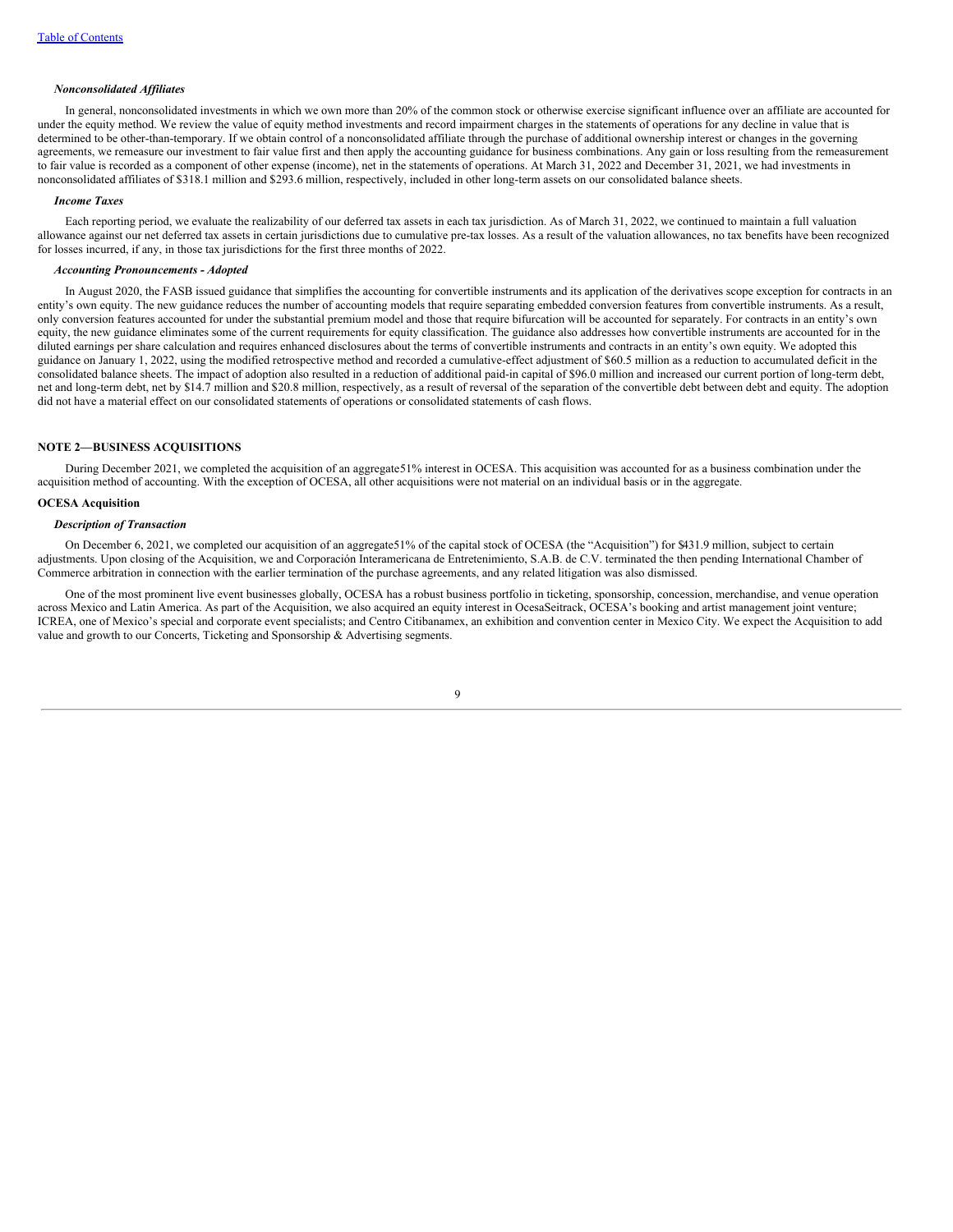#### *Nonconsolidated Af iliates*

In general, nonconsolidated investments in which we own more than 20% of the common stock or otherwise exercise significant influence over an affiliate are accounted for under the equity method. We review the value of equity method investments and record impairment charges in the statements of operations for any decline in value that is determined to be other-than-temporary. If we obtain control of a nonconsolidated affiliate through the purchase of additional ownership interest or changes in the governing agreements, we remeasure our investment to fair value first and then apply the accounting guidance for business combinations. Any gain or loss resulting from the remeasurement to fair value is recorded as a component of other expense (income), net in the statements of operations. At March 31, 2022 and December 31, 2021, we had investments in nonconsolidated affiliates of \$318.1 million and \$293.6 million, respectively, included in other long-term assets on our consolidated balance sheets.

#### *Income Taxes*

Each reporting period, we evaluate the realizability of our deferred tax assets in each tax jurisdiction. As of March 31, 2022, we continued to maintain a full valuation allowance against our net deferred tax assets in certain jurisdictions due to cumulative pre-tax losses. As a result of the valuation allowances, no tax benefits have been recognized for losses incurred, if any, in those tax jurisdictions for the first three months of 2022.

#### *Accounting Pronouncements - Adopted*

In August 2020, the FASB issued guidance that simplifies the accounting for convertible instruments and its application of the derivatives scope exception for contracts in an entity's own equity. The new guidance reduces the number of accounting models that require separating embedded conversion features from convertible instruments. As a result, only conversion features accounted for under the substantial premium model and those that require bifurcation will be accounted for separately. For contracts in an entity's own equity, the new guidance eliminates some of the current requirements for equity classification. The guidance also addresses how convertible instruments are accounted for in the diluted earnings per share calculation and requires enhanced disclosures about the terms of convertible instruments and contracts in an entity's own equity. We adopted this guidance on January 1, 2022, using the modified retrospective method and recorded a cumulative-effect adjustment of \$60.5 million as a reduction to accumulated deficit in the consolidated balance sheets. The impact of adoption also resulted in a reduction of additional paid-in capital of \$96.0 million and increased our current portion of long-term debt, net and long-term debt, net by \$14.7 million and \$20.8 million, respectively, as a result of reversal of the separation of the convertible debt between debt and equity. The adoption did not have a material effect on our consolidated statements of operations or consolidated statements of cash flows.

#### **NOTE 2—BUSINESS ACQUISITIONS**

During December 2021, we completed the acquisition of an aggregate51% interest in OCESA. This acquisition was accounted for as a business combination under the acquisition method of accounting. With the exception of OCESA, all other acquisitions were not material on an individual basis or in the aggregate.

#### **OCESA Acquisition**

#### *Description of Transaction*

On December 6, 2021, we completed our acquisition of an aggregate51% of the capital stock of OCESA (the "Acquisition") for \$431.9 million, subject to certain adjustments. Upon closing of the Acquisition, we and Corporación Interamericana de Entretenimiento, S.A.B. de C.V. terminated the then pending International Chamber of Commerce arbitration in connection with the earlier termination of the purchase agreements, and any related litigation was also dismissed.

One of the most prominent live event businesses globally, OCESA has a robust business portfolio in ticketing, sponsorship, concession, merchandise, and venue operation across Mexico and Latin America. As part of the Acquisition, we also acquired an equity interest in OcesaSeitrack, OCESA's booking and artist management joint venture; ICREA, one of Mexico's special and corporate event specialists; and Centro Citibanamex, an exhibition and convention center in Mexico City. We expect the Acquisition to add value and growth to our Concerts, Ticketing and Sponsorship & Advertising segments.

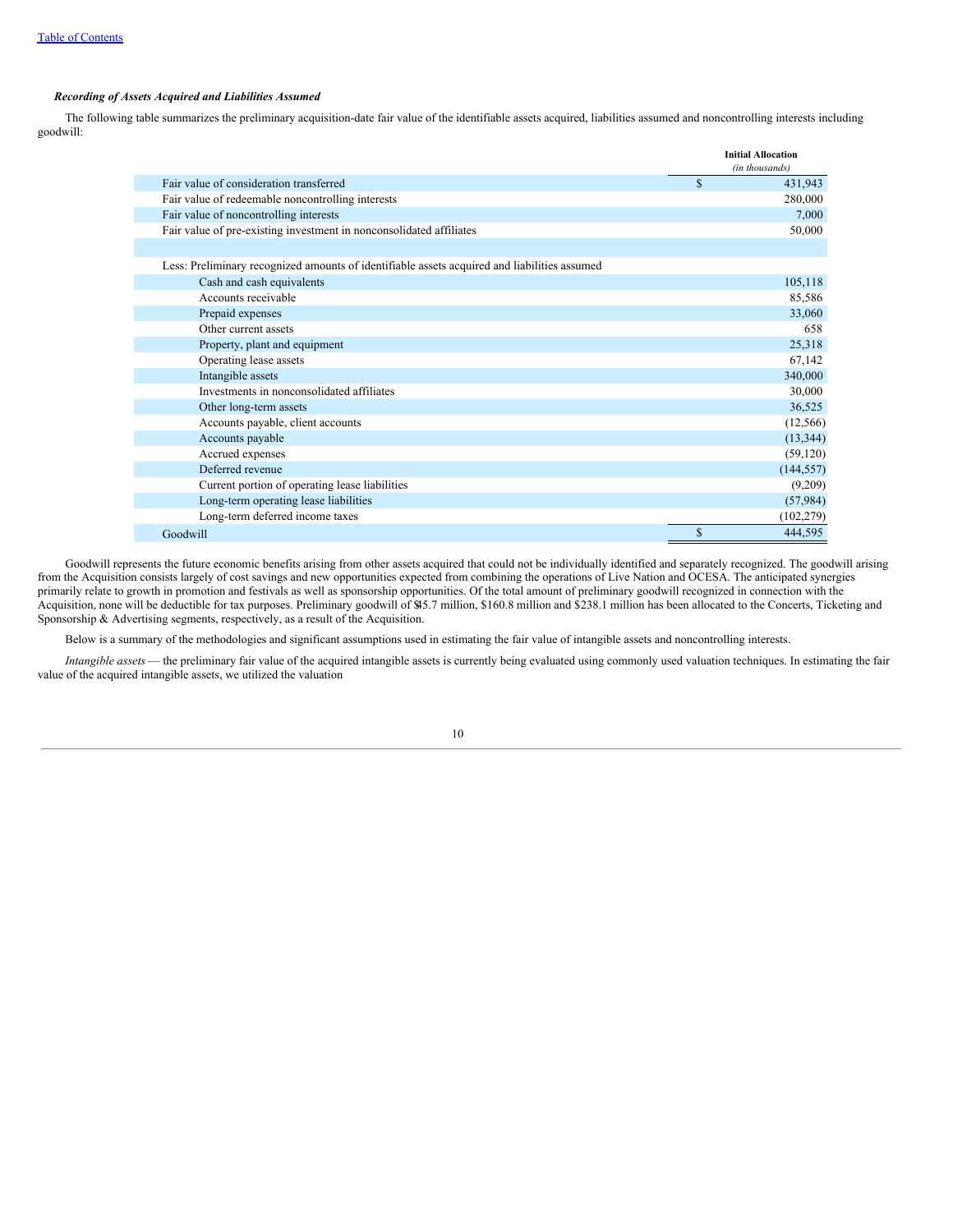#### *Recording of Assets Acquired and Liabilities Assumed*

The following table summarizes the preliminary acquisition-date fair value of the identifiable assets acquired, liabilities assumed and noncontrolling interests including goodwill:

|                                                                                              |   | <b>Initial Allocation</b><br>(in thousands) |
|----------------------------------------------------------------------------------------------|---|---------------------------------------------|
| Fair value of consideration transferred                                                      | S | 431,943                                     |
| Fair value of redeemable noncontrolling interests                                            |   | 280,000                                     |
| Fair value of noncontrolling interests                                                       |   | 7,000                                       |
| Fair value of pre-existing investment in nonconsolidated affiliates                          |   | 50,000                                      |
|                                                                                              |   |                                             |
| Less: Preliminary recognized amounts of identifiable assets acquired and liabilities assumed |   |                                             |
| Cash and cash equivalents                                                                    |   | 105,118                                     |
| Accounts receivable                                                                          |   | 85,586                                      |
| Prepaid expenses                                                                             |   | 33,060                                      |
| Other current assets                                                                         |   | 658                                         |
| Property, plant and equipment                                                                |   | 25,318                                      |
| Operating lease assets                                                                       |   | 67,142                                      |
| Intangible assets                                                                            |   | 340,000                                     |
| Investments in nonconsolidated affiliates                                                    |   | 30,000                                      |
| Other long-term assets                                                                       |   | 36,525                                      |
| Accounts payable, client accounts                                                            |   | (12, 566)                                   |
| Accounts payable                                                                             |   | (13, 344)                                   |
| Accrued expenses                                                                             |   | (59, 120)                                   |
| Deferred revenue                                                                             |   | (144, 557)                                  |
| Current portion of operating lease liabilities                                               |   | (9,209)                                     |
| Long-term operating lease liabilities                                                        |   | (57, 984)                                   |
| Long-term deferred income taxes                                                              |   | (102, 279)                                  |
| Goodwill                                                                                     | Ŝ | 444,595                                     |

Goodwill represents the future economic benefits arising from other assets acquired that could not be individually identified and separately recognized. The goodwill arising from the Acquisition consists largely of cost savings and new opportunities expected from combining the operations of Live Nation and OCESA. The anticipated synergies primarily relate to growth in promotion and festivals as well as sponsorship opportunities. Of the total amount of preliminary goodwill recognized in connection with the Acquisition, none will be deductible for tax purposes. Preliminary goodwill of \$45.7 million, \$160.8 million and \$238.1 million has been allocated to the Concerts, Ticketing and Sponsorship & Advertising segments, respectively, as a result of the Acquisition.

Below is a summary of the methodologies and significant assumptions used in estimating the fair value of intangible assets and noncontrolling interests.

*Intangible assets* — the preliminary fair value of the acquired intangible assets is currently being evaluated using commonly used valuation techniques. In estimating the fair value of the acquired intangible assets, we utilized the valuation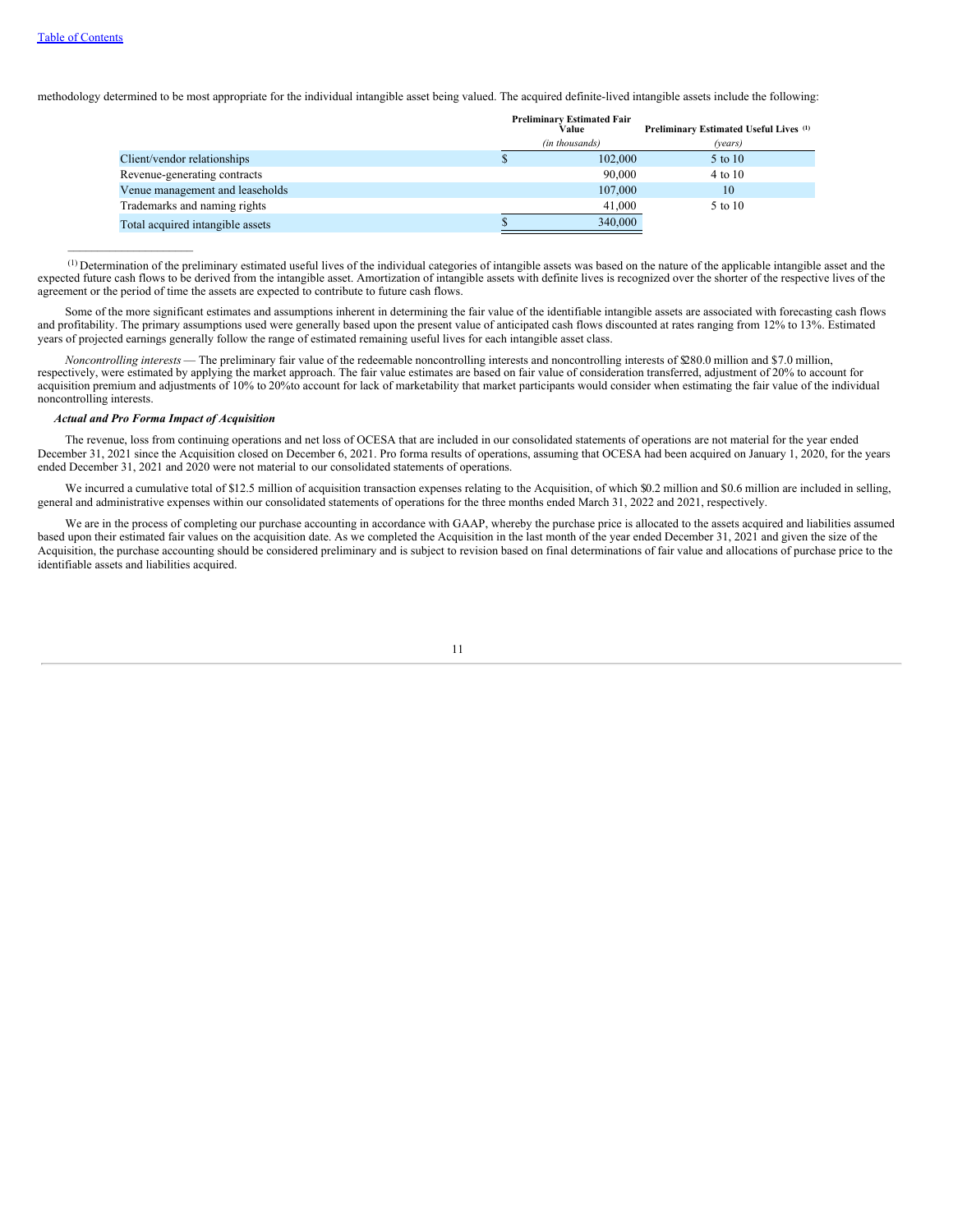methodology determined to be most appropriate for the individual intangible asset being valued. The acquired definite-lived intangible assets include the following:

|                                  | <b>Preliminary Estimated Fair</b><br>Value | Preliminary Estimated Useful Lives <sup>(1)</sup> |
|----------------------------------|--------------------------------------------|---------------------------------------------------|
|                                  | (in thousands)                             | (vears)                                           |
| Client/vendor relationships      | 102,000                                    | 5 to 10                                           |
| Revenue-generating contracts     | 90,000                                     | 4 to 10                                           |
| Venue management and leaseholds  | 107,000                                    | 10                                                |
| Trademarks and naming rights     | 41,000                                     | 5 to 10                                           |
| Total acquired intangible assets | 340,000                                    |                                                   |

 $<sup>(1)</sup>$  Determination of the preliminary estimated useful lives of the individual categories of intangible assets was based on the nature of the applicable intangible asset and the</sup> expected future cash flows to be derived from the intangible asset. Amortization of intangible assets with definite lives is recognized over the shorter of the respective lives of the agreement or the period of time the assets are expected to contribute to future cash flows.

Some of the more significant estimates and assumptions inherent in determining the fair value of the identifiable intangible assets are associated with forecasting cash flows and profitability. The primary assumptions used were generally based upon the present value of anticipated cash flows discounted at rates ranging from 12% to 13%. Estimated years of projected earnings generally follow the range of estimated remaining useful lives for each intangible asset class.

*Noncontrolling interests* — The preliminary fair value of the redeemable noncontrolling interests and noncontrolling interests of \$280.0 million and \$7.0 million, respectively, were estimated by applying the market approach. The fair value estimates are based on fair value of consideration transferred, adjustment of 20% to account for acquisition premium and adjustments of 10% to 20%to account for lack of marketability that market participants would consider when estimating the fair value of the individual noncontrolling interests.

### *Actual and Pro Forma Impact of Acquisition*

 $\mathcal{L}_\text{max}$ 

The revenue, loss from continuing operations and net loss of OCESA that are included in our consolidated statements of operations are not material for the year ended December 31, 2021 since the Acquisition closed on December 6, 2021. Pro forma results of operations, assuming that OCESA had been acquired on January 1, 2020, for the years ended December 31, 2021 and 2020 were not material to our consolidated statements of operations.

We incurred a cumulative total of \$12.5 million of acquisition transaction expenses relating to the Acquisition, of which \$0.2 million and \$0.6 million are included in selling, general and administrative expenses within our consolidated statements of operations for the three months ended March 31, 2022 and 2021, respectively.

We are in the process of completing our purchase accounting in accordance with GAAP, whereby the purchase price is allocated to the assets acquired and liabilities assumed based upon their estimated fair values on the acquisition date. As we completed the Acquisition in the last month of the year ended December 31, 2021 and given the size of the Acquisition, the purchase accounting should be considered preliminary and is subject to revision based on final determinations of fair value and allocations of purchase price to the identifiable assets and liabilities acquired.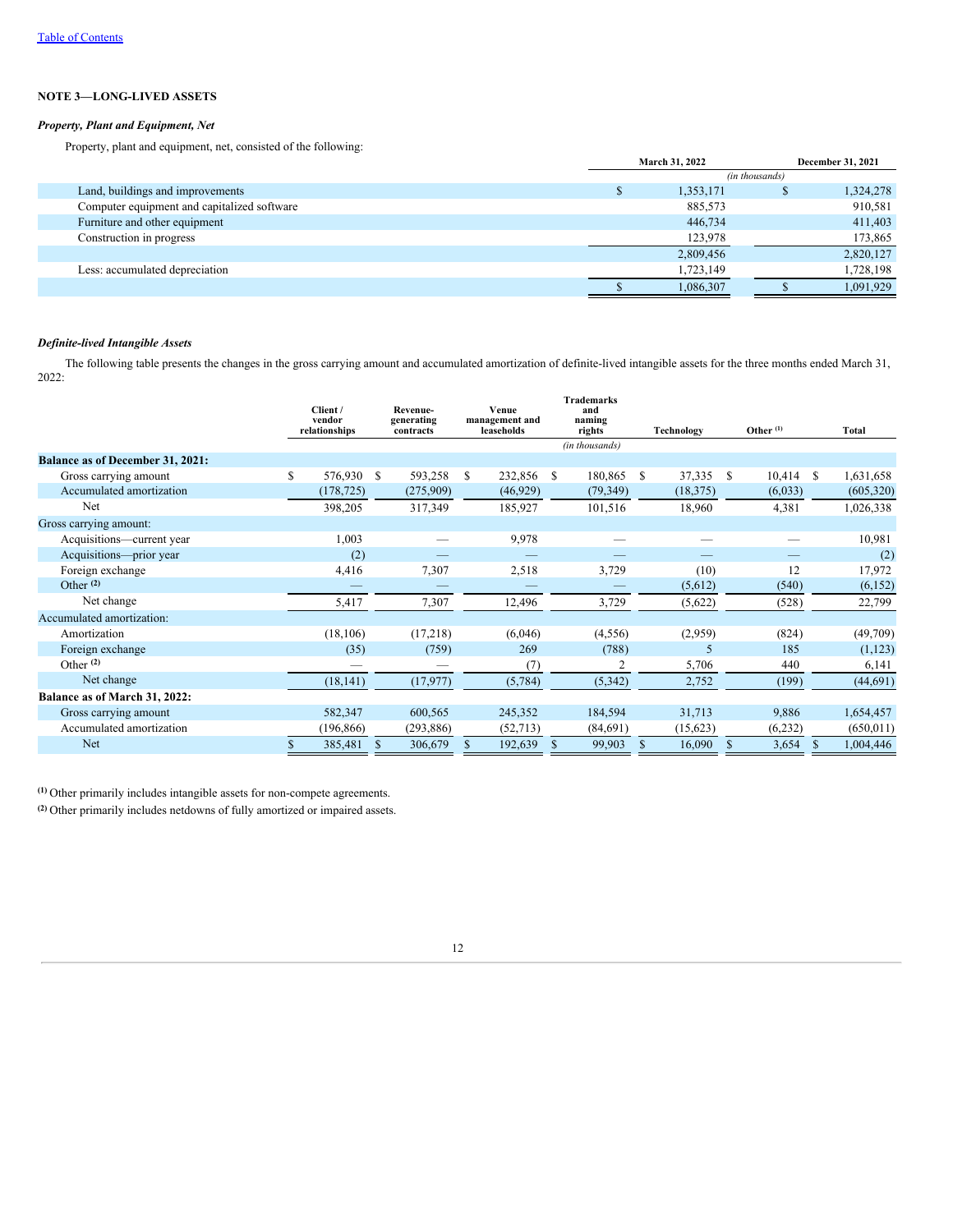# **NOTE 3—LONG-LIVED ASSETS**

# *Property, Plant and Equipment, Net*

Property, plant and equipment, net, consisted of the following:

|                                             | March 31, 2022 |           |                | <b>December 31, 2021</b> |  |  |
|---------------------------------------------|----------------|-----------|----------------|--------------------------|--|--|
|                                             |                |           | (in thousands) |                          |  |  |
| Land, buildings and improvements            |                | 1,353,171 |                | 1,324,278                |  |  |
| Computer equipment and capitalized software |                | 885,573   |                | 910,581                  |  |  |
| Furniture and other equipment               |                | 446,734   |                | 411,403                  |  |  |
| Construction in progress                    |                | 123,978   |                | 173,865                  |  |  |
|                                             |                | 2,809,456 |                | 2,820,127                |  |  |
| Less: accumulated depreciation              |                | 1,723,149 |                | 1,728,198                |  |  |
|                                             |                | 1,086,307 |                | 1,091,929                |  |  |

# *Definite-lived Intangible Assets*

The following table presents the changes in the gross carrying amount and accumulated amortization of definite-lived intangible assets for the three months ended March 31, 2022:

|                                         | Client/<br>vendor |     | Revenue-<br>generating |   | Venue<br>management and |               | <b>Trademarks</b><br>and<br>naming |          |                   |   |             |            |
|-----------------------------------------|-------------------|-----|------------------------|---|-------------------------|---------------|------------------------------------|----------|-------------------|---|-------------|------------|
|                                         | relationships     |     | contracts              |   | leaseholds              |               | rights                             |          | <b>Technology</b> |   | Other $(1)$ | Total      |
|                                         |                   |     |                        |   |                         |               | (in thousands)                     |          |                   |   |             |            |
| <b>Balance as of December 31, 2021:</b> |                   |     |                        |   |                         |               |                                    |          |                   |   |             |            |
| Gross carrying amount                   | S<br>576,930 \$   |     | 593,258                | S | 232,856                 | <sup>\$</sup> | 180,865                            | <b>S</b> | 37,335            | S | $10,414$ \$ | 1,631,658  |
| Accumulated amortization                | (178, 725)        |     | (275,909)              |   | (46, 929)               |               | (79, 349)                          |          | (18, 375)         |   | (6,033)     | (605, 320) |
| Net                                     | 398,205           |     | 317,349                |   | 185,927                 |               | 101,516                            |          | 18,960            |   | 4,381       | 1,026,338  |
| Gross carrying amount:                  |                   |     |                        |   |                         |               |                                    |          |                   |   |             |            |
| Acquisitions—current year               | 1,003             |     |                        |   | 9,978                   |               |                                    |          |                   |   |             | 10,981     |
| Acquisitions-prior year                 |                   | (2) |                        |   |                         |               |                                    |          |                   |   |             | (2)        |
| Foreign exchange                        | 4,416             |     | 7,307                  |   | 2,518                   |               | 3,729                              |          | (10)              |   | 12          | 17,972     |
| Other $(2)$                             |                   |     |                        |   |                         |               |                                    |          | (5,612)           |   | (540)       | (6, 152)   |
| Net change                              | 5,417             |     | 7,307                  |   | 12,496                  |               | 3,729                              |          | (5,622)           |   | (528)       | 22,799     |
| Accumulated amortization:               |                   |     |                        |   |                         |               |                                    |          |                   |   |             |            |
| Amortization                            | (18, 106)         |     | (17,218)               |   | (6,046)                 |               | (4, 556)                           |          | (2,959)           |   | (824)       | (49,709)   |
| Foreign exchange                        | (35)              |     | (759)                  |   | 269                     |               | (788)                              |          | 5                 |   | 185         | (1, 123)   |
| Other $(2)$                             |                   |     |                        |   | (7)                     |               | 2                                  |          | 5,706             |   | 440         | 6,141      |
| Net change                              | (18, 141)         |     | (17, 977)              |   | (5,784)                 |               | (5,342)                            |          | 2,752             |   | (199)       | (44, 691)  |
| Balance as of March 31, 2022:           |                   |     |                        |   |                         |               |                                    |          |                   |   |             |            |
| Gross carrying amount                   | 582,347           |     | 600,565                |   | 245,352                 |               | 184,594                            |          | 31,713            |   | 9,886       | 1,654,457  |
| Accumulated amortization                | (196, 866)        |     | (293, 886)             |   | (52,713)                |               | (84,691)                           |          | (15, 623)         |   | (6,232)     | (650, 011) |
| Net                                     | 385,481           |     | 306,679                |   | 192,639                 |               | 99,903                             |          | 16,090            | S | 3,654       | 1,004,446  |

Other primarily includes intangible assets for non-compete agreements. **(1)**

Other primarily includes netdowns of fully amortized or impaired assets. **(2)**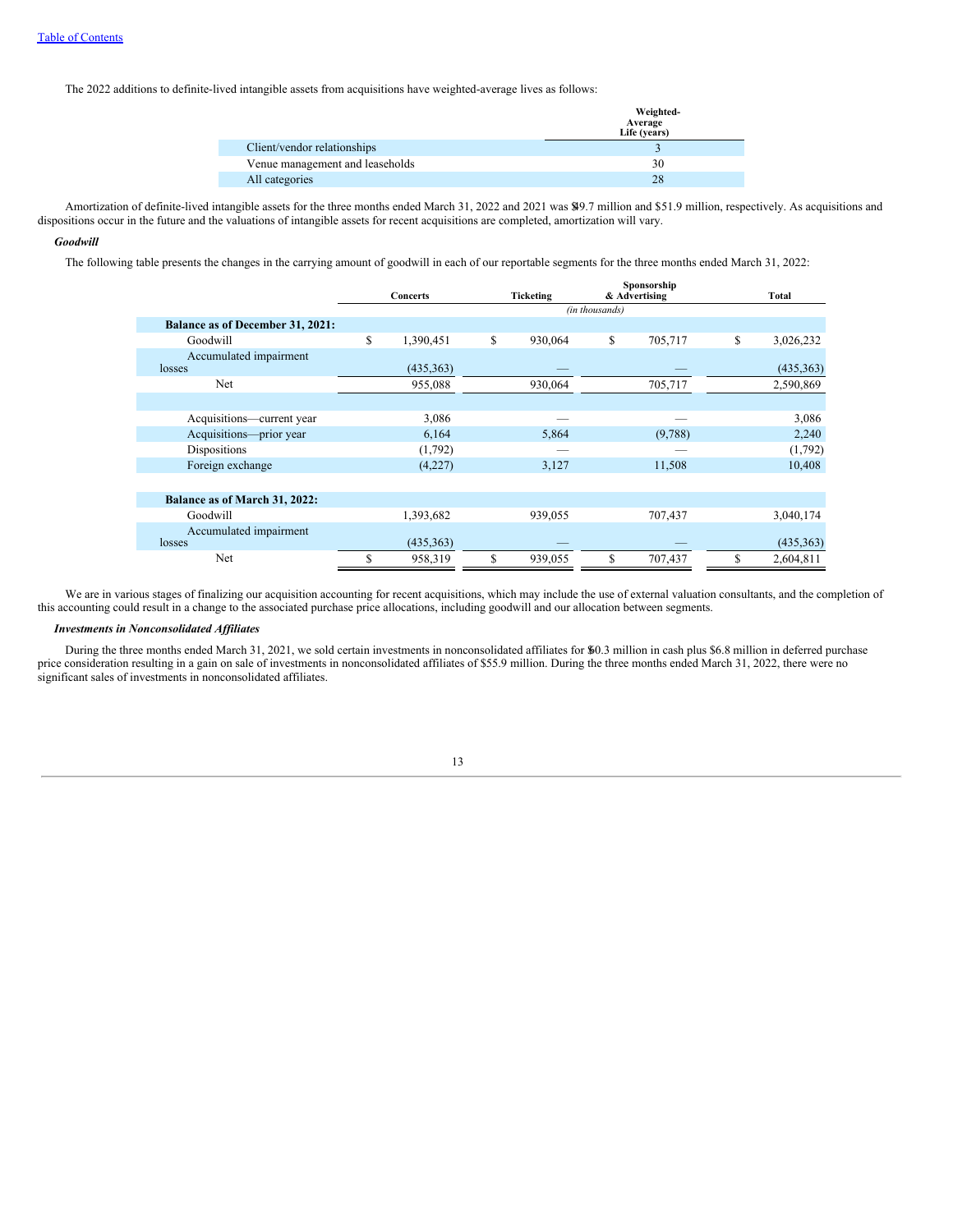The 2022 additions to definite-lived intangible assets from acquisitions have weighted-average lives as follows:

|                                 | Weighted-<br>Average<br>Life (years) |
|---------------------------------|--------------------------------------|
| Client/vendor relationships     |                                      |
| Venue management and leaseholds | 30                                   |
| All categories                  | 28                                   |

Amortization of definite-lived intangible assets for the three months ended March 31, 2022 and 2021 was \$49.7 million and \$51.9 million, respectively. As acquisitions and dispositions occur in the future and the valuations of intangible assets for recent acquisitions are completed, amortization will vary.

### *Goodwill*

The following table presents the changes in the carrying amount of goodwill in each of our reportable segments for the three months ended March 31, 2022:

|                                         | Sponsorship<br>& Advertising<br><b>Ticketing</b><br><b>Concerts</b> |    |                |    |         |    | Total      |
|-----------------------------------------|---------------------------------------------------------------------|----|----------------|----|---------|----|------------|
|                                         |                                                                     |    | (in thousands) |    |         |    |            |
| <b>Balance as of December 31, 2021:</b> |                                                                     |    |                |    |         |    |            |
| Goodwill                                | \$<br>1,390,451                                                     | \$ | 930,064        | \$ | 705,717 | \$ | 3,026,232  |
| Accumulated impairment<br>losses        | (435, 363)                                                          |    |                |    |         |    | (435, 363) |
| Net                                     | 955,088                                                             |    | 930,064        |    | 705,717 |    | 2,590,869  |
|                                         |                                                                     |    |                |    |         |    |            |
| Acquisitions—current year               | 3,086                                                               |    |                |    |         |    | 3,086      |
| Acquisitions-prior year                 | 6,164                                                               |    | 5,864          |    | (9,788) |    | 2,240      |
| Dispositions                            | (1,792)                                                             |    |                |    |         |    | (1,792)    |
| Foreign exchange                        | (4,227)                                                             |    | 3,127          |    | 11,508  |    | 10,408     |
|                                         |                                                                     |    |                |    |         |    |            |
| Balance as of March 31, 2022:           |                                                                     |    |                |    |         |    |            |
| Goodwill                                | 1,393,682                                                           |    | 939,055        |    | 707,437 |    | 3,040,174  |
| Accumulated impairment<br>losses        | (435, 363)                                                          |    |                |    |         |    | (435, 363) |
| Net                                     | \$<br>958,319                                                       | S  | 939,055        | \$ | 707,437 | S  | 2,604,811  |

We are in various stages of finalizing our acquisition accounting for recent acquisitions, which may include the use of external valuation consultants, and the completion of this accounting could result in a change to the associated purchase price allocations, including goodwill and our allocation between segments.

### *Investments in Nonconsolidated Af iliates*

During the three months ended March 31, 2021, we sold certain investments in nonconsolidated affiliates for \$60.3 million in cash plus \$6.8 million in deferred purchase price consideration resulting in a gain on sale of investments in nonconsolidated affiliates of \$55.9 million. During the three months ended March 31, 2022, there were no significant sales of investments in nonconsolidated affiliates.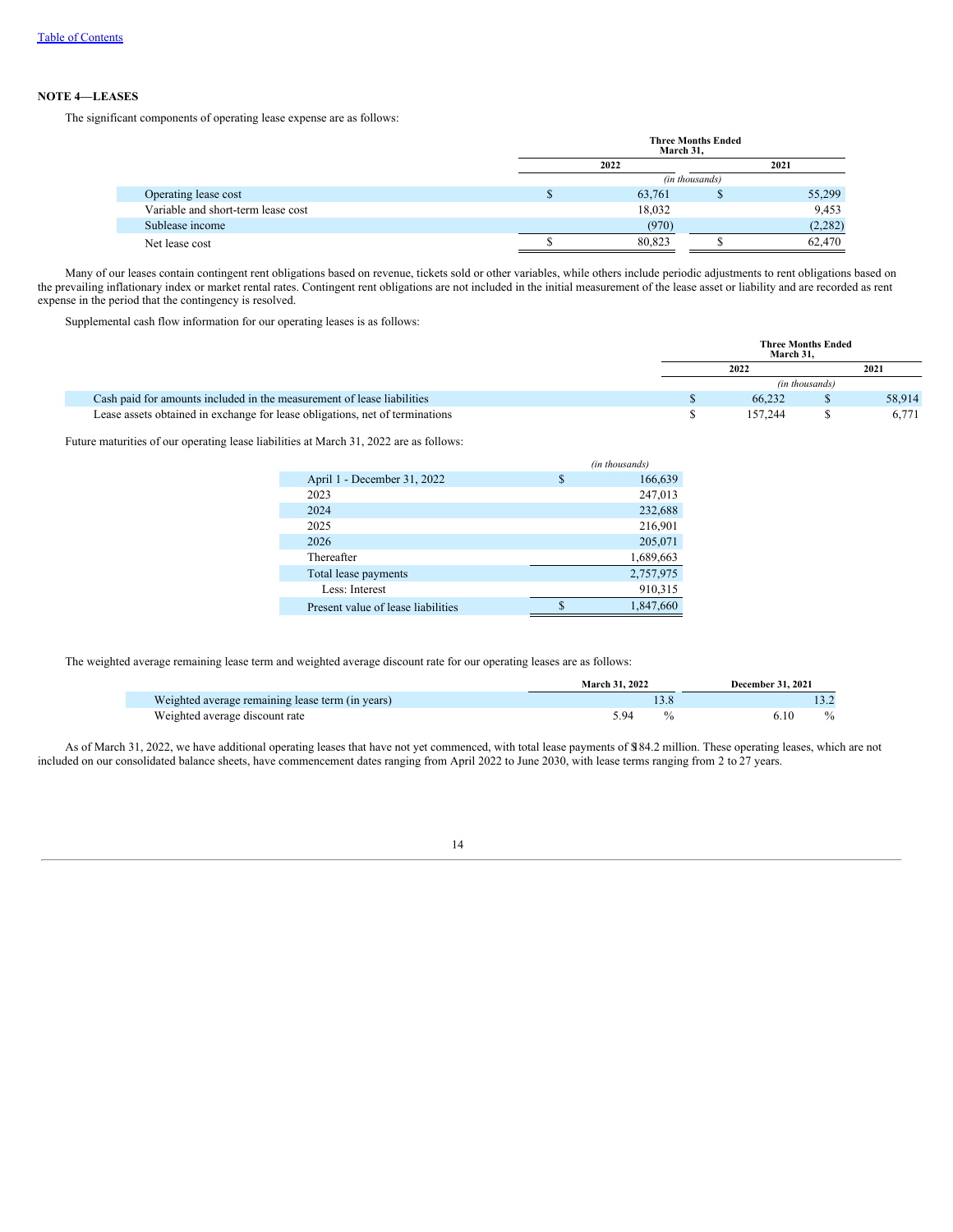### **NOTE 4—LEASES**

The significant components of operating lease expense are as follows:

|                                    |              | <b>Three Months Ended</b><br>March 31, |   |          |  |  |  |
|------------------------------------|--------------|----------------------------------------|---|----------|--|--|--|
|                                    | 2021<br>2022 |                                        |   |          |  |  |  |
|                                    |              |                                        |   |          |  |  |  |
| Operating lease cost               | ъ            | 63,761                                 | D | 55,299   |  |  |  |
| Variable and short-term lease cost |              | 18,032                                 |   | 9,453    |  |  |  |
| Sublease income                    |              | (970)                                  |   | (2, 282) |  |  |  |
| Net lease cost                     |              | 80.823                                 |   | 62,470   |  |  |  |

Many of our leases contain contingent rent obligations based on revenue, tickets sold or other variables, while others include periodic adjustments to rent obligations based on the prevailing inflationary index or market rental rates. Contingent rent obligations are not included in the initial measurement of the lease asset or liability and are recorded as rent expense in the period that the contingency is resolved.

Supplemental cash flow information for our operating leases is as follows:

|                                                                              | <b>Three Months Ended</b><br>March 31. |         |                |        |
|------------------------------------------------------------------------------|----------------------------------------|---------|----------------|--------|
|                                                                              |                                        | 2022    |                | 2021   |
|                                                                              |                                        |         | (in thousands) |        |
| Cash paid for amounts included in the measurement of lease liabilities       |                                        | 66.232  |                | 58.914 |
| Lease assets obtained in exchange for lease obligations, net of terminations |                                        | 157.244 |                | 6.771  |

Future maturities of our operating lease liabilities at March 31, 2022 are as follows:

|                                    |    | (in thousands) |
|------------------------------------|----|----------------|
| April 1 - December 31, 2022        | \$ | 166,639        |
| 2023                               |    | 247,013        |
| 2024                               |    | 232,688        |
| 2025                               |    | 216,901        |
| 2026                               |    | 205,071        |
| Thereafter                         |    | 1,689,663      |
| Total lease payments               |    | 2,757,975      |
| Less: Interest                     |    | 910,315        |
| Present value of lease liabilities | S  | 1,847,660      |

The weighted average remaining lease term and weighted average discount rate for our operating leases are as follows:

|                                                  | March 31, 2022 | December 31, 2021 |
|--------------------------------------------------|----------------|-------------------|
| Weighted average remaining lease term (in years) |                |                   |
| Weighted average discount rate                   | 5 94           | $\frac{0}{0}$     |

As of March 31, 2022, we have additional operating leases that have not yet commenced, with total lease payments of \$84.2 million. These operating leases, which are not included on our consolidated balance sheets, have commencement dates ranging from April 2022 to June 2030, with lease terms ranging from 2 to 27 years.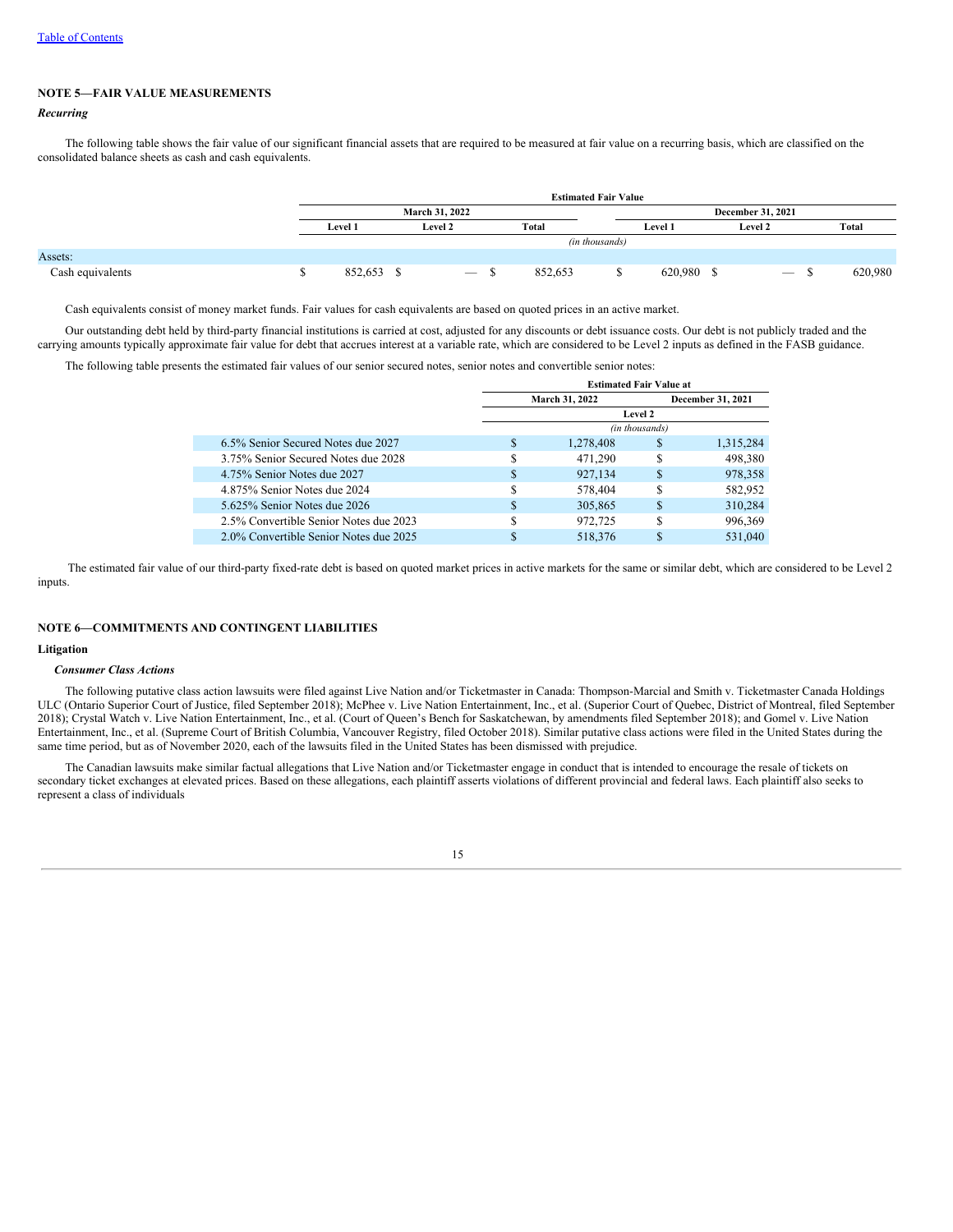# **NOTE 5—FAIR VALUE MEASUREMENTS**

### *Recurring*

The following table shows the fair value of our significant financial assets that are required to be measured at fair value on a recurring basis, which are classified on the consolidated balance sheets as cash and cash equivalents.

|                  |                       |         |                  |         | <b>Estimated Fair Value</b> |         |                          |         |
|------------------|-----------------------|---------|------------------|---------|-----------------------------|---------|--------------------------|---------|
|                  | <b>March 31, 2022</b> |         |                  |         |                             |         | <b>December 31, 2021</b> |         |
|                  | Level 1               | Level 2 |                  | Total   |                             | Level 1 | Level 2                  | Total   |
|                  |                       |         |                  |         | (in thousands)              |         |                          |         |
| Assets:          |                       |         |                  |         |                             |         |                          |         |
| Cash equivalents | 852,653 \$            |         | $\hspace{0.5cm}$ | 852,653 | w                           | 620,980 |                          | 620,980 |

Cash equivalents consist of money market funds. Fair values for cash equivalents are based on quoted prices in an active market.

Our outstanding debt held by third-party financial institutions is carried at cost, adjusted for any discounts or debt issuance costs. Our debt is not publicly traded and the carrying amounts typically approximate fair value for debt that accrues interest at a variable rate, which are considered to be Level 2 inputs as defined in the FASB guidance.

The following table presents the estimated fair values of our senior secured notes, senior notes and convertible senior notes:

|                                        | <b>Estimated Fair Value at</b>             |           |                |           |  |  |  |
|----------------------------------------|--------------------------------------------|-----------|----------------|-----------|--|--|--|
|                                        | December 31, 2021<br><b>March 31, 2022</b> |           |                |           |  |  |  |
|                                        |                                            |           | Level 2        |           |  |  |  |
|                                        |                                            |           | (in thousands) |           |  |  |  |
| 6.5% Senior Secured Notes due 2027     | S                                          | 1,278,408 | \$             | 1,315,284 |  |  |  |
| 3.75% Senior Secured Notes due 2028    | \$                                         | 471.290   | S              | 498,380   |  |  |  |
| 4.75% Senior Notes due 2027            | \$                                         | 927.134   | S              | 978,358   |  |  |  |
| 4.875% Senior Notes due 2024           | S                                          | 578,404   | S              | 582,952   |  |  |  |
| 5.625% Senior Notes due 2026           | \$                                         | 305,865   | S              | 310,284   |  |  |  |
| 2.5% Convertible Senior Notes due 2023 | S                                          | 972.725   | \$             | 996,369   |  |  |  |
| 2.0% Convertible Senior Notes due 2025 | \$                                         | 518.376   | \$             | 531.040   |  |  |  |

The estimated fair value of our third-party fixed-rate debt is based on quoted market prices in active markets for the same or similar debt, which are considered to be Level 2 inputs.

# **NOTE 6—COMMITMENTS AND CONTINGENT LIABILITIES**

# **Litigation**

# *Consumer Class Actions*

The following putative class action lawsuits were filed against Live Nation and/or Ticketmaster in Canada: Thompson-Marcial and Smith v. Ticketmaster Canada Holdings ULC (Ontario Superior Court of Justice, filed September 2018); McPhee v. Live Nation Entertainment, Inc., et al. (Superior Court of Quebec, District of Montreal, filed September 2018); Crystal Watch v. Live Nation Entertainment, Inc., et al. (Court of Queen's Bench for Saskatchewan, by amendments filed September 2018); and Gomel v. Live Nation Entertainment, Inc., et al. (Supreme Court of British Columbia, Vancouver Registry, filed October 2018). Similar putative class actions were filed in the United States during the same time period, but as of November 2020, each of the lawsuits filed in the United States has been dismissed with prejudice.

The Canadian lawsuits make similar factual allegations that Live Nation and/or Ticketmaster engage in conduct that is intended to encourage the resale of tickets on secondary ticket exchanges at elevated prices. Based on these allegations, each plaintiff asserts violations of different provincial and federal laws. Each plaintiff also seeks to represent a class of individuals

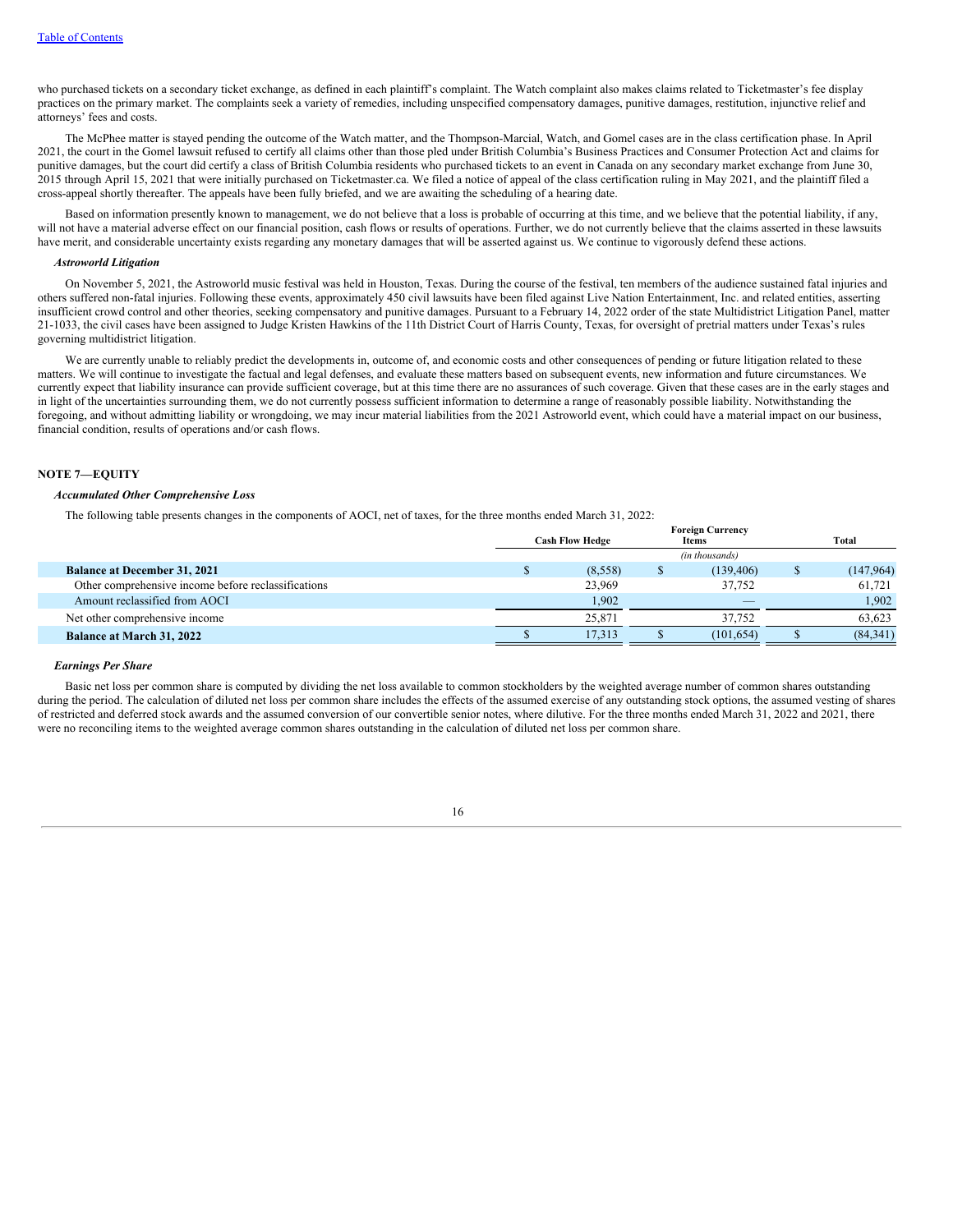who purchased tickets on a secondary ticket exchange, as defined in each plaintiff's complaint. The Watch complaint also makes claims related to Ticketmaster's fee display practices on the primary market. The complaints seek a variety of remedies, including unspecified compensatory damages, punitive damages, restitution, injunctive relief and attorneys' fees and costs.

The McPhee matter is stayed pending the outcome of the Watch matter, and the Thompson-Marcial, Watch, and Gomel cases are in the class certification phase. In April 2021, the court in the Gomel lawsuit refused to certify all claims other than those pled under British Columbia's Business Practices and Consumer Protection Act and claims for punitive damages, but the court did certify a class of British Columbia residents who purchased tickets to an event in Canada on any secondary market exchange from June 30, 2015 through April 15, 2021 that were initially purchased on Ticketmaster.ca. We filed a notice of appeal of the class certification ruling in May 2021, and the plaintiff filed a cross-appeal shortly thereafter. The appeals have been fully briefed, and we are awaiting the scheduling of a hearing date.

Based on information presently known to management, we do not believe that a loss is probable of occurring at this time, and we believe that the potential liability, if any, will not have a material adverse effect on our financial position, cash flows or results of operations. Further, we do not currently believe that the claims asserted in these lawsuits have merit, and considerable uncertainty exists regarding any monetary damages that will be asserted against us. We continue to vigorously defend these actions.

# *Astroworld Litigation*

On November 5, 2021, the Astroworld music festival was held in Houston, Texas. During the course of the festival, ten members of the audience sustained fatal injuries and others suffered non-fatal injuries. Following these events, approximately 450 civil lawsuits have been filed against Live Nation Entertainment, Inc. and related entities, asserting insufficient crowd control and other theories, seeking compensatory and punitive damages. Pursuant to a February 14, 2022 order of the state Multidistrict Litigation Panel, matter 21-1033, the civil cases have been assigned to Judge Kristen Hawkins of the 11th District Court of Harris County, Texas, for oversight of pretrial matters under Texas's rules governing multidistrict litigation.

We are currently unable to reliably predict the developments in, outcome of, and economic costs and other consequences of pending or future litigation related to these matters. We will continue to investigate the factual and legal defenses, and evaluate these matters based on subsequent events, new information and future circumstances. We currently expect that liability insurance can provide sufficient coverage, but at this time there are no assurances of such coverage. Given that these cases are in the early stages and in light of the uncertainties surrounding them, we do not currently possess sufficient information to determine a range of reasonably possible liability. Notwithstanding the foregoing, and without admitting liability or wrongdoing, we may incur material liabilities from the 2021 Astroworld event, which could have a material impact on our business, financial condition, results of operations and/or cash flows.

# **NOTE 7—EQUITY**

#### *Accumulated Other Comprehensive Loss*

The following table presents changes in the components of AOCI, net of taxes, for the three months ended March 31, 2022:

|                                                     | <b>Foreign Currency</b><br><b>Cash Flow Hedge</b><br>Items |         |  |            |  | Total      |  |  |
|-----------------------------------------------------|------------------------------------------------------------|---------|--|------------|--|------------|--|--|
|                                                     | (in thousands)                                             |         |  |            |  |            |  |  |
| <b>Balance at December 31, 2021</b>                 |                                                            | (8,558) |  | (139, 406) |  | (147, 964) |  |  |
| Other comprehensive income before reclassifications |                                                            | 23,969  |  | 37.752     |  | 61.721     |  |  |
| Amount reclassified from AOCI                       |                                                            | 1.902   |  | _          |  | 1,902      |  |  |
| Net other comprehensive income                      |                                                            | 25,871  |  | 37.752     |  | 63,623     |  |  |
| <b>Balance at March 31, 2022</b>                    |                                                            | 17.313  |  | (101.654)  |  | (84, 341)  |  |  |

# *Earnings Per Share*

Basic net loss per common share is computed by dividing the net loss available to common stockholders by the weighted average number of common shares outstanding during the period. The calculation of diluted net loss per common share includes the effects of the assumed exercise of any outstanding stock options, the assumed vesting of shares of restricted and deferred stock awards and the assumed conversion of our convertible senior notes, where dilutive. For the three months ended March 31, 2022 and 2021, there were no reconciling items to the weighted average common shares outstanding in the calculation of diluted net loss per common share.

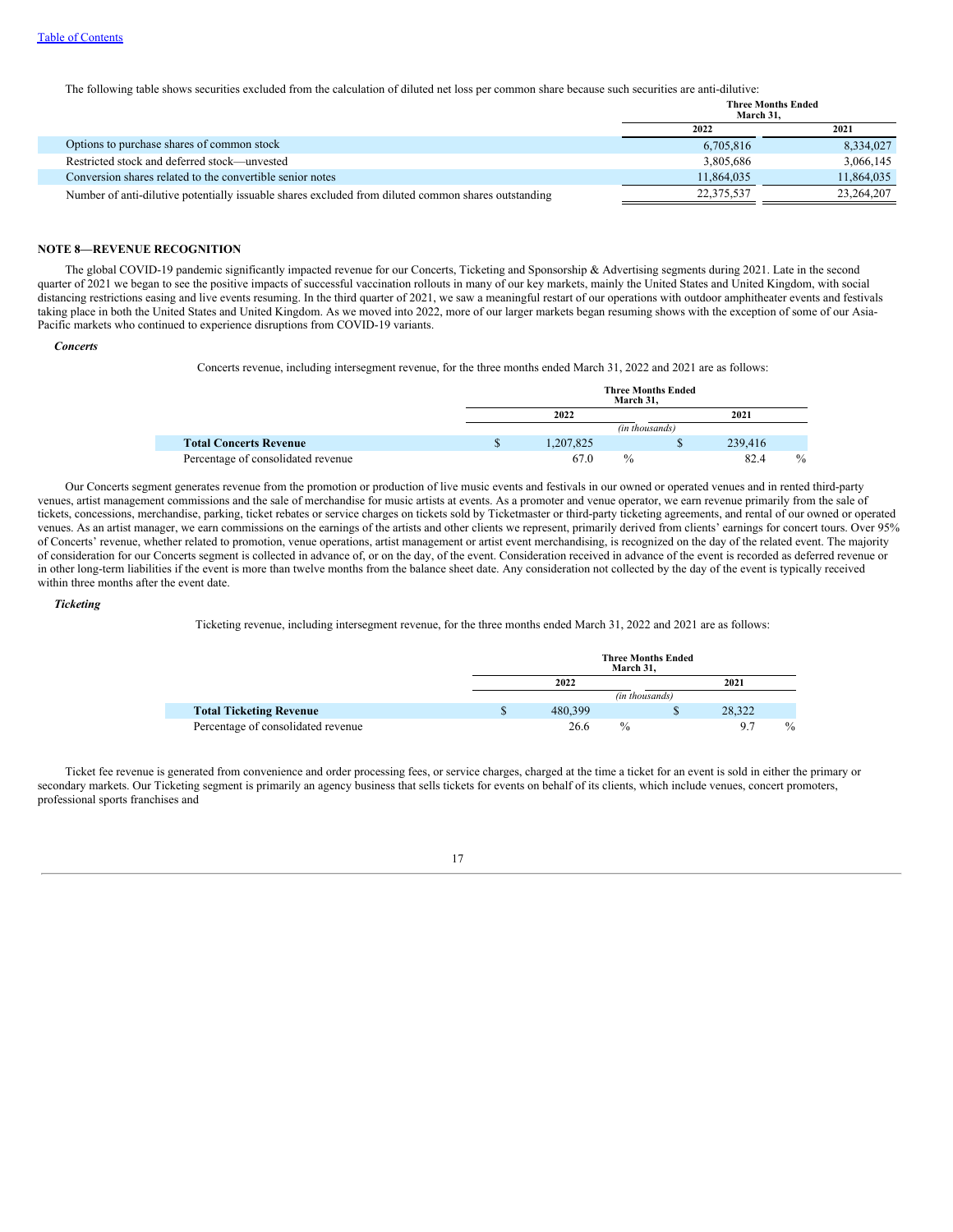The following table shows securities excluded from the calculation of diluted net loss per common share because such securities are anti-dilutive:

|                                                                                                     | <b>Three Months Ended</b><br>March 31. |            |  |  |
|-----------------------------------------------------------------------------------------------------|----------------------------------------|------------|--|--|
|                                                                                                     | 2022                                   |            |  |  |
| Options to purchase shares of common stock                                                          | 6,705,816                              | 8,334,027  |  |  |
| Restricted stock and deferred stock—unvested                                                        | 3.805.686                              | 3.066.145  |  |  |
| Conversion shares related to the convertible senior notes                                           | 11.864.035                             | 11.864.035 |  |  |
| Number of anti-dilutive potentially issuable shares excluded from diluted common shares outstanding | 22,375,537                             | 23.264.207 |  |  |

### **NOTE 8—REVENUE RECOGNITION**

The global COVID-19 pandemic significantly impacted revenue for our Concerts, Ticketing and Sponsorship & Advertising segments during 2021. Late in the second quarter of 2021 we began to see the positive impacts of successful vaccination rollouts in many of our key markets, mainly the United States and United Kingdom, with social distancing restrictions easing and live events resuming. In the third quarter of 2021, we saw a meaningful restart of our operations with outdoor amphitheater events and festivals taking place in both the United States and United Kingdom. As we moved into 2022, more of our larger markets began resuming shows with the exception of some of our Asia-Pacific markets who continued to experience disruptions from COVID-19 variants.

*Concerts*

Concerts revenue, including intersegment revenue, for the three months ended March 31, 2022 and 2021 are as follows:

|                                    | <b>Three Months Ended</b><br>March 31. |                |   |         |               |  |  |  |  |
|------------------------------------|----------------------------------------|----------------|---|---------|---------------|--|--|--|--|
|                                    | 2022                                   |                |   | 2021    |               |  |  |  |  |
|                                    |                                        | (in thousands) |   |         |               |  |  |  |  |
| <b>Total Concerts Revenue</b>      | 1.207.825                              |                | ъ | 239,416 |               |  |  |  |  |
| Percentage of consolidated revenue | 67.0                                   | $\frac{0}{0}$  |   | 82.4    | $\frac{0}{0}$ |  |  |  |  |

Our Concerts segment generates revenue from the promotion or production of live music events and festivals in our owned or operated venues and in rented third-party venues, artist management commissions and the sale of merchandise for music artists at events. As a promoter and venue operator, we earn revenue primarily from the sale of tickets, concessions, merchandise, parking, ticket rebates or service charges on tickets sold by Ticketmaster or third-party ticketing agreements, and rental of our owned or operated venues. As an artist manager, we earn commissions on the earnings of the artists and other clients we represent, primarily derived from clients' earnings for concert tours. Over 95% of Concerts' revenue, whether related to promotion, venue operations, artist management or artist event merchandising, is recognized on the day of the related event. The majority of consideration for our Concerts segment is collected in advance of, or on the day, of the event. Consideration received in advance of the event is recorded as deferred revenue or in other long-term liabilities if the event is more than twelve months from the balance sheet date. Any consideration not collected by the day of the event is typically received within three months after the event date.

#### *Ticketing*

Ticketing revenue, including intersegment revenue, for the three months ended March 31, 2022 and 2021 are as follows:

|                                    |         | March 31,      | <b>Three Months Ended</b> |        |               |
|------------------------------------|---------|----------------|---------------------------|--------|---------------|
|                                    | 2022    |                |                           | 2021   |               |
|                                    |         | (in thousands) |                           |        |               |
| <b>Total Ticketing Revenue</b>     | 480,399 |                |                           | 28.322 |               |
| Percentage of consolidated revenue | 26.6    | $\frac{0}{0}$  |                           | 9.7    | $\frac{0}{0}$ |

Ticket fee revenue is generated from convenience and order processing fees, or service charges, charged at the time a ticket for an event is sold in either the primary or secondary markets. Our Ticketing segment is primarily an agency business that sells tickets for events on behalf of its clients, which include venues, concert promoters, professional sports franchises and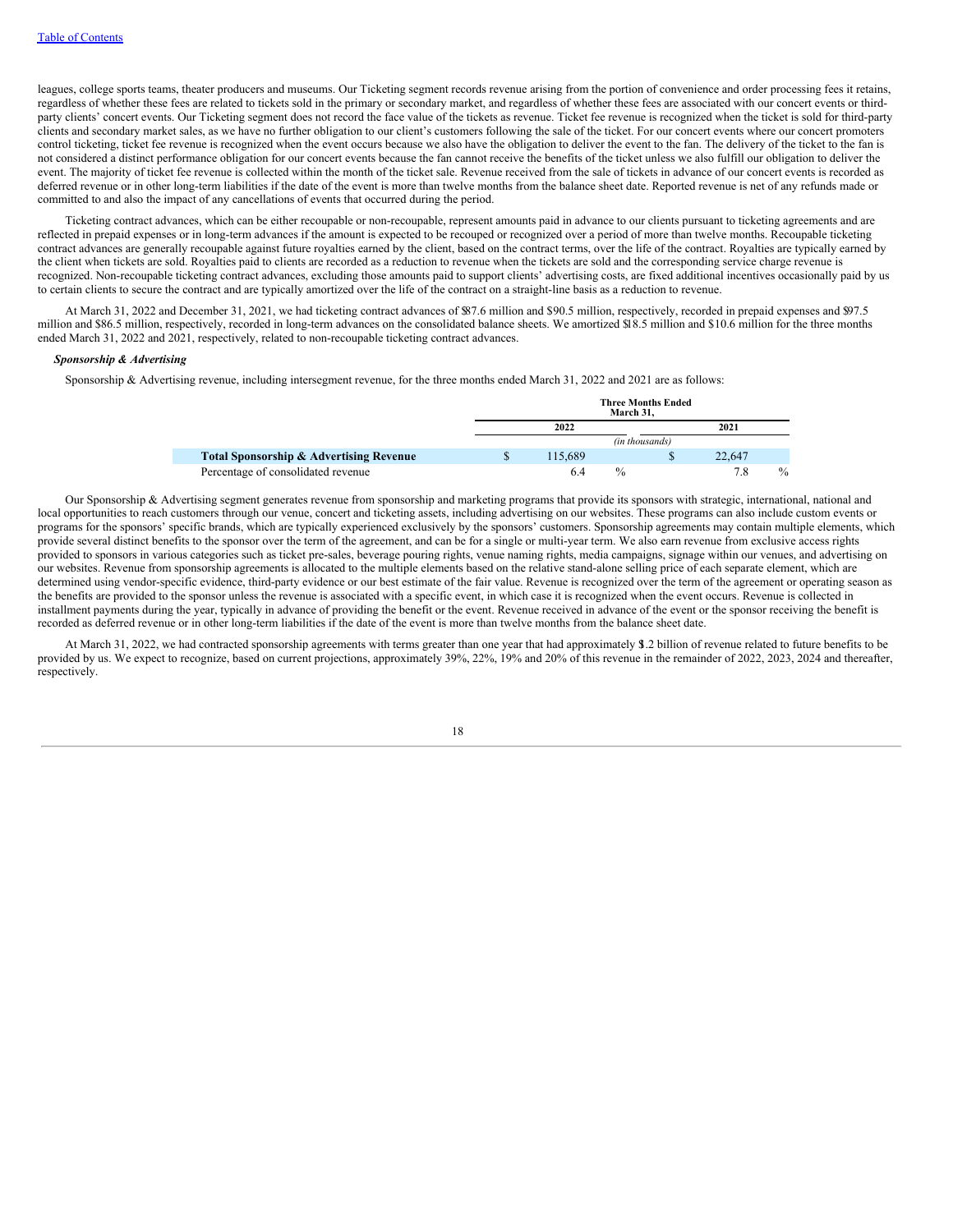leagues, college sports teams, theater producers and museums. Our Ticketing segment records revenue arising from the portion of convenience and order processing fees it retains, regardless of whether these fees are related to tickets sold in the primary or secondary market, and regardless of whether these fees are associated with our concert events or thirdparty clients' concert events. Our Ticketing segment does not record the face value of the tickets as revenue. Ticket fee revenue is recognized when the ticket is sold for third-party clients and secondary market sales, as we have no further obligation to our client's customers following the sale of the ticket. For our concert events where our concert promoters control ticketing, ticket fee revenue is recognized when the event occurs because we also have the obligation to deliver the event to the fan. The delivery of the ticket to the fan is not considered a distinct performance obligation for our concert events because the fan cannot receive the benefits of the ticket unless we also fulfill our obligation to deliver the event. The majority of ticket fee revenue is collected within the month of the ticket sale. Revenue received from the sale of tickets in advance of our concert events is recorded as deferred revenue or in other long-term liabilities if the date of the event is more than twelve months from the balance sheet date. Reported revenue is net of any refunds made or committed to and also the impact of any cancellations of events that occurred during the period.

Ticketing contract advances, which can be either recoupable or non-recoupable, represent amounts paid in advance to our clients pursuant to ticketing agreements and are reflected in prepaid expenses or in long-term advances if the amount is expected to be recouped or recognized over a period of more than twelve months. Recoupable ticketing contract advances are generally recoupable against future royalties earned by the client, based on the contract terms, over the life of the contract. Royalties are typically earned by the client when tickets are sold. Royalties paid to clients are recorded as a reduction to revenue when the tickets are sold and the corresponding service charge revenue is recognized. Non-recoupable ticketing contract advances, excluding those amounts paid to support clients' advertising costs, are fixed additional incentives occasionally paid by us to certain clients to secure the contract and are typically amortized over the life of the contract on a straight-line basis as a reduction to revenue.

At March 31, 2022 and December 31, 2021, we had ticketing contract advances of \$87.6 million and \$90.5 million, respectively, recorded in prepaid expenses and \$97.5 million and \$86.5 million, respectively, recorded in long-term advances on the consolidated balance sheets. We amortized \$18.5 million and \$10.6 million for the three months ended March 31, 2022 and 2021, respectively, related to non-recoupable ticketing contract advances.

#### *Sponsorship & Advertising*

Sponsorship & Advertising revenue, including intersegment revenue, for the three months ended March 31, 2022 and 2021 are as follows:

|                                                    | <b>Three Months Ended</b><br>March 31. |         |                |  |        |      |  |  |
|----------------------------------------------------|----------------------------------------|---------|----------------|--|--------|------|--|--|
|                                                    | 2022<br>2021                           |         |                |  |        |      |  |  |
|                                                    |                                        |         | (in thousands) |  |        |      |  |  |
| <b>Total Sponsorship &amp; Advertising Revenue</b> |                                        | 115,689 |                |  | 22,647 |      |  |  |
| Percentage of consolidated revenue                 |                                        | 6.4     | $\frac{0}{0}$  |  | 7.8    | $\%$ |  |  |

Our Sponsorship & Advertising segment generates revenue from sponsorship and marketing programs that provide its sponsors with strategic, international, national and local opportunities to reach customers through our venue, concert and ticketing assets, including advertising on our websites. These programs can also include custom events or programs for the sponsors' specific brands, which are typically experienced exclusively by the sponsors' customers. Sponsorship agreements may contain multiple elements, which provide several distinct benefits to the sponsor over the term of the agreement, and can be for a single or multi-year term. We also earn revenue from exclusive access rights provided to sponsors in various categories such as ticket pre-sales, beverage pouring rights, venue naming rights, media campaigns, signage within our venues, and advertising on our websites. Revenue from sponsorship agreements is allocated to the multiple elements based on the relative stand-alone selling price of each separate element, which are determined using vendor-specific evidence, third-party evidence or our best estimate of the fair value. Revenue is recognized over the term of the agreement or operating season as the benefits are provided to the sponsor unless the revenue is associated with a specific event, in which case it is recognized when the event occurs. Revenue is collected in installment payments during the year, typically in advance of providing the benefit or the event. Revenue received in advance of the event or the sponsor receiving the benefit is recorded as deferred revenue or in other long-term liabilities if the date of the event is more than twelve months from the balance sheet date.

At March 31, 2022, we had contracted sponsorship agreements with terms greater than one year that had approximately \$1.2 billion of revenue related to future benefits to be provided by us. We expect to recognize, based on current projections, approximately 39%, 22%, 19% and 20% of this revenue in the remainder of 2022, 2023, 2024 and thereafter, respectively.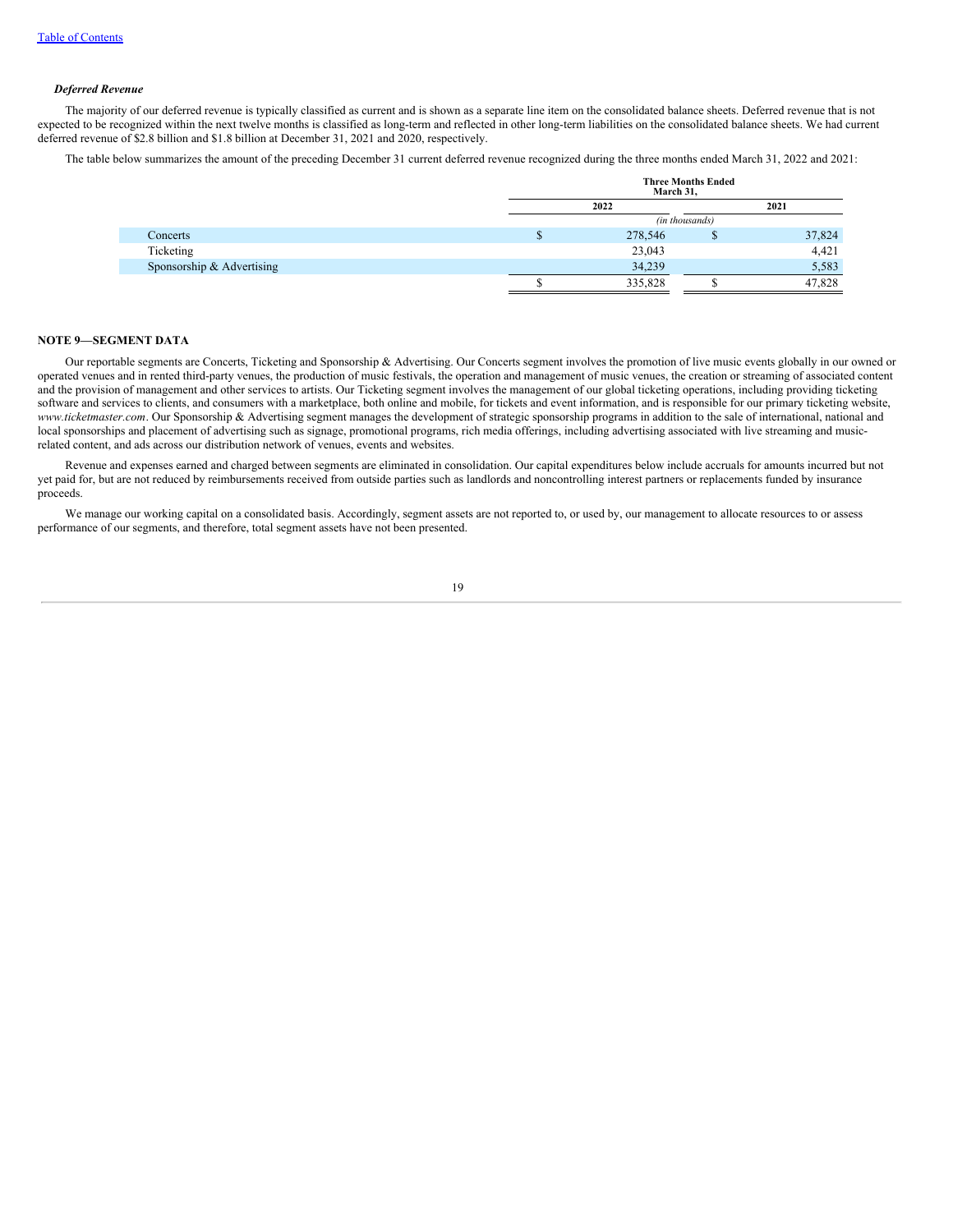#### *Deferred Revenue*

The majority of our deferred revenue is typically classified as current and is shown as a separate line item on the consolidated balance sheets. Deferred revenue that is not expected to be recognized within the next twelve months is classified as long-term and reflected in other long-term liabilities on the consolidated balance sheets. We had current deferred revenue of \$2.8 billion and \$1.8 billion at December 31, 2021 and 2020, respectively.

The table below summarizes the amount of the preceding December 31 current deferred revenue recognized during the three months ended March 31, 2022 and 2021:

|                           | <b>Three Months Ended</b><br>March 31, |                |   |        |  |  |  |  |
|---------------------------|----------------------------------------|----------------|---|--------|--|--|--|--|
|                           |                                        | 2022           |   | 2021   |  |  |  |  |
|                           |                                        | (in thousands) |   |        |  |  |  |  |
| Concerts                  |                                        | 278,546        | Φ | 37,824 |  |  |  |  |
| Ticketing                 |                                        | 23,043         |   | 4,421  |  |  |  |  |
| Sponsorship & Advertising |                                        | 34.239         |   | 5,583  |  |  |  |  |
|                           |                                        | 335,828        |   | 47.828 |  |  |  |  |

# **NOTE 9—SEGMENT DATA**

Our reportable segments are Concerts, Ticketing and Sponsorship & Advertising. Our Concerts segment involves the promotion of live music events globally in our owned or operated venues and in rented third-party venues, the production of music festivals, the operation and management of music venues, the creation or streaming of associated content and the provision of management and other services to artists. Our Ticketing segment involves the management of our global ticketing operations, including providing ticketing software and services to clients, and consumers with a marketplace, both online and mobile, for tickets and event information, and is responsible for our primary ticketing website, *www.ticketmaster.com*. Our Sponsorship & Advertising segment manages the development of strategic sponsorship programs in addition to the sale of international, national and local sponsorships and placement of advertising such as signage, promotional programs, rich media offerings, including advertising associated with live streaming and musicrelated content, and ads across our distribution network of venues, events and websites.

Revenue and expenses earned and charged between segments are eliminated in consolidation. Our capital expenditures below include accruals for amounts incurred but not yet paid for, but are not reduced by reimbursements received from outside parties such as landlords and noncontrolling interest partners or replacements funded by insurance proceeds.

We manage our working capital on a consolidated basis. Accordingly, segment assets are not reported to, or used by, our management to allocate resources to or assess performance of our segments, and therefore, total segment assets have not been presented.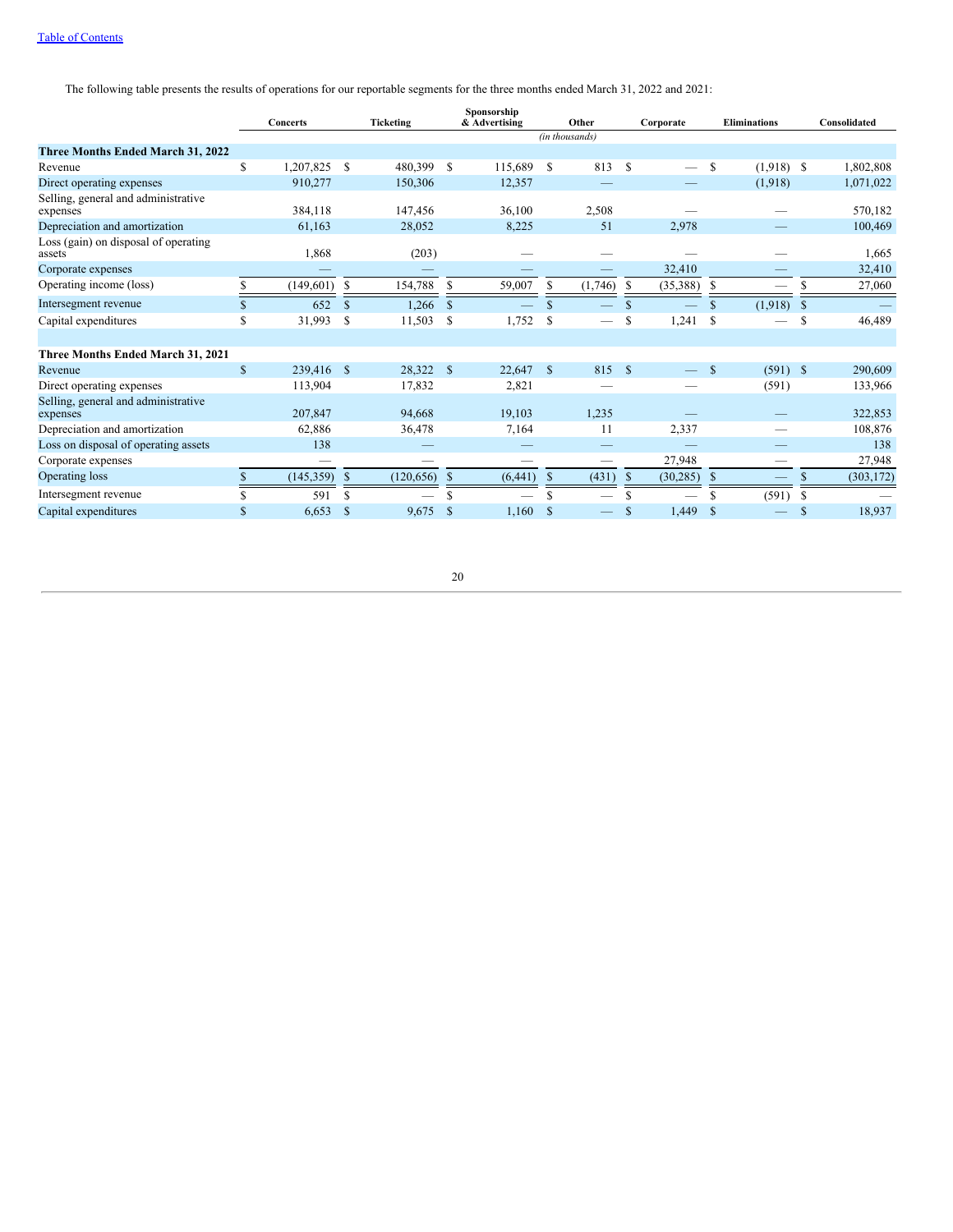The following table presents the results of operations for our reportable segments for the three months ended March 31, 2022 and 2021:

<span id="page-20-0"></span>

|                                                 | <b>Concerts</b> |                          |               | Ticketing  |               | Sponsorship<br>& Advertising |                | Other   |               | Corporate |               | <b>Eliminations</b> |               | Consolidated |
|-------------------------------------------------|-----------------|--------------------------|---------------|------------|---------------|------------------------------|----------------|---------|---------------|-----------|---------------|---------------------|---------------|--------------|
|                                                 |                 |                          |               |            |               |                              | (in thousands) |         |               |           |               |                     |               |              |
| Three Months Ended March 31, 2022               |                 |                          |               |            |               |                              |                |         |               |           |               |                     |               |              |
| Revenue                                         | S               | 1,207,825                | -S            | 480,399    | -S            | 115,689                      | S              | 813     | S             |           | S             | $(1,918)$ \$        |               | 1,802,808    |
| Direct operating expenses                       |                 | 910,277                  |               | 150,306    |               | 12,357                       |                |         |               |           |               | (1,918)             |               | 1,071,022    |
| Selling, general and administrative<br>expenses |                 | 384,118                  |               | 147,456    |               | 36,100                       |                | 2,508   |               |           |               |                     |               | 570,182      |
| Depreciation and amortization                   |                 | 61,163                   |               | 28,052     |               | 8,225                        |                | 51      |               | 2,978     |               |                     |               | 100,469      |
| Loss (gain) on disposal of operating<br>assets  |                 | 1.868                    |               | (203)      |               |                              |                |         |               |           |               |                     |               | 1,665        |
| Corporate expenses                              |                 |                          |               |            |               |                              |                |         |               | 32,410    |               |                     |               | 32,410       |
| Operating income (loss)                         |                 | (149,601)                | -S            | 154,788    | S             | 59,007                       | S.             | (1,746) | -S            | (35,388)  | -S            |                     | S             | 27,060       |
| Intersegment revenue                            | $\mathbf{s}$    | 652                      | <sup>\$</sup> | 1,266      | <sup>\$</sup> |                              | $\mathbf{s}$   |         |               |           | \$.           | (1,918)             | $\mathcal{S}$ |              |
| Capital expenditures                            | \$              | 31,993                   | <sup>\$</sup> | 11,503     | \$            | 1,752                        | S              |         | S             | 1,241     | <sup>\$</sup> |                     | \$            | 46,489       |
|                                                 |                 |                          |               |            |               |                              |                |         |               |           |               |                     |               |              |
| Three Months Ended March 31, 2021               |                 |                          |               |            |               |                              |                |         |               |           |               |                     |               |              |
| Revenue                                         | \$              | 239,416 \$               |               | 28,322 \$  |               | 22,647                       | S              | 815     | $\mathcal{S}$ |           | S             | $(591)$ \$          |               | 290,609      |
| Direct operating expenses                       |                 | 113,904                  |               | 17,832     |               | 2,821                        |                |         |               |           |               | (591)               |               | 133,966      |
| Selling, general and administrative<br>expenses |                 | 207,847                  |               | 94,668     |               | 19,103                       |                | 1,235   |               |           |               |                     |               | 322,853      |
| Depreciation and amortization                   |                 | 62.886                   |               | 36,478     |               | 7,164                        |                | 11      |               | 2,337     |               |                     |               | 108,876      |
| Loss on disposal of operating assets            |                 | 138                      |               |            |               |                              |                |         |               |           |               |                     |               | 138          |
| Corporate expenses                              |                 | $\overline{\phantom{a}}$ |               |            |               |                              |                |         |               | 27,948    |               |                     |               | 27,948       |
| Operating loss                                  |                 | (145, 359)               | <sup>\$</sup> | (120, 656) | <sup>\$</sup> | (6, 441)                     | \$             | (431)   | <sup>\$</sup> | (30, 285) | -S            |                     |               | (303, 172)   |
| Intersegment revenue                            |                 | 591                      | \$            |            |               |                              |                |         |               |           | \$            | (591)               | S             |              |
| Capital expenditures                            | \$              | 6.653                    | <sup>\$</sup> | 9.675      | <sup>\$</sup> | 1.160                        | <sup>\$</sup>  |         | <b>S</b>      | 1.449     | <sup>\$</sup> |                     | $\mathbb{S}$  | 18.937       |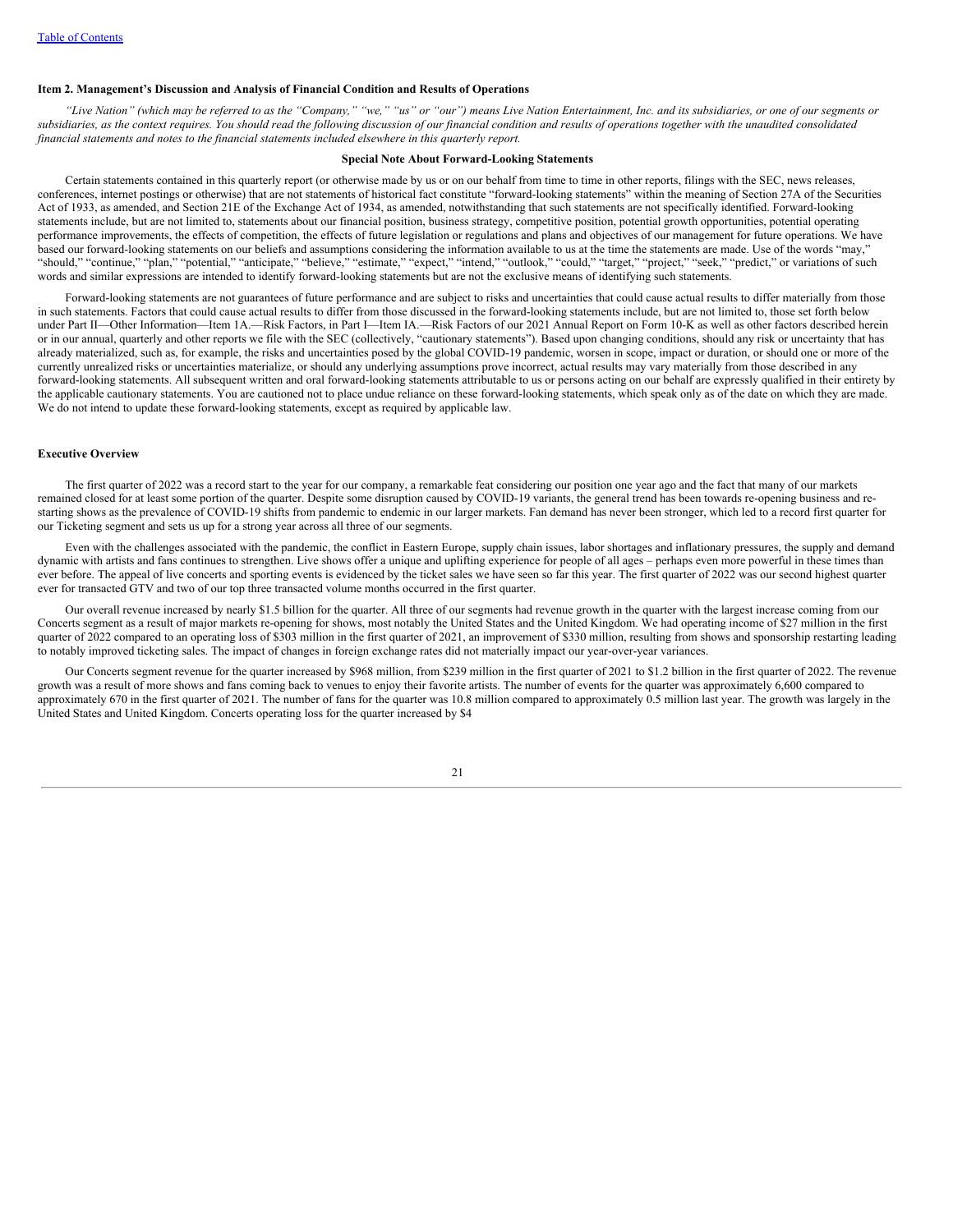#### **Item 2. Management's Discussion and Analysis of Financial Condition and Results of Operations**

"Live Nation" (which may be referred to as the "Company," "we," "us" or "our") means Live Nation Entertainment, Inc. and its subsidiaries, or one of our segments or subsidiaries, as the context requires. You should read the following discussion of our financial condition and results of operations together with the unaudited consolidated *financial statements and notes to the financial statements included elsewhere in this quarterly report.*

#### **Special Note About Forward-Looking Statements**

Certain statements contained in this quarterly report (or otherwise made by us or on our behalf from time to time in other reports, filings with the SEC, news releases, conferences, internet postings or otherwise) that are not statements of historical fact constitute "forward-looking statements" within the meaning of Section 27A of the Securities Act of 1933, as amended, and Section 21E of the Exchange Act of 1934, as amended, notwithstanding that such statements are not specifically identified. Forward-looking statements include, but are not limited to, statements about our financial position, business strategy, competitive position, potential growth opportunities, potential operating performance improvements, the effects of competition, the effects of future legislation or regulations and plans and objectives of our management for future operations. We have based our forward-looking statements on our beliefs and assumptions considering the information available to us at the time the statements are made. Use of the words "may," "should," "continue," "plan," "potential," "anticipate," "believe," "estimate," "expect," "intend," "outlook," "could," "target," "project," "seek," "predict," or variations of such words and similar expressions are intended to identify forward-looking statements but are not the exclusive means of identifying such statements.

Forward-looking statements are not guarantees of future performance and are subject to risks and uncertainties that could cause actual results to differ materially from those in such statements. Factors that could cause actual results to differ from those discussed in the forward-looking statements include, but are not limited to, those set forth below under Part II—Other Information—Item 1A.—Risk Factors, in Part I—Item IA.—Risk Factors of our 2021 Annual Report on Form 10-K as well as other factors described herein or in our annual, quarterly and other reports we file with the SEC (collectively, "cautionary statements"). Based upon changing conditions, should any risk or uncertainty that has already materialized, such as, for example, the risks and uncertainties posed by the global COVID-19 pandemic, worsen in scope, impact or duration, or should one or more of the currently unrealized risks or uncertainties materialize, or should any underlying assumptions prove incorrect, actual results may vary materially from those described in any forward-looking statements. All subsequent written and oral forward-looking statements attributable to us or persons acting on our behalf are expressly qualified in their entirety by the applicable cautionary statements. You are cautioned not to place undue reliance on these forward-looking statements, which speak only as of the date on which they are made. We do not intend to update these forward-looking statements, except as required by applicable law.

### **Executive Overview**

The first quarter of 2022 was a record start to the year for our company, a remarkable feat considering our position one year ago and the fact that many of our markets remained closed for at least some portion of the quarter. Despite some disruption caused by COVID-19 variants, the general trend has been towards re-opening business and restarting shows as the prevalence of COVID-19 shifts from pandemic to endemic in our larger markets. Fan demand has never been stronger, which led to a record first quarter for our Ticketing segment and sets us up for a strong year across all three of our segments.

Even with the challenges associated with the pandemic, the conflict in Eastern Europe, supply chain issues, labor shortages and inflationary pressures, the supply and demand dynamic with artists and fans continues to strengthen. Live shows offer a unique and uplifting experience for people of all ages – perhaps even more powerful in these times than ever before. The appeal of live concerts and sporting events is evidenced by the ticket sales we have seen so far this year. The first quarter of 2022 was our second highest quarter ever for transacted GTV and two of our top three transacted volume months occurred in the first quarter.

Our overall revenue increased by nearly \$1.5 billion for the quarter. All three of our segments had revenue growth in the quarter with the largest increase coming from our Concerts segment as a result of major markets re-opening for shows, most notably the United States and the United Kingdom. We had operating income of \$27 million in the first quarter of 2022 compared to an operating loss of \$303 million in the first quarter of 2021, an improvement of \$330 million, resulting from shows and sponsorship restarting leading to notably improved ticketing sales. The impact of changes in foreign exchange rates did not materially impact our year-over-year variances.

Our Concerts segment revenue for the quarter increased by \$968 million, from \$239 million in the first quarter of 2021 to \$1.2 billion in the first quarter of 2022. The revenue growth was a result of more shows and fans coming back to venues to enjoy their favorite artists. The number of events for the quarter was approximately 6,600 compared to approximately 670 in the first quarter of 2021. The number of fans for the quarter was 10.8 million compared to approximately 0.5 million last year. The growth was largely in the United States and United Kingdom. Concerts operating loss for the quarter increased by \$4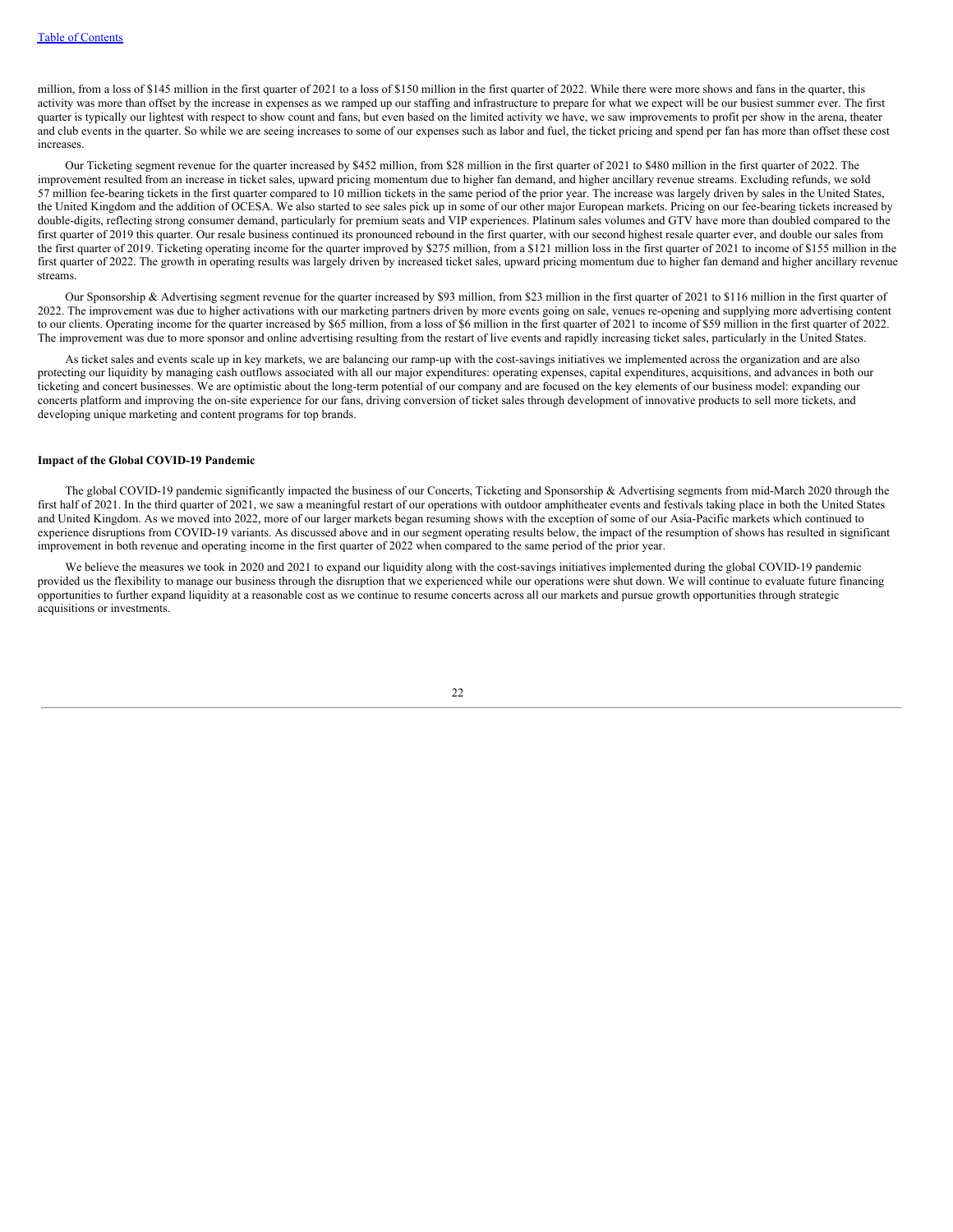million, from a loss of \$145 million in the first quarter of 2021 to a loss of \$150 million in the first quarter of 2022. While there were more shows and fans in the quarter, this activity was more than offset by the increase in expenses as we ramped up our staffing and infrastructure to prepare for what we expect will be our busiest summer ever. The first quarter is typically our lightest with respect to show count and fans, but even based on the limited activity we have, we saw improvements to profit per show in the arena, theater and club events in the quarter. So while we are seeing increases to some of our expenses such as labor and fuel, the ticket pricing and spend per fan has more than offset these cost increases.

Our Ticketing segment revenue for the quarter increased by \$452 million, from \$28 million in the first quarter of 2021 to \$480 million in the first quarter of 2022. The improvement resulted from an increase in ticket sales, upward pricing momentum due to higher fan demand, and higher ancillary revenue streams. Excluding refunds, we sold 57 million fee-bearing tickets in the first quarter compared to 10 million tickets in the same period of the prior year. The increase was largely driven by sales in the United States, the United Kingdom and the addition of OCESA. We also started to see sales pick up in some of our other major European markets. Pricing on our fee-bearing tickets increased by double-digits, reflecting strong consumer demand, particularly for premium seats and VIP experiences. Platinum sales volumes and GTV have more than doubled compared to the first quarter of 2019 this quarter. Our resale business continued its pronounced rebound in the first quarter, with our second highest resale quarter ever, and double our sales from the first quarter of 2019. Ticketing operating income for the quarter improved by \$275 million, from a \$121 million loss in the first quarter of 2021 to income of \$155 million in the first quarter of 2022. The growth in operating results was largely driven by increased ticket sales, upward pricing momentum due to higher fan demand and higher ancillary revenue streams.

Our Sponsorship & Advertising segment revenue for the quarter increased by \$93 million, from \$23 million in the first quarter of 2021 to \$116 million in the first quarter of 2022. The improvement was due to higher activations with our marketing partners driven by more events going on sale, venues re-opening and supplying more advertising content to our clients. Operating income for the quarter increased by \$65 million, from a loss of \$6 million in the first quarter of 2021 to income of \$59 million in the first quarter of 2022. The improvement was due to more sponsor and online advertising resulting from the restart of live events and rapidly increasing ticket sales, particularly in the United States.

As ticket sales and events scale up in key markets, we are balancing our ramp-up with the cost-savings initiatives we implemented across the organization and are also protecting our liquidity by managing cash outflows associated with all our major expenditures: operating expenses, capital expenditures, acquisitions, and advances in both our ticketing and concert businesses. We are optimistic about the long-term potential of our company and are focused on the key elements of our business model: expanding our concerts platform and improving the on-site experience for our fans, driving conversion of ticket sales through development of innovative products to sell more tickets, and developing unique marketing and content programs for top brands.

# **Impact of the Global COVID-19 Pandemic**

The global COVID-19 pandemic significantly impacted the business of our Concerts, Ticketing and Sponsorship & Advertising segments from mid-March 2020 through the first half of 2021. In the third quarter of 2021, we saw a meaningful restart of our operations with outdoor amphitheater events and festivals taking place in both the United States and United Kingdom. As we moved into 2022, more of our larger markets began resuming shows with the exception of some of our Asia-Pacific markets which continued to experience disruptions from COVID-19 variants. As discussed above and in our segment operating results below, the impact of the resumption of shows has resulted in significant improvement in both revenue and operating income in the first quarter of 2022 when compared to the same period of the prior year.

We believe the measures we took in 2020 and 2021 to expand our liquidity along with the cost-savings initiatives implemented during the global COVID-19 pandemic provided us the flexibility to manage our business through the disruption that we experienced while our operations were shut down. We will continue to evaluate future financing opportunities to further expand liquidity at a reasonable cost as we continue to resume concerts across all our markets and pursue growth opportunities through strategic acquisitions or investments.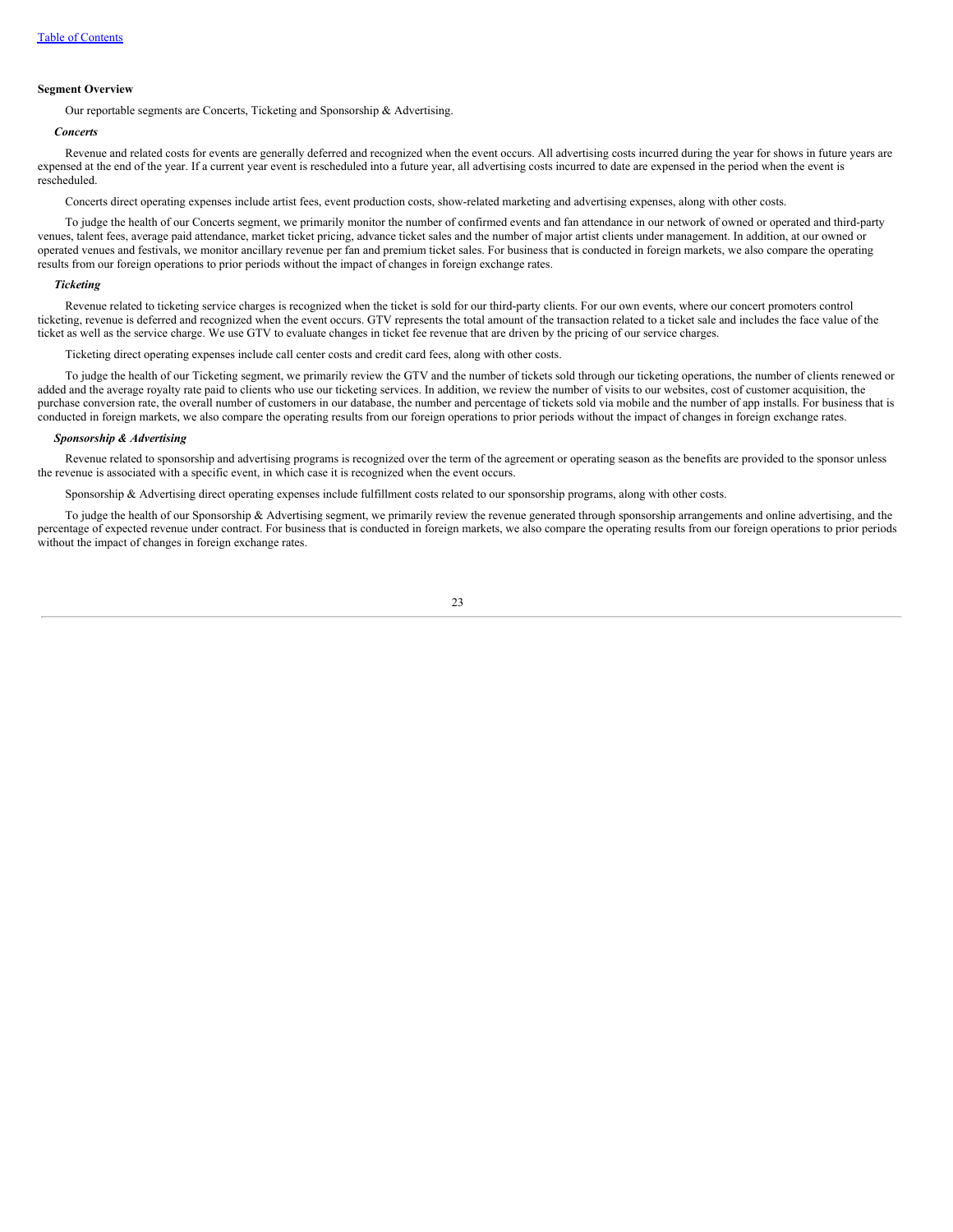#### **Segment Overview**

Our reportable segments are Concerts, Ticketing and Sponsorship & Advertising.

#### *Concerts*

Revenue and related costs for events are generally deferred and recognized when the event occurs. All advertising costs incurred during the year for shows in future years are expensed at the end of the year. If a current year event is rescheduled into a future year, all advertising costs incurred to date are expensed in the period when the event is rescheduled.

Concerts direct operating expenses include artist fees, event production costs, show-related marketing and advertising expenses, along with other costs.

To judge the health of our Concerts segment, we primarily monitor the number of confirmed events and fan attendance in our network of owned or operated and third-party venues, talent fees, average paid attendance, market ticket pricing, advance ticket sales and the number of major artist clients under management. In addition, at our owned or operated venues and festivals, we monitor ancillary revenue per fan and premium ticket sales. For business that is conducted in foreign markets, we also compare the operating results from our foreign operations to prior periods without the impact of changes in foreign exchange rates.

#### *Ticketing*

Revenue related to ticketing service charges is recognized when the ticket is sold for our third-party clients. For our own events, where our concert promoters control ticketing, revenue is deferred and recognized when the event occurs. GTV represents the total amount of the transaction related to a ticket sale and includes the face value of the ticket as well as the service charge. We use GTV to evaluate changes in ticket fee revenue that are driven by the pricing of our service charges.

Ticketing direct operating expenses include call center costs and credit card fees, along with other costs.

To judge the health of our Ticketing segment, we primarily review the GTV and the number of tickets sold through our ticketing operations, the number of clients renewed or added and the average royalty rate paid to clients who use our ticketing services. In addition, we review the number of visits to our websites, cost of customer acquisition, the purchase conversion rate, the overall number of customers in our database, the number and percentage of tickets sold via mobile and the number of app installs. For business that is conducted in foreign markets, we also compare the operating results from our foreign operations to prior periods without the impact of changes in foreign exchange rates.

#### *Sponsorship & Advertising*

Revenue related to sponsorship and advertising programs is recognized over the term of the agreement or operating season as the benefits are provided to the sponsor unless the revenue is associated with a specific event, in which case it is recognized when the event occurs.

Sponsorship & Advertising direct operating expenses include fulfillment costs related to our sponsorship programs, along with other costs.

To judge the health of our Sponsorship & Advertising segment, we primarily review the revenue generated through sponsorship arrangements and online advertising, and the percentage of expected revenue under contract. For business that is conducted in foreign markets, we also compare the operating results from our foreign operations to prior periods without the impact of changes in foreign exchange rates.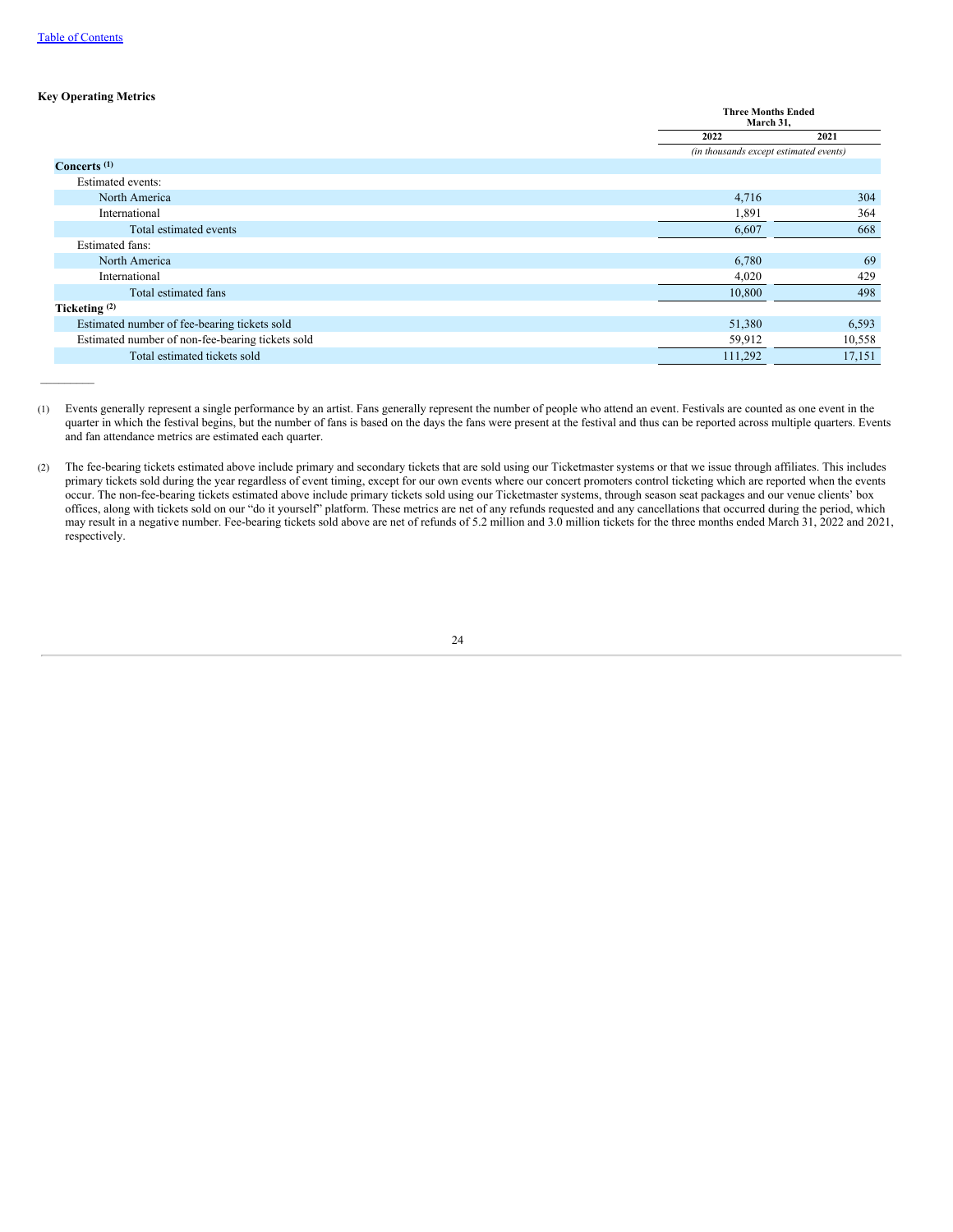$\mathcal{L}=\mathcal{L}$ 

# **Key Operating Metrics**

|                                                  | <b>Three Months Ended</b><br>March 31, |        |
|--------------------------------------------------|----------------------------------------|--------|
|                                                  | 2022                                   | 2021   |
|                                                  | (in thousands except estimated events) |        |
| Concerts <sup>(1)</sup>                          |                                        |        |
| Estimated events:                                |                                        |        |
| North America                                    | 4,716                                  | 304    |
| International                                    | 1,891                                  | 364    |
| Total estimated events                           | 6,607                                  | 668    |
| <b>Estimated fans:</b>                           |                                        |        |
| North America                                    | 6,780                                  | 69     |
| International                                    | 4,020                                  | 429    |
| Total estimated fans                             | 10,800                                 | 498    |
| Ticketing $(2)$                                  |                                        |        |
| Estimated number of fee-bearing tickets sold     | 51,380                                 | 6,593  |
| Estimated number of non-fee-bearing tickets sold | 59,912                                 | 10,558 |
| Total estimated tickets sold                     | 111,292                                | 17,151 |
|                                                  |                                        |        |

(1) Events generally represent a single performance by an artist. Fans generally represent the number of people who attend an event. Festivals are counted as one event in the quarter in which the festival begins, but the number of fans is based on the days the fans were present at the festival and thus can be reported across multiple quarters. Events and fan attendance metrics are estimated each quarter.

| I |  |
|---|--|
|   |  |

<sup>(2)</sup> The fee-bearing tickets estimated above include primary and secondary tickets that are sold using our Ticketmaster systems or that we issue through affiliates. This includes primary tickets sold during the year regardless of event timing, except for our own events where our concert promoters control ticketing which are reported when the events occur. The non-fee-bearing tickets estimated above include primary tickets sold using our Ticketmaster systems, through season seat packages and our venue clients' box offices, along with tickets sold on our "do it yourself" platform. These metrics are net of any refunds requested and any cancellations that occurred during the period, which may result in a negative number. Fee-bearing tickets sold above are net of refunds of 5.2 million and 3.0 million tickets for the three months ended March 31, 2022 and 2021, respectively.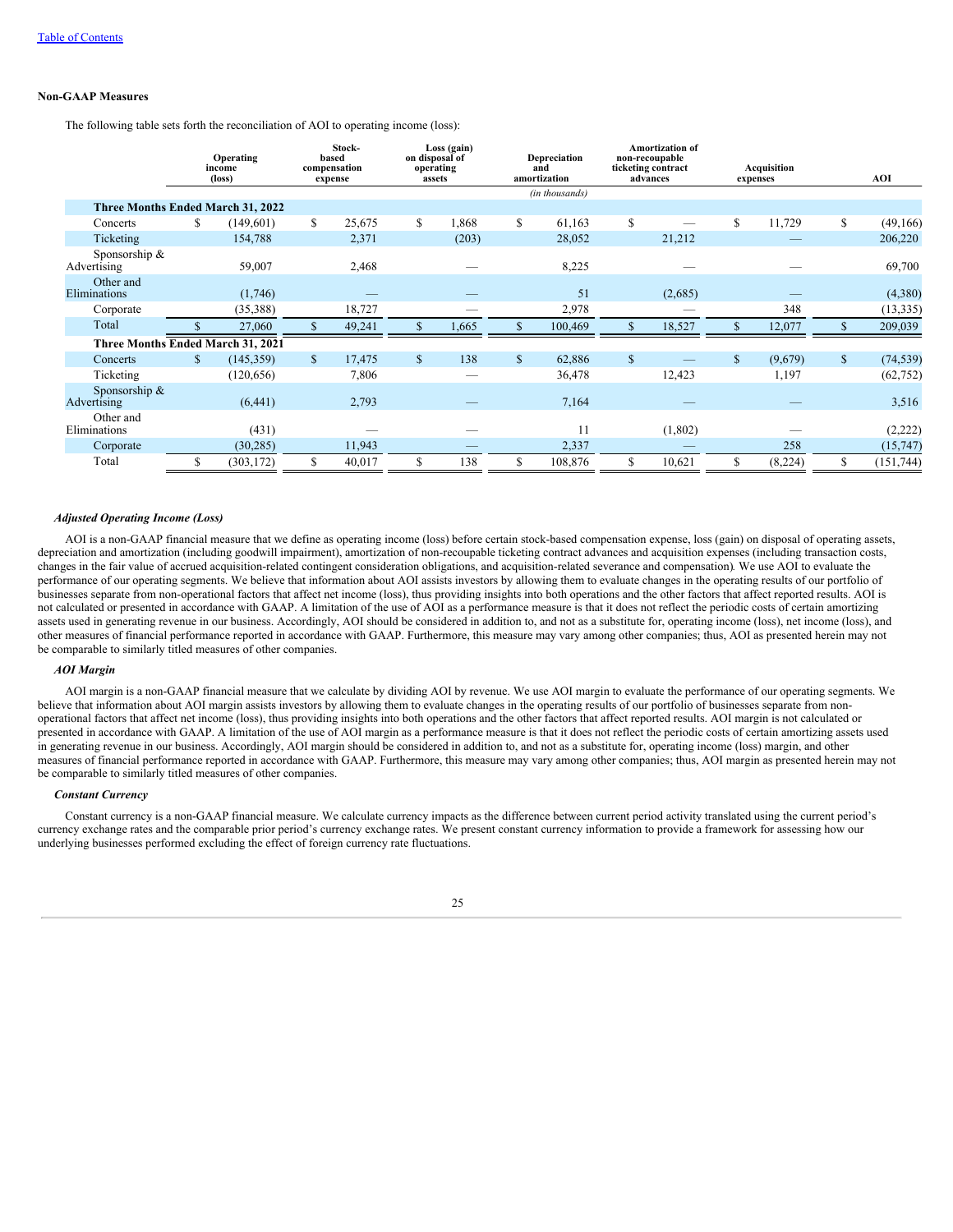#### **Non-GAAP Measures**

The following table sets forth the reconciliation of AOI to operating income (loss):

|                                   |     | Operating<br>income<br>$(\text{loss})$ |              | Stock-<br>based<br>compensation<br>expense | Loss (gain)<br>on disposal of<br>operating<br>assets |                          |               | Depreciation<br>and<br>amortization | <b>Amortization of</b><br>non-recoupable<br>ticketing contract<br>advances |         | Acquisition<br>expenses |         |              | AOI        |
|-----------------------------------|-----|----------------------------------------|--------------|--------------------------------------------|------------------------------------------------------|--------------------------|---------------|-------------------------------------|----------------------------------------------------------------------------|---------|-------------------------|---------|--------------|------------|
|                                   |     |                                        |              |                                            |                                                      |                          |               | (in thousands)                      |                                                                            |         |                         |         |              |            |
| Three Months Ended March 31, 2022 |     |                                        |              |                                            |                                                      |                          |               |                                     |                                                                            |         |                         |         |              |            |
| Concerts                          | S.  | (149,601)                              | S            | 25,675                                     | \$                                                   | .868                     | S             | 61,163                              | S                                                                          |         | S                       | 11,729  | \$           | (49,166)   |
| Ticketing                         |     | 154,788                                |              | 2,371                                      |                                                      | (203)                    |               | 28,052                              |                                                                            | 21,212  |                         |         |              | 206,220    |
| Sponsorship &<br>Advertising      |     | 59,007                                 |              | 2,468                                      |                                                      |                          |               | 8,225                               |                                                                            |         |                         |         |              | 69,700     |
| Other and<br>Eliminations         |     | (1,746)                                |              |                                            |                                                      |                          |               | 51                                  |                                                                            | (2,685) |                         |         |              | (4,380)    |
| Corporate                         |     | (35,388)                               |              | 18,727                                     |                                                      |                          |               | 2,978                               |                                                                            |         |                         | 348     |              | (13, 335)  |
| Total                             |     | 27,060                                 | \$           | 49,241                                     | \$.                                                  | 1,665                    | S             | 100,469                             | $\mathbf{s}$                                                               | 18,527  | \$                      | 12,077  | \$.          | 209,039    |
| Three Months Ended March 31, 2021 |     |                                        |              |                                            |                                                      |                          |               |                                     |                                                                            |         |                         |         |              |            |
| Concerts                          | \$. | (145, 359)                             | $\mathbb{S}$ | 17,475                                     | $\mathbb{S}$                                         | 138                      | <sup>\$</sup> | 62,886                              | $\mathbf S$                                                                |         | \$                      | (9,679) | $\mathbb{S}$ | (74, 539)  |
| Ticketing                         |     | (120, 656)                             |              | 7,806                                      |                                                      | $\overline{\phantom{a}}$ |               | 36,478                              |                                                                            | 12,423  |                         | 1,197   |              | (62, 752)  |
| Sponsorship $\&$<br>Advertising   |     | (6,441)                                |              | 2,793                                      |                                                      |                          |               | 7,164                               |                                                                            |         |                         |         |              | 3,516      |
| Other and<br>Eliminations         |     | (431)                                  |              |                                            |                                                      |                          |               | 11                                  |                                                                            | (1,802) |                         |         |              | (2,222)    |
| Corporate                         |     | (30, 285)                              |              | 11,943                                     |                                                      |                          |               | 2,337                               |                                                                            |         |                         | 258     |              | (15, 747)  |
| Total                             | \$  | (303, 172)                             | S            | 40,017                                     | S                                                    | 138                      | S             | 108,876                             | \$                                                                         | 10,621  | \$                      | (8,224) | \$           | (151, 744) |

#### *Adjusted Operating Income (Loss)*

AOI is a non-GAAP financial measure that we define as operating income (loss) before certain stock-based compensation expense, loss (gain) on disposal of operating assets, depreciation and amortization (including goodwill impairment), amortization of non-recoupable ticketing contract advances and acquisition expenses (including transaction costs, changes in the fair value of accrued acquisition-related contingent consideration obligations, and acquisition-related severance and compensation)*.* We use AOI to evaluate the performance of our operating segments. We believe that information about AOI assists investors by allowing them to evaluate changes in the operating results of our portfolio of businesses separate from non-operational factors that affect net income (loss), thus providing insights into both operations and the other factors that affect reported results. AOI is not calculated or presented in accordance with GAAP. A limitation of the use of AOI as a performance measure is that it does not reflect the periodic costs of certain amortizing assets used in generating revenue in our business. Accordingly, AOI should be considered in addition to, and not as a substitute for, operating income (loss), net income (loss), and other measures of financial performance reported in accordance with GAAP. Furthermore, this measure may vary among other companies; thus, AOI as presented herein may not be comparable to similarly titled measures of other companies.

# *AOI Margin*

AOI margin is a non-GAAP financial measure that we calculate by dividing AOI by revenue. We use AOI margin to evaluate the performance of our operating segments. We believe that information about AOI margin assists investors by allowing them to evaluate changes in the operating results of our portfolio of businesses separate from nonoperational factors that affect net income (loss), thus providing insights into both operations and the other factors that affect reported results. AOI margin is not calculated or presented in accordance with GAAP. A limitation of the use of AOI margin as a performance measure is that it does not reflect the periodic costs of certain amortizing assets used in generating revenue in our business. Accordingly, AOI margin should be considered in addition to, and not as a substitute for, operating income (loss) margin, and other measures of financial performance reported in accordance with GAAP. Furthermore, this measure may vary among other companies; thus, AOI margin as presented herein may not be comparable to similarly titled measures of other companies.

#### *Constant Currency*

Constant currency is a non-GAAP financial measure. We calculate currency impacts as the difference between current period activity translated using the current period's currency exchange rates and the comparable prior period's currency exchange rates. We present constant currency information to provide a framework for assessing how our underlying businesses performed excluding the effect of foreign currency rate fluctuations.

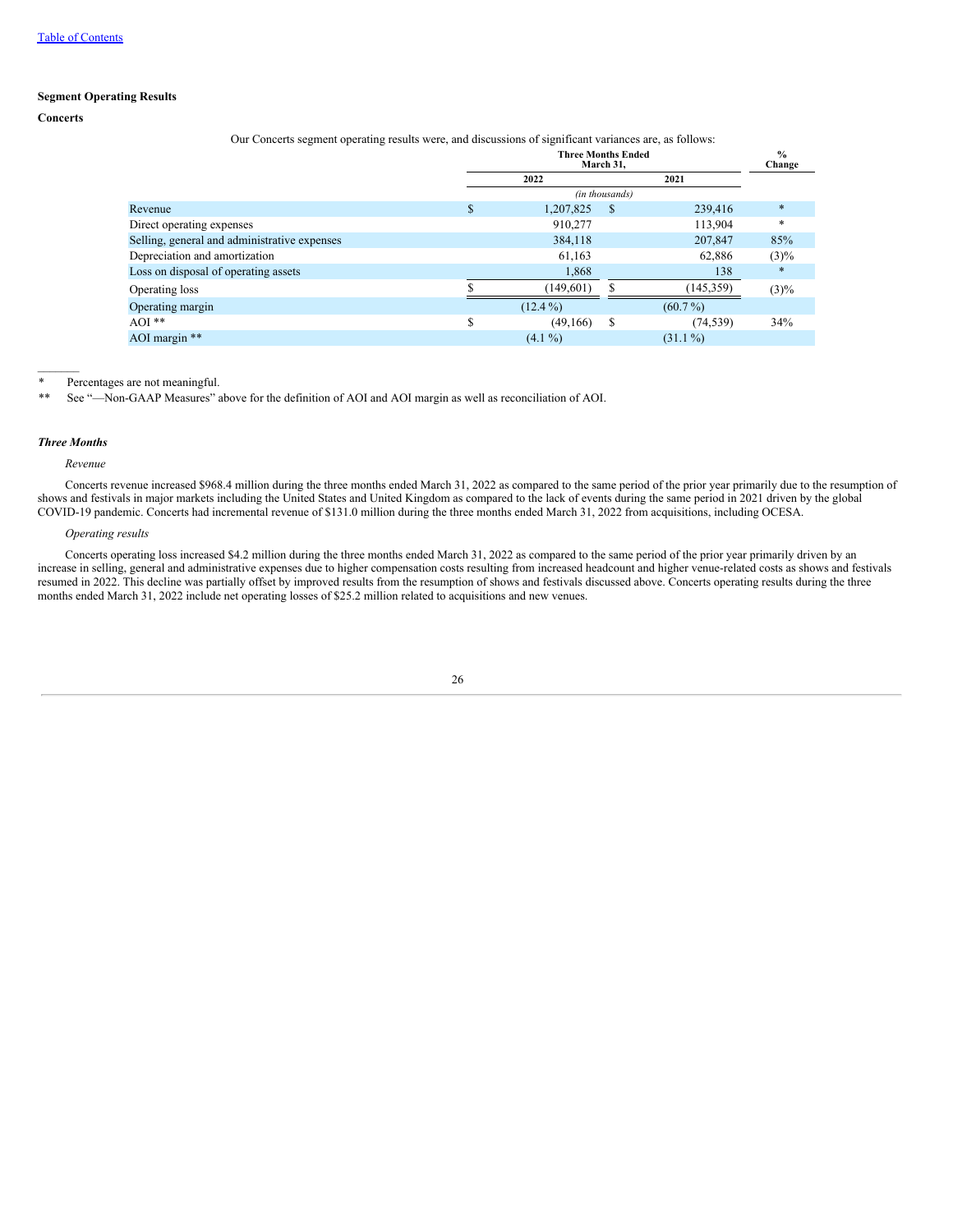### **Segment Operating Results**

#### **Concerts**

|                 |   |                             | $\frac{0}{0}$<br>Change                                                                                                             |
|-----------------|---|-----------------------------|-------------------------------------------------------------------------------------------------------------------------------------|
| 2022            |   | 2021                        |                                                                                                                                     |
|                 |   |                             |                                                                                                                                     |
| \$<br>1,207,825 | S | 239,416                     | $\ast$                                                                                                                              |
| 910.277         |   | 113.904                     | *                                                                                                                                   |
| 384,118         |   | 207,847                     | 85%                                                                                                                                 |
| 61,163          |   | 62,886                      | $(3)\%$                                                                                                                             |
| 1.868           |   | 138                         | $\ast$                                                                                                                              |
| (149,601)       |   | (145, 359)                  | $(3)\%$                                                                                                                             |
| $(12.4\%)$      |   | $(60.7\%)$                  |                                                                                                                                     |
| \$<br>(49, 166) | S | (74, 539)                   | 34%                                                                                                                                 |
| $(4.1\%)$       |   | $(31.1\%)$                  |                                                                                                                                     |
|                 |   | March 31,<br>(in thousands) | Our Concerts segment operating results were, and discussions of significant variances are, as follows:<br><b>Three Months Ended</b> |

\* Percentages are not meaningful.

\*\* See "—Non-GAAP Measures" above for the definition of AOI and AOI margin as well as reconciliation of AOI.

### *Three Months*

 $\mathcal{L}_\text{max}$ 

### *Revenue*

Concerts revenue increased \$968.4 million during the three months ended March 31, 2022 as compared to the same period of the prior year primarily due to the resumption of shows and festivals in major markets including the United States and United Kingdom as compared to the lack of events during the same period in 2021 driven by the global COVID-19 pandemic. Concerts had incremental revenue of \$131.0 million during the three months ended March 31, 2022 from acquisitions, including OCESA.

# *Operating results*

Concerts operating loss increased \$4.2 million during the three months ended March 31, 2022 as compared to the same period of the prior year primarily driven by an increase in selling, general and administrative expenses due to higher compensation costs resulting from increased headcount and higher venue-related costs as shows and festivals resumed in 2022. This decline was partially offset by improved results from the resumption of shows and festivals discussed above. Concerts operating results during the three months ended March 31, 2022 include net operating losses of \$25.2 million related to acquisitions and new venues.

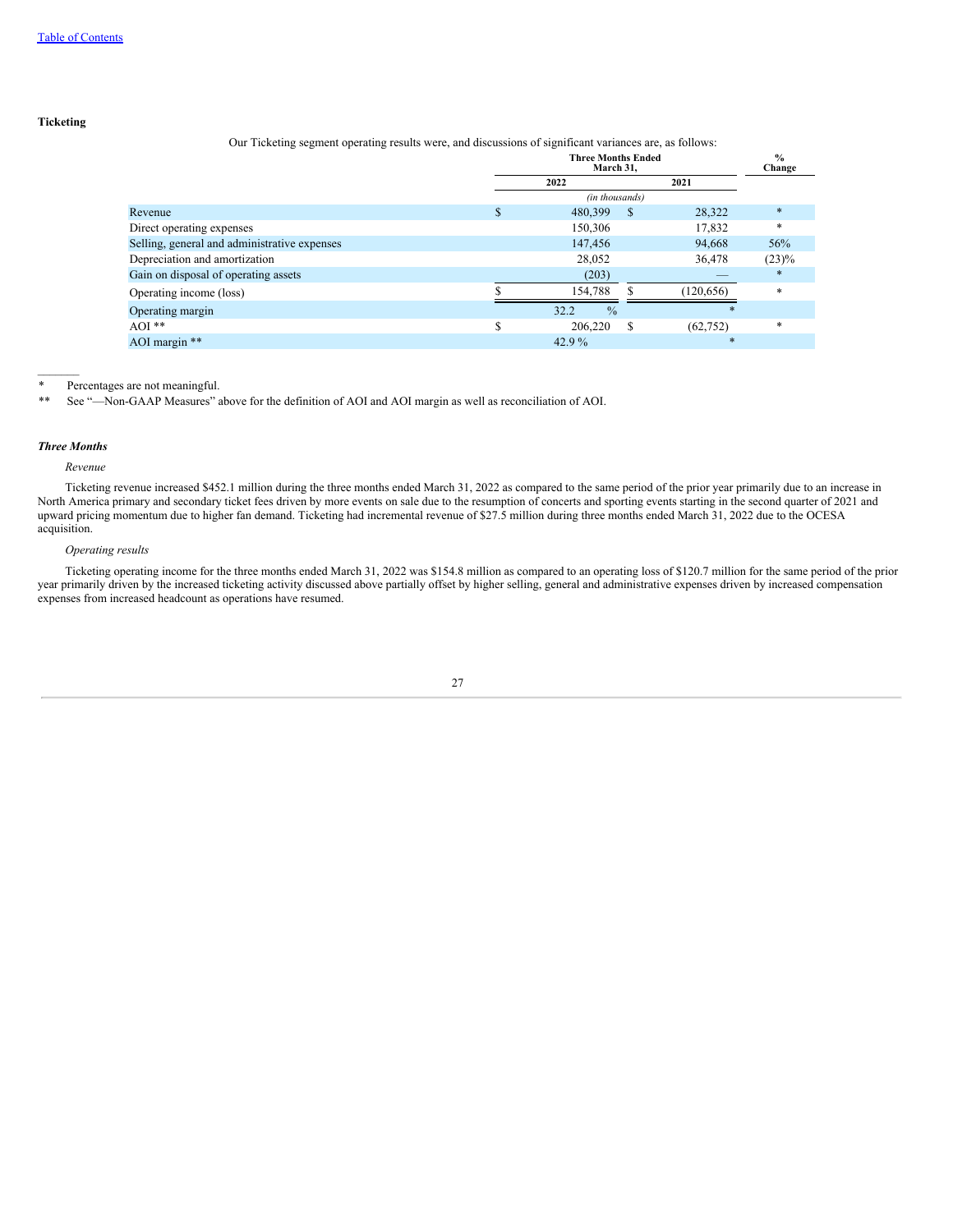# **Ticketing**

### Our Ticketing segment operating results were, and discussions of significant variances are, as follows:

|                                              |    | <b>Three Months Ended</b><br>March 31, |              |            |          |  |  |  |
|----------------------------------------------|----|----------------------------------------|--------------|------------|----------|--|--|--|
|                                              |    | 2022                                   |              | 2021       |          |  |  |  |
|                                              |    | (in thousands)                         |              |            |          |  |  |  |
| Revenue                                      | \$ | 480,399                                | <sup>S</sup> | 28,322     | $\ast$   |  |  |  |
| Direct operating expenses                    |    | 150,306                                |              | 17,832     | *        |  |  |  |
| Selling, general and administrative expenses |    | 147,456                                |              | 94,668     | 56%      |  |  |  |
| Depreciation and amortization                |    | 28,052                                 |              | 36,478     | $(23)\%$ |  |  |  |
| Gain on disposal of operating assets         |    | (203)                                  |              |            | $\ast$   |  |  |  |
| Operating income (loss)                      |    | 154,788                                |              | (120, 656) | $*$      |  |  |  |
| Operating margin                             |    | $\frac{0}{0}$<br>32.2                  |              | $*$        |          |  |  |  |
| $AOI**$                                      | S  | 206,220                                |              | (62, 752)  | *        |  |  |  |
| AOI margin **                                |    | 42.9%                                  |              | $*$        |          |  |  |  |

\* Percentages are not meaningful.<br>\*\* See "Non GAAR Measures".

See "-Non-GAAP Measures" above for the definition of AOI and AOI margin as well as reconciliation of AOI.

## *Three Months*

 $\mathcal{L}_\text{max}$ 

#### *Revenue*

Ticketing revenue increased \$452.1 million during the three months ended March 31, 2022 as compared to the same period of the prior year primarily due to an increase in North America primary and secondary ticket fees driven by more events on sale due to the resumption of concerts and sporting events starting in the second quarter of 2021 and upward pricing momentum due to higher fan demand. Ticketing had incremental revenue of \$27.5 million during three months ended March 31, 2022 due to the OCESA acquisition.

# *Operating results*

Ticketing operating income for the three months ended March 31, 2022 was \$154.8 million as compared to an operating loss of \$120.7 million for the same period of the prior year primarily driven by the increased ticketing activity discussed above partially offset by higher selling, general and administrative expenses driven by increased compensation expenses from increased headcount as operations have resumed.

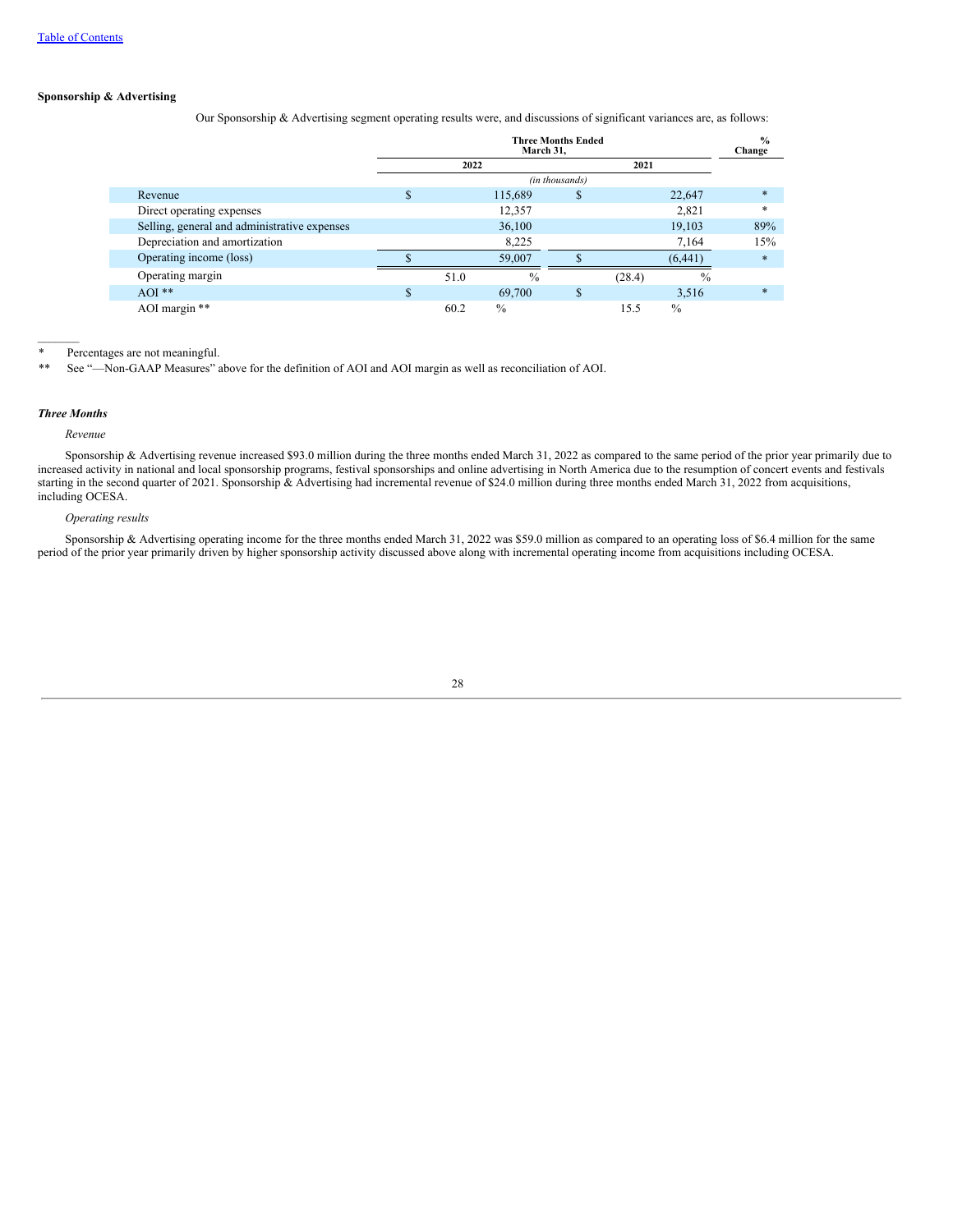#### **Sponsorship & Advertising**

Our Sponsorship & Advertising segment operating results were, and discussions of significant variances are, as follows:

|                                              |    | <b>Three Months Ended</b><br>March 31,<br>2021 |               |              |        |          |        |  |  |  |
|----------------------------------------------|----|------------------------------------------------|---------------|--------------|--------|----------|--------|--|--|--|
|                                              |    | 2022                                           |               |              |        |          |        |  |  |  |
|                                              |    |                                                |               |              |        |          |        |  |  |  |
| Revenue                                      | \$ |                                                | 115,689       | \$           |        | 22,647   | $\ast$ |  |  |  |
| Direct operating expenses                    |    |                                                | 12,357        |              |        | 2,821    | $\ast$ |  |  |  |
| Selling, general and administrative expenses |    |                                                | 36,100        |              |        | 19,103   | 89%    |  |  |  |
| Depreciation and amortization                |    |                                                | 8,225         |              |        | 7,164    | 15%    |  |  |  |
| Operating income (loss)                      |    |                                                | 59,007        |              |        | (6, 441) | $\ast$ |  |  |  |
| Operating margin                             |    | 51.0                                           | $\frac{0}{0}$ |              | (28.4) | $\%$     |        |  |  |  |
| $AOI$ **                                     | \$ |                                                | 69,700        | $\mathbb{S}$ |        | 3,516    | $\ast$ |  |  |  |
| AOI margin **                                |    | 60.2                                           | $\frac{0}{0}$ |              | 15.5   | $\%$     |        |  |  |  |

Percentages are not meaningful.

\*\* See "—Non-GAAP Measures" above for the definition of AOI and AOI margin as well as reconciliation of AOI.

#### *Three Months*

 $\frac{1}{2}$ 

### *Revenue*

Sponsorship & Advertising revenue increased \$93.0 million during the three months ended March 31, 2022 as compared to the same period of the prior year primarily due to increased activity in national and local sponsorship programs, festival sponsorships and online advertising in North America due to the resumption of concert events and festivals starting in the second quarter of 2021. Sponsorship & Advertising had incremental revenue of \$24.0 million during three months ended March 31, 2022 from acquisitions, including OCESA.

# *Operating results*

Sponsorship & Advertising operating income for the three months ended March 31, 2022 was \$59.0 million as compared to an operating loss of \$6.4 million for the same period of the prior year primarily driven by higher sponsorship activity discussed above along with incremental operating income from acquisitions including OCESA.

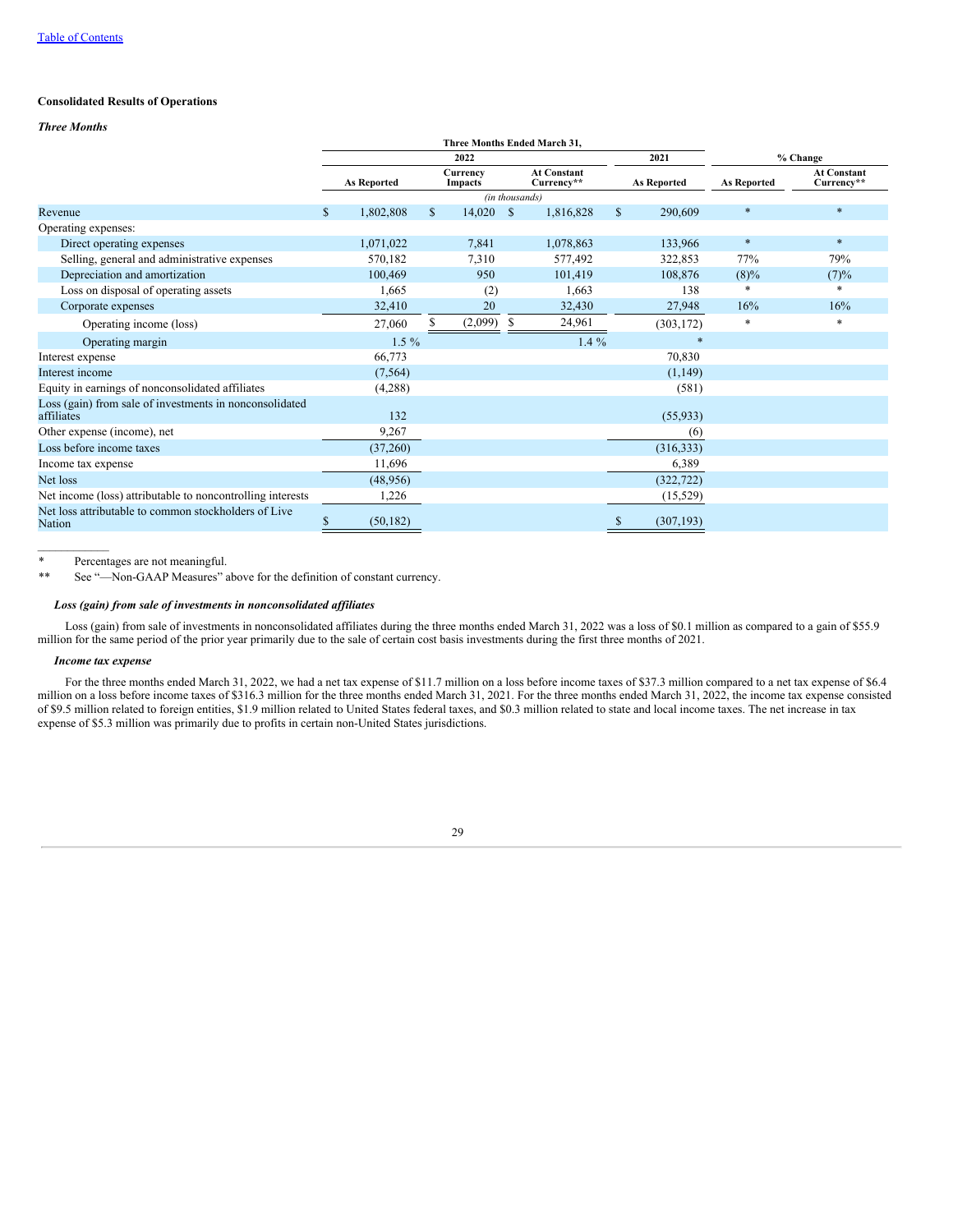# **Consolidated Results of Operations**

# *Three Months*

|                                                                       |                    | Three Months Ended March 31, |                     |      |                                  |              |                    |                    |                                  |  |
|-----------------------------------------------------------------------|--------------------|------------------------------|---------------------|------|----------------------------------|--------------|--------------------|--------------------|----------------------------------|--|
|                                                                       |                    |                              | 2022                |      |                                  |              | 2021               | % Change           |                                  |  |
|                                                                       | <b>As Reported</b> |                              | Currency<br>Impacts |      | <b>At Constant</b><br>Currency** |              | <b>As Reported</b> | <b>As Reported</b> | <b>At Constant</b><br>Currency** |  |
|                                                                       |                    |                              |                     |      | (in thousands)                   |              |                    |                    |                                  |  |
| Revenue                                                               | \$<br>1,802,808    | <sup>\$</sup>                | 14,020              | - \$ | 1,816,828                        | $\mathbb{S}$ | 290,609            | $\ast$             | $\ast$                           |  |
| Operating expenses:                                                   |                    |                              |                     |      |                                  |              |                    |                    |                                  |  |
| Direct operating expenses                                             | 1,071,022          |                              | 7,841               |      | 1,078,863                        |              | 133,966            | $\ast$             | $\ast$                           |  |
| Selling, general and administrative expenses                          | 570,182            |                              | 7,310               |      | 577,492                          |              | 322,853            | 77%                | 79%                              |  |
| Depreciation and amortization                                         | 100,469            |                              | 950                 |      | 101,419                          |              | 108,876            | $(8)\%$            | (7)%                             |  |
| Loss on disposal of operating assets                                  | 1,665              |                              | (2)                 |      | 1,663                            |              | 138                | $*$                | *                                |  |
| Corporate expenses                                                    | 32,410             |                              | 20                  |      | 32,430                           |              | 27,948             | 16%                | 16%                              |  |
| Operating income (loss)                                               | 27,060             |                              | (2,099)             | -S   | 24,961                           |              | (303, 172)         | $\ast$             | $\ast$                           |  |
| Operating margin                                                      | $1.5\%$            |                              |                     |      | $1.4\%$                          |              | $\mathcal{H}$      |                    |                                  |  |
| Interest expense                                                      | 66,773             |                              |                     |      |                                  |              | 70,830             |                    |                                  |  |
| Interest income                                                       | (7, 564)           |                              |                     |      |                                  |              | (1,149)            |                    |                                  |  |
| Equity in earnings of nonconsolidated affiliates                      | (4,288)            |                              |                     |      |                                  |              | (581)              |                    |                                  |  |
| Loss (gain) from sale of investments in nonconsolidated<br>affiliates | 132                |                              |                     |      |                                  |              | (55, 933)          |                    |                                  |  |
| Other expense (income), net                                           | 9,267              |                              |                     |      |                                  |              | (6)                |                    |                                  |  |
| Loss before income taxes                                              | (37,260)           |                              |                     |      |                                  |              | (316, 333)         |                    |                                  |  |
| Income tax expense                                                    | 11,696             |                              |                     |      |                                  |              | 6,389              |                    |                                  |  |
| Net loss                                                              | (48, 956)          |                              |                     |      |                                  |              | (322, 722)         |                    |                                  |  |
| Net income (loss) attributable to noncontrolling interests            | 1,226              |                              |                     |      |                                  |              | (15,529)           |                    |                                  |  |
| Net loss attributable to common stockholders of Live<br><b>Nation</b> | (50, 182)          |                              |                     |      |                                  |              | (307, 193)         |                    |                                  |  |

\* Percentages are not meaningful.<br>\*\* See "Non-GAAP Measures" s

See "—Non-GAAP Measures" above for the definition of constant currency.

### *Loss (gain) from sale of investments in nonconsolidated af iliates*

Loss (gain) from sale of investments in nonconsolidated affiliates during the three months ended March 31, 2022 was a loss of \$0.1 million as compared to a gain of \$55.9 million for the same period of the prior year primarily due to the sale of certain cost basis investments during the first three months of 2021.

# *Income tax expense*

 $\mathcal{L}_\text{max}$ 

For the three months ended March 31, 2022, we had a net tax expense of \$11.7 million on a loss before income taxes of \$37.3 million compared to a net tax expense of \$6.4 million on a loss before income taxes of \$316.3 million for the three months ended March 31, 2021. For the three months ended March 31, 2022, the income tax expense consisted of \$9.5 million related to foreign entities, \$1.9 million related to United States federal taxes, and \$0.3 million related to state and local income taxes. The net increase in tax expense of \$5.3 million was primarily due to profits in certain non-United States jurisdictions.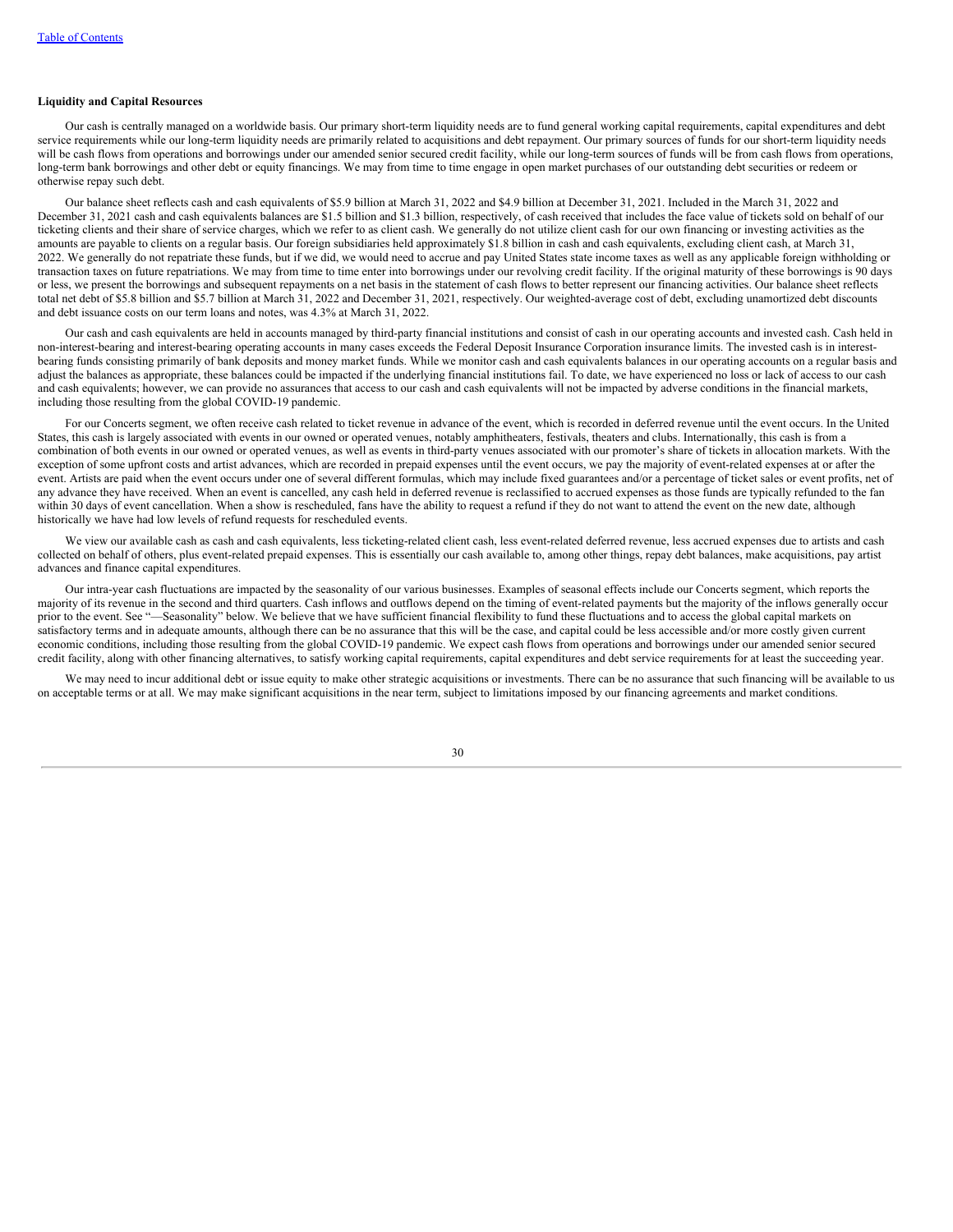# **Liquidity and Capital Resources**

Our cash is centrally managed on a worldwide basis. Our primary short-term liquidity needs are to fund general working capital requirements, capital expenditures and debt service requirements while our long-term liquidity needs are primarily related to acquisitions and debt repayment. Our primary sources of funds for our short-term liquidity needs will be cash flows from operations and borrowings under our amended senior secured credit facility, while our long-term sources of funds will be from cash flows from operations, long-term bank borrowings and other debt or equity financings. We may from time to time engage in open market purchases of our outstanding debt securities or redeem or otherwise repay such debt.

Our balance sheet reflects cash and cash equivalents of \$5.9 billion at March 31, 2022 and \$4.9 billion at December 31, 2021. Included in the March 31, 2022 and December 31, 2021 cash and cash equivalents balances are \$1.5 billion and \$1.3 billion, respectively, of cash received that includes the face value of tickets sold on behalf of our ticketing clients and their share of service charges, which we refer to as client cash. We generally do not utilize client cash for our own financing or investing activities as the amounts are payable to clients on a regular basis. Our foreign subsidiaries held approximately \$1.8 billion in cash and cash equivalents, excluding client cash, at March 31, 2022. We generally do not repatriate these funds, but if we did, we would need to accrue and pay United States state income taxes as well as any applicable foreign withholding or transaction taxes on future repatriations. We may from time to time enter into borrowings under our revolving credit facility. If the original maturity of these borrowings is 90 days or less, we present the borrowings and subsequent repayments on a net basis in the statement of cash flows to better represent our financing activities. Our balance sheet reflects total net debt of \$5.8 billion and \$5.7 billion at March 31, 2022 and December 31, 2021, respectively. Our weighted-average cost of debt, excluding unamortized debt discounts and debt issuance costs on our term loans and notes, was 4.3% at March 31, 2022.

Our cash and cash equivalents are held in accounts managed by third-party financial institutions and consist of cash in our operating accounts and invested cash. Cash held in non-interest-bearing and interest-bearing operating accounts in many cases exceeds the Federal Deposit Insurance Corporation insurance limits. The invested cash is in interestbearing funds consisting primarily of bank deposits and money market funds. While we monitor cash and cash equivalents balances in our operating accounts on a regular basis and adjust the balances as appropriate, these balances could be impacted if the underlying financial institutions fail. To date, we have experienced no loss or lack of access to our cash and cash equivalents; however, we can provide no assurances that access to our cash and cash equivalents will not be impacted by adverse conditions in the financial markets, including those resulting from the global COVID-19 pandemic.

For our Concerts segment, we often receive cash related to ticket revenue in advance of the event, which is recorded in deferred revenue until the event occurs. In the United States, this cash is largely associated with events in our owned or operated venues, notably amphitheaters, festivals, theaters and clubs. Internationally, this cash is from a combination of both events in our owned or operated venues, as well as events in third-party venues associated with our promoter's share of tickets in allocation markets. With the exception of some upfront costs and artist advances, which are recorded in prepaid expenses until the event occurs, we pay the majority of event-related expenses at or after the event. Artists are paid when the event occurs under one of several different formulas, which may include fixed guarantees and/or a percentage of ticket sales or event profits, net of any advance they have received. When an event is cancelled, any cash held in deferred revenue is reclassified to accrued expenses as those funds are typically refunded to the fan within 30 days of event cancellation. When a show is rescheduled, fans have the ability to request a refund if they do not want to attend the event on the new date, although historically we have had low levels of refund requests for rescheduled events.

We view our available cash as cash and cash equivalents, less ticketing-related client cash, less event-related deferred revenue, less accrued expenses due to artists and cash collected on behalf of others, plus event-related prepaid expenses. This is essentially our cash available to, among other things, repay debt balances, make acquisitions, pay artist advances and finance capital expenditures.

Our intra-year cash fluctuations are impacted by the seasonality of our various businesses. Examples of seasonal effects include our Concerts segment, which reports the majority of its revenue in the second and third quarters. Cash inflows and outflows depend on the timing of event-related payments but the majority of the inflows generally occur prior to the event. See "—Seasonality" below. We believe that we have sufficient financial flexibility to fund these fluctuations and to access the global capital markets on satisfactory terms and in adequate amounts, although there can be no assurance that this will be the case, and capital could be less accessible and/or more costly given current economic conditions, including those resulting from the global COVID-19 pandemic. We expect cash flows from operations and borrowings under our amended senior secured credit facility, along with other financing alternatives, to satisfy working capital requirements, capital expenditures and debt service requirements for at least the succeeding year.

We may need to incur additional debt or issue equity to make other strategic acquisitions or investments. There can be no assurance that such financing will be available to us on acceptable terms or at all. We may make significant acquisitions in the near term, subject to limitations imposed by our financing agreements and market conditions.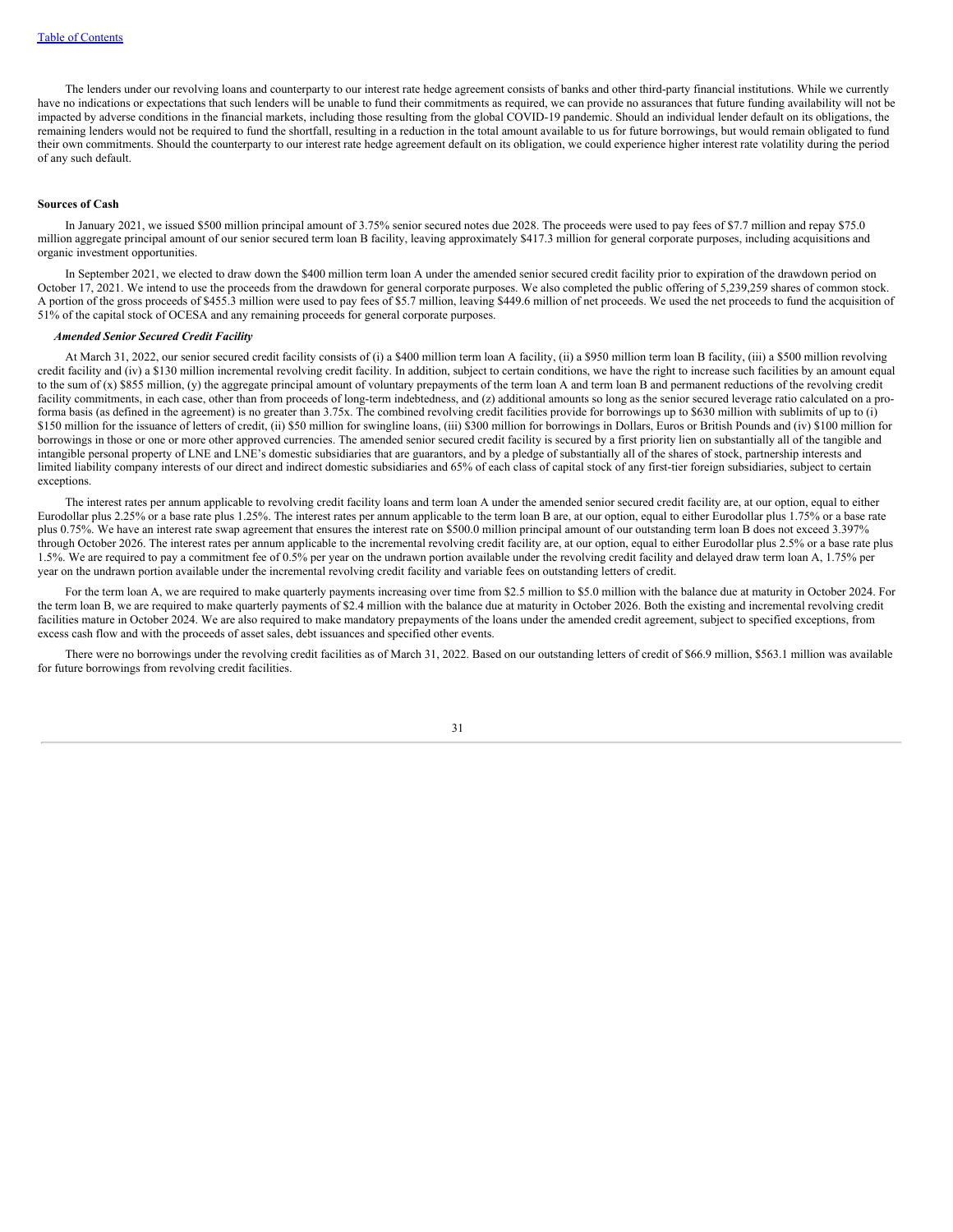The lenders under our revolving loans and counterparty to our interest rate hedge agreement consists of banks and other third-party financial institutions. While we currently have no indications or expectations that such lenders will be unable to fund their commitments as required, we can provide no assurances that future funding availability will not be impacted by adverse conditions in the financial markets, including those resulting from the global COVID-19 pandemic. Should an individual lender default on its obligations, the remaining lenders would not be required to fund the shortfall, resulting in a reduction in the total amount available to us for future borrowings, but would remain obligated to fund their own commitments. Should the counterparty to our interest rate hedge agreement default on its obligation, we could experience higher interest rate volatility during the period of any such default.

### **Sources of Cash**

In January 2021, we issued \$500 million principal amount of 3.75% senior secured notes due 2028. The proceeds were used to pay fees of \$7.7 million and repay \$75.0 million aggregate principal amount of our senior secured term loan B facility, leaving approximately \$417.3 million for general corporate purposes, including acquisitions and organic investment opportunities.

In September 2021, we elected to draw down the \$400 million term loan A under the amended senior secured credit facility prior to expiration of the drawdown period on October 17, 2021. We intend to use the proceeds from the drawdown for general corporate purposes. We also completed the public offering of 5,239,259 shares of common stock. A portion of the gross proceeds of \$455.3 million were used to pay fees of \$5.7 million, leaving \$449.6 million of net proceeds. We used the net proceeds to fund the acquisition of 51% of the capital stock of OCESA and any remaining proceeds for general corporate purposes.

#### *Amended Senior Secured Credit Facility*

At March 31, 2022, our senior secured credit facility consists of (i) a \$400 million term loan A facility, (ii) a \$950 million term loan B facility, (iii) a \$500 million revolving credit facility and (iv) a \$130 million incremental revolving credit facility. In addition, subject to certain conditions, we have the right to increase such facilities by an amount equal to the sum of  $(x)$  \$855 million,  $(y)$  the aggregate principal amount of voluntary prepayments of the term loan A and term loan B and permanent reductions of the revolving credit facility commitments, in each case, other than from proceeds of long-term indebtedness, and (z) additional amounts so long as the senior secured leverage ratio calculated on a proforma basis (as defined in the agreement) is no greater than 3.75x. The combined revolving credit facilities provide for borrowings up to \$630 million with sublimits of up to (i) \$150 million for the issuance of letters of credit, (ii) \$50 million for swingline loans, (iii) \$300 million for borrowings in Dollars, Euros or British Pounds and (iv) \$100 million for borrowings in those or one or more other approved currencies. The amended senior secured credit facility is secured by a first priority lien on substantially all of the tangible and intangible personal property of LNE and LNE's domestic subsidiaries that are guarantors, and by a pledge of substantially all of the shares of stock, partnership interests and limited liability company interests of our direct and indirect domestic subsidiaries and 65% of each class of capital stock of any first-tier foreign subsidiaries, subject to certain exceptions.

The interest rates per annum applicable to revolving credit facility loans and term loan A under the amended senior secured credit facility are, at our option, equal to either Eurodollar plus 2.25% or a base rate plus 1.25%. The interest rates per annum applicable to the term loan B are, at our option, equal to either Eurodollar plus 1.75% or a base rate plus 0.75%. We have an interest rate swap agreement that ensures the interest rate on \$500.0 million principal amount of our outstanding term loan B does not exceed 3.397% through October 2026. The interest rates per annum applicable to the incremental revolving credit facility are, at our option, equal to either Eurodollar plus 2.5% or a base rate plus 1.5%. We are required to pay a commitment fee of 0.5% per year on the undrawn portion available under the revolving credit facility and delayed draw term loan A, 1.75% per year on the undrawn portion available under the incremental revolving credit facility and variable fees on outstanding letters of credit.

For the term loan A, we are required to make quarterly payments increasing over time from \$2.5 million to \$5.0 million with the balance due at maturity in October 2024. For the term loan B, we are required to make quarterly payments of \$2.4 million with the balance due at maturity in October 2026. Both the existing and incremental revolving credit facilities mature in October 2024. We are also required to make mandatory prepayments of the loans under the amended credit agreement, subject to specified exceptions, from excess cash flow and with the proceeds of asset sales, debt issuances and specified other events.

There were no borrowings under the revolving credit facilities as of March 31, 2022. Based on our outstanding letters of credit of \$66.9 million, \$563.1 million was available for future borrowings from revolving credit facilities.

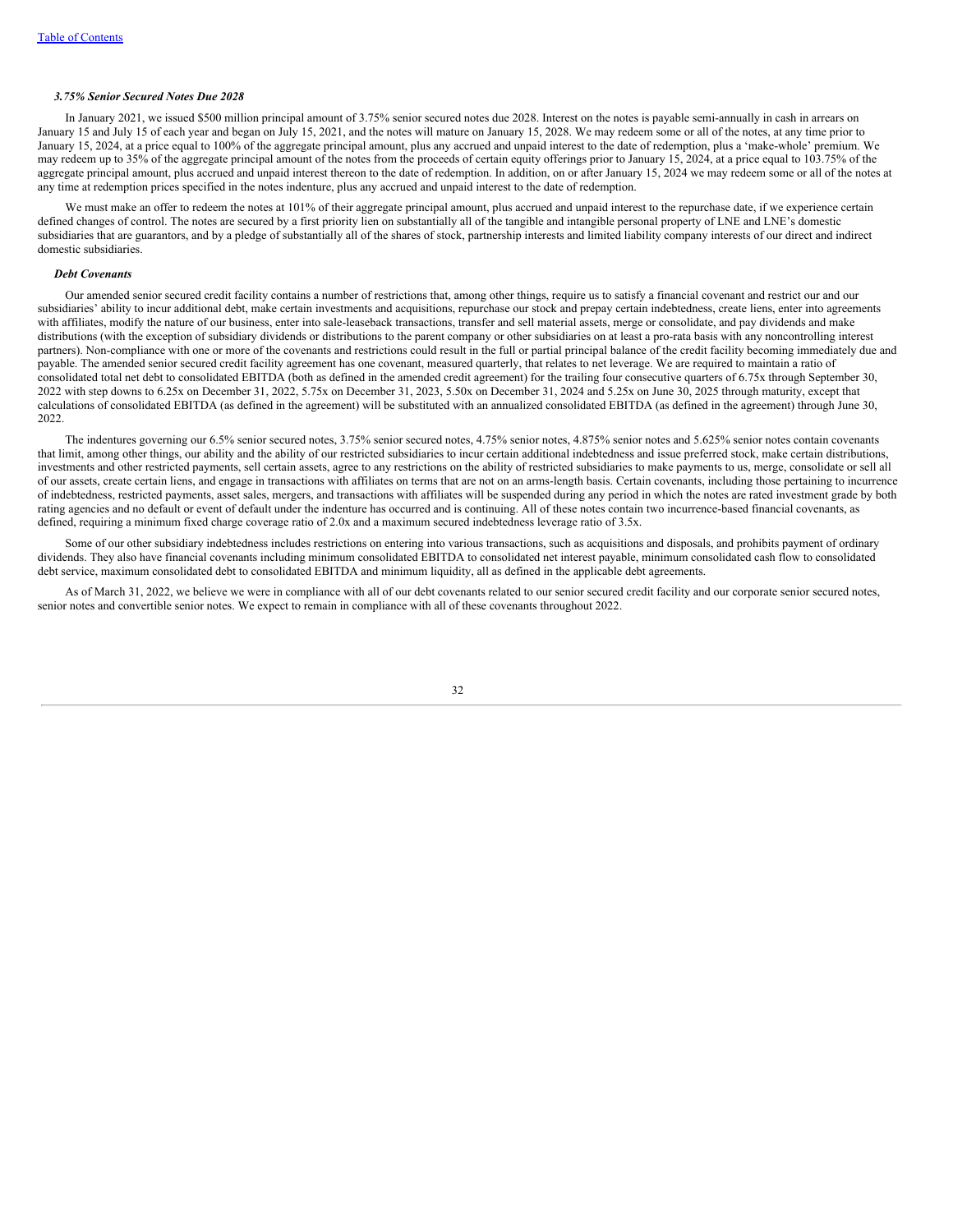#### *3.75% Senior Secured Notes Due 2028*

In January 2021, we issued \$500 million principal amount of 3.75% senior secured notes due 2028. Interest on the notes is payable semi-annually in cash in arrears on January 15 and July 15 of each year and began on July 15, 2021, and the notes will mature on January 15, 2028. We may redeem some or all of the notes, at any time prior to January 15, 2024, at a price equal to 100% of the aggregate principal amount, plus any accrued and unpaid interest to the date of redemption, plus a 'make-whole' premium. We may redeem up to 35% of the aggregate principal amount of the notes from the proceeds of certain equity offerings prior to January 15, 2024, at a price equal to 103.75% of the aggregate principal amount, plus accrued and unpaid interest thereon to the date of redemption. In addition, on or after January 15, 2024 we may redeem some or all of the notes at any time at redemption prices specified in the notes indenture, plus any accrued and unpaid interest to the date of redemption.

We must make an offer to redeem the notes at 101% of their aggregate principal amount, plus accrued and unpaid interest to the repurchase date, if we experience certain defined changes of control. The notes are secured by a first priority lien on substantially all of the tangible and intangible personal property of LNE and LNE's domestic subsidiaries that are guarantors, and by a pledge of substantially all of the shares of stock, partnership interests and limited liability company interests of our direct and indirect domestic subsidiaries.

#### *Debt Covenants*

Our amended senior secured credit facility contains a number of restrictions that, among other things, require us to satisfy a financial covenant and restrict our and our subsidiaries' ability to incur additional debt, make certain investments and acquisitions, repurchase our stock and prepay certain indebtedness, create liens, enter into agreements with affiliates, modify the nature of our business, enter into sale-leaseback transactions, transfer and sell material assets, merge or consolidate, and pay dividends and make distributions (with the exception of subsidiary dividends or distributions to the parent company or other subsidiaries on at least a pro-rata basis with any noncontrolling interest partners). Non-compliance with one or more of the covenants and restrictions could result in the full or partial principal balance of the credit facility becoming immediately due and payable. The amended senior secured credit facility agreement has one covenant, measured quarterly, that relates to net leverage. We are required to maintain a ratio of consolidated total net debt to consolidated EBITDA (both as defined in the amended credit agreement) for the trailing four consecutive quarters of 6.75x through September 30, 2022 with step downs to 6.25x on December 31, 2022, 5.75x on December 31, 2023, 5.50x on December 31, 2024 and 5.25x on June 30, 2025 through maturity, except that calculations of consolidated EBITDA (as defined in the agreement) will be substituted with an annualized consolidated EBITDA (as defined in the agreement) through June 30, 2022.

The indentures governing our 6.5% senior secured notes, 3.75% senior secured notes, 4.75% senior notes, 4.875% senior notes and 5.625% senior notes contain covenants that limit, among other things, our ability and the ability of our restricted subsidiaries to incur certain additional indebtedness and issue preferred stock, make certain distributions, investments and other restricted payments, sell certain assets, agree to any restrictions on the ability of restricted subsidiaries to make payments to us, merge, consolidate or sell all of our assets, create certain liens, and engage in transactions with affiliates on terms that are not on an arms-length basis. Certain covenants, including those pertaining to incurrence of indebtedness, restricted payments, asset sales, mergers, and transactions with affiliates will be suspended during any period in which the notes are rated investment grade by both rating agencies and no default or event of default under the indenture has occurred and is continuing. All of these notes contain two incurrence-based financial covenants, as defined, requiring a minimum fixed charge coverage ratio of 2.0x and a maximum secured indebtedness leverage ratio of 3.5x.

Some of our other subsidiary indebtedness includes restrictions on entering into various transactions, such as acquisitions and disposals, and prohibits payment of ordinary dividends. They also have financial covenants including minimum consolidated EBITDA to consolidated net interest payable, minimum consolidated cash flow to consolidated debt service, maximum consolidated debt to consolidated EBITDA and minimum liquidity, all as defined in the applicable debt agreements.

As of March 31, 2022, we believe we were in compliance with all of our debt covenants related to our senior secured credit facility and our corporate senior secured notes, senior notes and convertible senior notes. We expect to remain in compliance with all of these covenants throughout 2022.

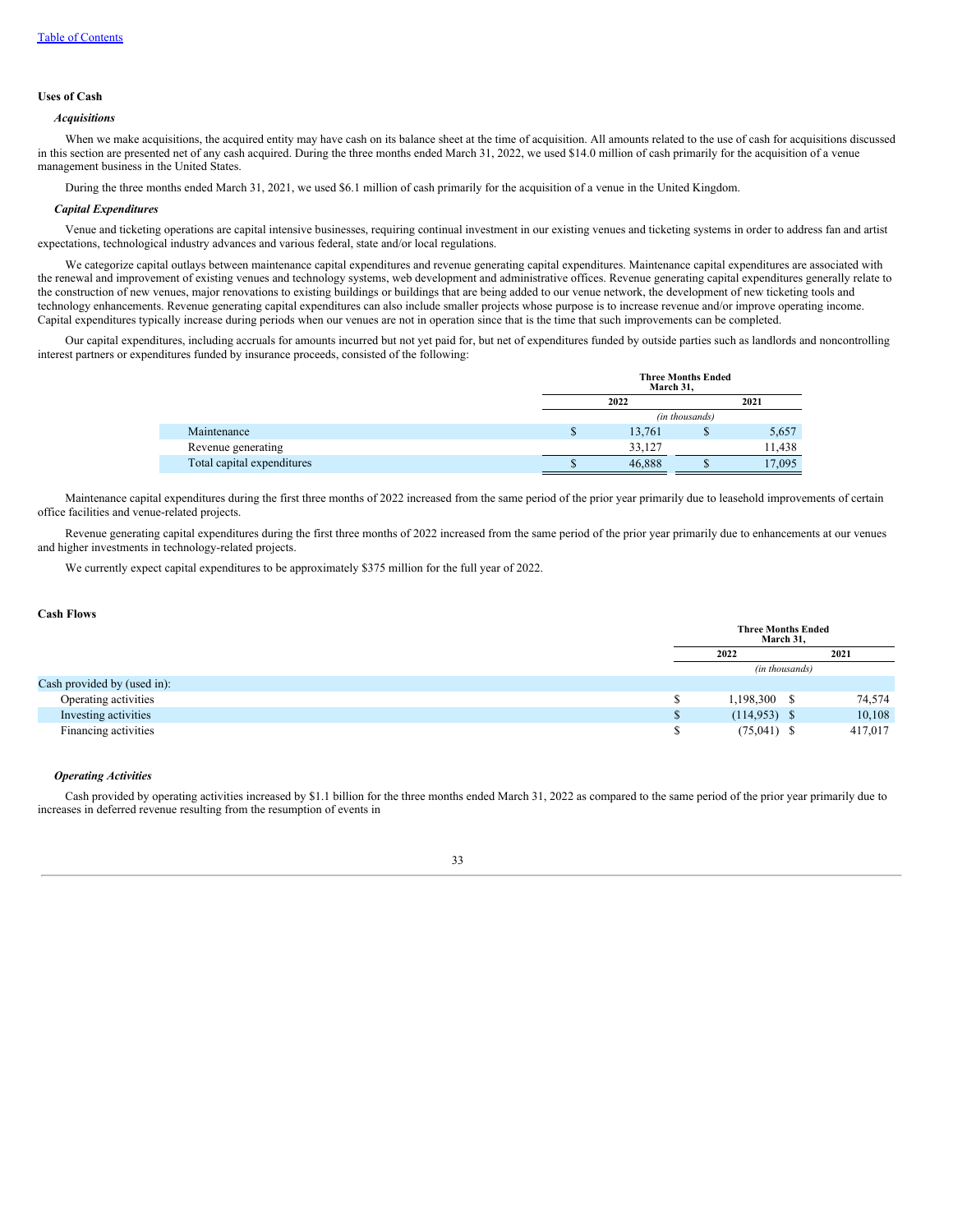#### **Uses of Cash**

# *Acquisitions*

When we make acquisitions, the acquired entity may have cash on its balance sheet at the time of acquisition. All amounts related to the use of cash for acquisitions discussed in this section are presented net of any cash acquired. During the three months ended March 31, 2022, we used \$14.0 million of cash primarily for the acquisition of a venue management business in the United States.

During the three months ended March 31, 2021, we used \$6.1 million of cash primarily for the acquisition of a venue in the United Kingdom.

#### *Capital Expenditures*

Venue and ticketing operations are capital intensive businesses, requiring continual investment in our existing venues and ticketing systems in order to address fan and artist expectations, technological industry advances and various federal, state and/or local regulations.

We categorize capital outlays between maintenance capital expenditures and revenue generating capital expenditures. Maintenance capital expenditures are associated with the renewal and improvement of existing venues and technology systems, web development and administrative offices. Revenue generating capital expenditures generally relate to the construction of new venues, major renovations to existing buildings or buildings that are being added to our venue network, the development of new ticketing tools and technology enhancements. Revenue generating capital expenditures can also include smaller projects whose purpose is to increase revenue and/or improve operating income. Capital expenditures typically increase during periods when our venues are not in operation since that is the time that such improvements can be completed.

Our capital expenditures, including accruals for amounts incurred but not yet paid for, but net of expenditures funded by outside parties such as landlords and noncontrolling interest partners or expenditures funded by insurance proceeds, consisted of the following:

|                            |      | <b>Three Months Ended</b><br>March 31, |      |        |  |
|----------------------------|------|----------------------------------------|------|--------|--|
|                            | 2022 |                                        | 2021 |        |  |
|                            |      | (in thousands)                         |      |        |  |
| Maintenance                | S    | 13.761                                 |      | 5,657  |  |
| Revenue generating         |      | 33.127                                 |      | 11,438 |  |
| Total capital expenditures | ۰D   | 46.888                                 |      | 17,095 |  |

Maintenance capital expenditures during the first three months of 2022 increased from the same period of the prior year primarily due to leasehold improvements of certain office facilities and venue-related projects.

Revenue generating capital expenditures during the first three months of 2022 increased from the same period of the prior year primarily due to enhancements at our venues and higher investments in technology-related projects.

We currently expect capital expenditures to be approximately \$375 million for the full year of 2022.

# **Cash Flows**

|                             |    | <b>Three Months Ended</b><br>March 31, |         |  |
|-----------------------------|----|----------------------------------------|---------|--|
|                             |    | 2022                                   | 2021    |  |
|                             |    | (in thousands)                         |         |  |
| Cash provided by (used in): |    |                                        |         |  |
| Operating activities        | \$ | 1,198,300 \$                           | 74,574  |  |
| Investing activities        | P  | $(114,953)$ \$                         | 10,108  |  |
| Financing activities        | S  | $(75,041)$ \$                          | 417,017 |  |

#### *Operating Activities*

Cash provided by operating activities increased by \$1.1 billion for the three months ended March 31, 2022 as compared to the same period of the prior year primarily due to increases in deferred revenue resulting from the resumption of events in

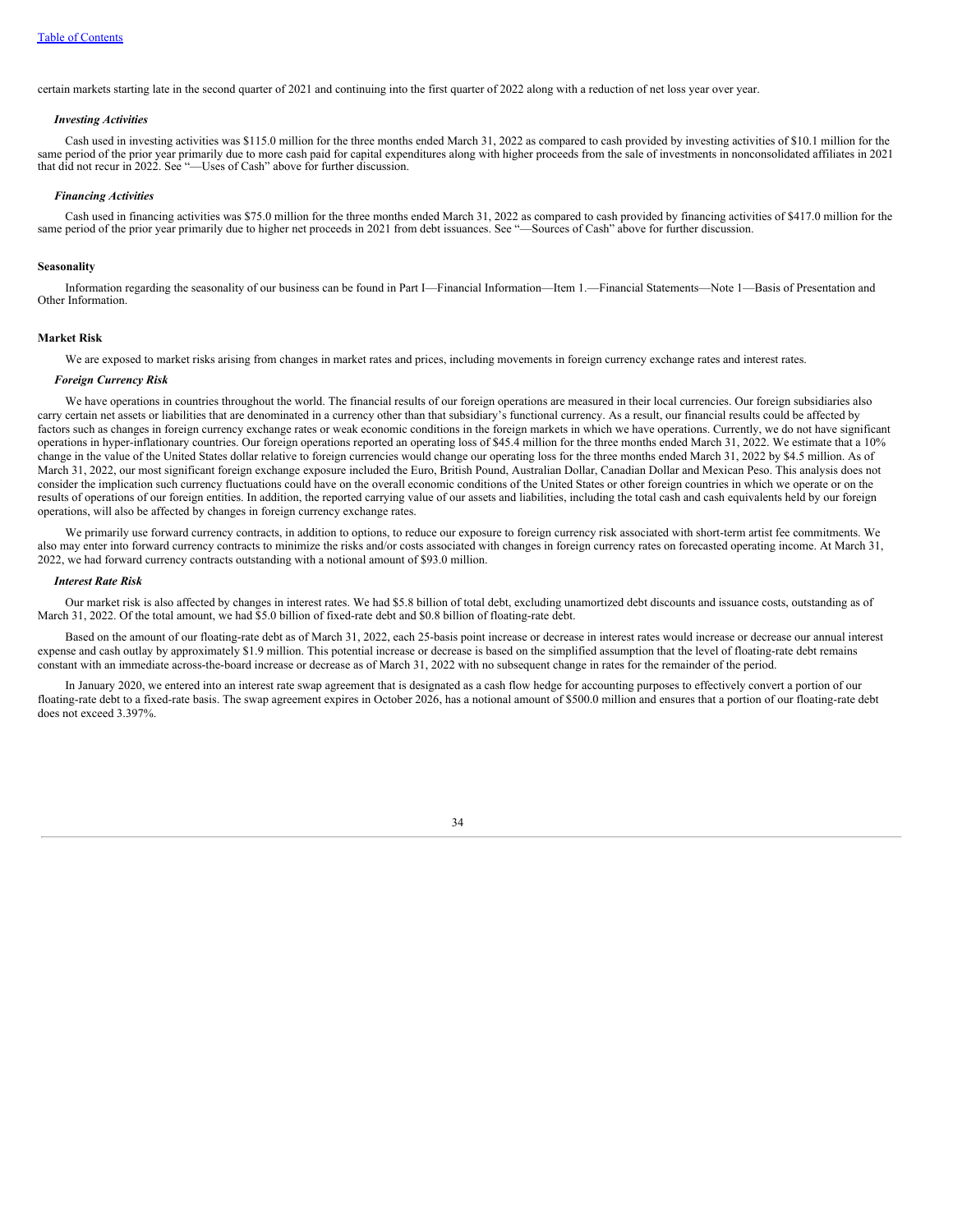certain markets starting late in the second quarter of 2021 and continuing into the first quarter of 2022 along with a reduction of net loss year over year.

# *Investing Activities*

Cash used in investing activities was \$115.0 million for the three months ended March 31, 2022 as compared to cash provided by investing activities of \$10.1 million for the same period of the prior year primarily due to more cash paid for capital expenditures along with higher proceeds from the sale of investments in nonconsolidated affiliates in 2021 that did not recur in 2022. See "—Uses of Cash" above for further discussion.

#### *Financing Activities*

Cash used in financing activities was \$75.0 million for the three months ended March 31, 2022 as compared to cash provided by financing activities of \$417.0 million for the same period of the prior year primarily due to higher net proceeds in 2021 from debt issuances. See "—Sources of Cash" above for further discussion.

#### **Seasonality**

Information regarding the seasonality of our business can be found in Part I—Financial Information—Item 1.—Financial Statements—Note 1—Basis of Presentation and Other Information.

#### **Market Risk**

We are exposed to market risks arising from changes in market rates and prices, including movements in foreign currency exchange rates and interest rates.

#### *Foreign Currency Risk*

We have operations in countries throughout the world. The financial results of our foreign operations are measured in their local currencies. Our foreign subsidiaries also carry certain net assets or liabilities that are denominated in a currency other than that subsidiary's functional currency. As a result, our financial results could be affected by factors such as changes in foreign currency exchange rates or weak economic conditions in the foreign markets in which we have operations. Currently, we do not have significant operations in hyper-inflationary countries. Our foreign operations reported an operating loss of \$45.4 million for the three months ended March 31, 2022. We estimate that a 10% change in the value of the United States dollar relative to foreign currencies would change our operating loss for the three months ended March 31, 2022 by \$4.5 million. As of March 31, 2022, our most significant foreign exchange exposure included the Euro, British Pound, Australian Dollar, Canadian Dollar and Mexican Peso. This analysis does not consider the implication such currency fluctuations could have on the overall economic conditions of the United States or other foreign countries in which we operate or on the results of operations of our foreign entities. In addition, the reported carrying value of our assets and liabilities, including the total cash and cash equivalents held by our foreign operations, will also be affected by changes in foreign currency exchange rates.

We primarily use forward currency contracts, in addition to options, to reduce our exposure to foreign currency risk associated with short-term artist fee commitments. We also may enter into forward currency contracts to minimize the risks and/or costs associated with changes in foreign currency rates on forecasted operating income. At March 31, 2022, we had forward currency contracts outstanding with a notional amount of \$93.0 million.

#### *Interest Rate Risk*

Our market risk is also affected by changes in interest rates. We had \$5.8 billion of total debt, excluding unamortized debt discounts and issuance costs, outstanding as of March 31, 2022. Of the total amount, we had \$5.0 billion of fixed-rate debt and \$0.8 billion of floating-rate debt.

Based on the amount of our floating-rate debt as of March 31, 2022, each 25-basis point increase or decrease in interest rates would increase or decrease our annual interest expense and cash outlay by approximately \$1.9 million. This potential increase or decrease is based on the simplified assumption that the level of floating-rate debt remains constant with an immediate across-the-board increase or decrease as of March 31, 2022 with no subsequent change in rates for the remainder of the period.

In January 2020, we entered into an interest rate swap agreement that is designated as a cash flow hedge for accounting purposes to effectively convert a portion of our floating-rate debt to a fixed-rate basis. The swap agreement expires in October 2026, has a notional amount of \$500.0 million and ensures that a portion of our floating-rate debt does not exceed 3.397%.

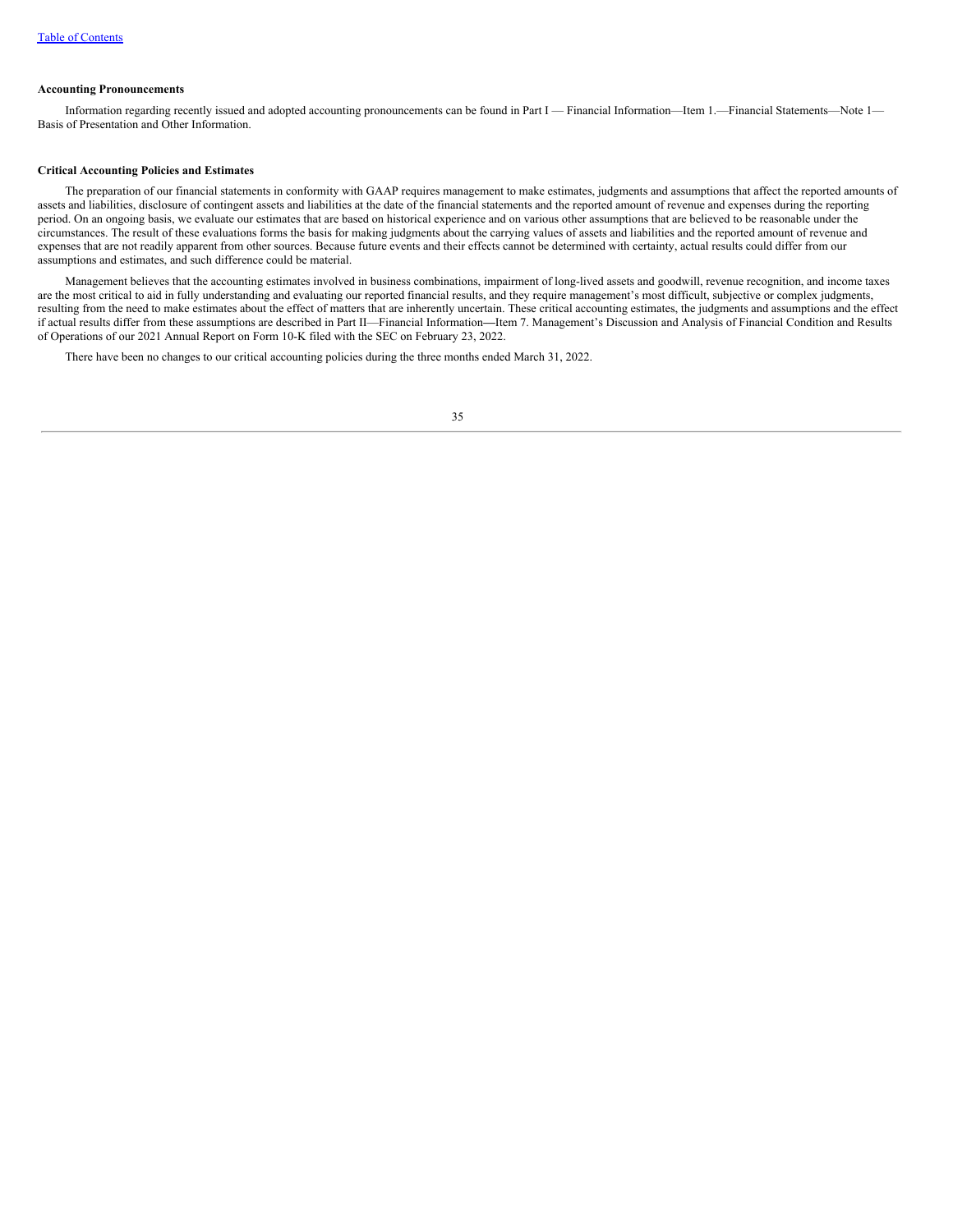#### **Accounting Pronouncements**

Information regarding recently issued and adopted accounting pronouncements can be found in Part I — Financial Information—Item 1.—Financial Statements—Note 1— Basis of Presentation and Other Information.

### **Critical Accounting Policies and Estimates**

The preparation of our financial statements in conformity with GAAP requires management to make estimates, judgments and assumptions that affect the reported amounts of assets and liabilities, disclosure of contingent assets and liabilities at the date of the financial statements and the reported amount of revenue and expenses during the reporting period. On an ongoing basis, we evaluate our estimates that are based on historical experience and on various other assumptions that are believed to be reasonable under the circumstances. The result of these evaluations forms the basis for making judgments about the carrying values of assets and liabilities and the reported amount of revenue and expenses that are not readily apparent from other sources. Because future events and their effects cannot be determined with certainty, actual results could differ from our assumptions and estimates, and such difference could be material.

Management believes that the accounting estimates involved in business combinations, impairment of long-lived assets and goodwill, revenue recognition, and income taxes are the most critical to aid in fully understanding and evaluating our reported financial results, and they require management's most difficult, subjective or complex judgments, resulting from the need to make estimates about the effect of matters that are inherently uncertain. These critical accounting estimates, the judgments and assumptions and the effect if actual results differ from these assumptions are described in Part II—Financial Information**—**Item 7. Management's Discussion and Analysis of Financial Condition and Results of Operations of our 2021 Annual Report on Form 10-K filed with the SEC on February 23, 2022.

<span id="page-35-0"></span>There have been no changes to our critical accounting policies during the three months ended March 31, 2022.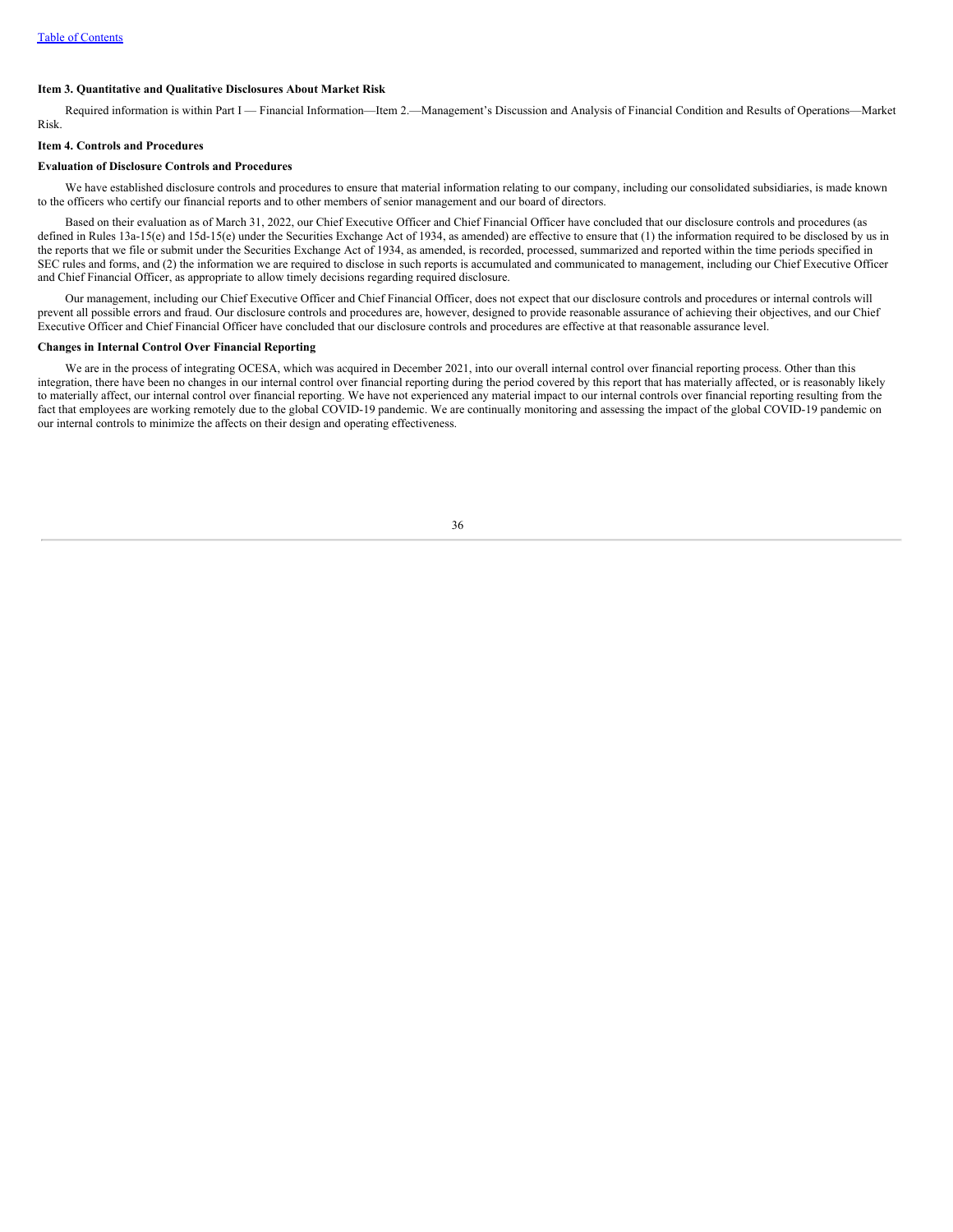#### **Item 3. Quantitative and Qualitative Disclosures About Market Risk**

Required information is within Part I — Financial Information—Item 2.—Management's Discussion and Analysis of Financial Condition and Results of Operations—Market Risk.

# <span id="page-36-0"></span>**Item 4. Controls and Procedures**

#### **Evaluation of Disclosure Controls and Procedures**

We have established disclosure controls and procedures to ensure that material information relating to our company, including our consolidated subsidiaries, is made known to the officers who certify our financial reports and to other members of senior management and our board of directors.

Based on their evaluation as of March 31, 2022, our Chief Executive Officer and Chief Financial Officer have concluded that our disclosure controls and procedures (as defined in Rules 13a-15(e) and 15d-15(e) under the Securities Exchange Act of 1934, as amended) are effective to ensure that (1) the information required to be disclosed by us in the reports that we file or submit under the Securities Exchange Act of 1934, as amended, is recorded, processed, summarized and reported within the time periods specified in SEC rules and forms, and (2) the information we are required to disclose in such reports is accumulated and communicated to management, including our Chief Executive Officer and Chief Financial Officer, as appropriate to allow timely decisions regarding required disclosure.

Our management, including our Chief Executive Officer and Chief Financial Officer, does not expect that our disclosure controls and procedures or internal controls will prevent all possible errors and fraud. Our disclosure controls and procedures are, however, designed to provide reasonable assurance of achieving their objectives, and our Chief Executive Officer and Chief Financial Officer have concluded that our disclosure controls and procedures are effective at that reasonable assurance level.

#### **Changes in Internal Control Over Financial Reporting**

We are in the process of integrating OCESA, which was acquired in December 2021, into our overall internal control over financial reporting process. Other than this integration, there have been no changes in our internal control over financial reporting during the period covered by this report that has materially affected, or is reasonably likely to materially affect, our internal control over financial reporting. We have not experienced any material impact to our internal controls over financial reporting resulting from the fact that employees are working remotely due to the global COVID-19 pandemic. We are continually monitoring and assessing the impact of the global COVID-19 pandemic on our internal controls to minimize the affects on their design and operating effectiveness.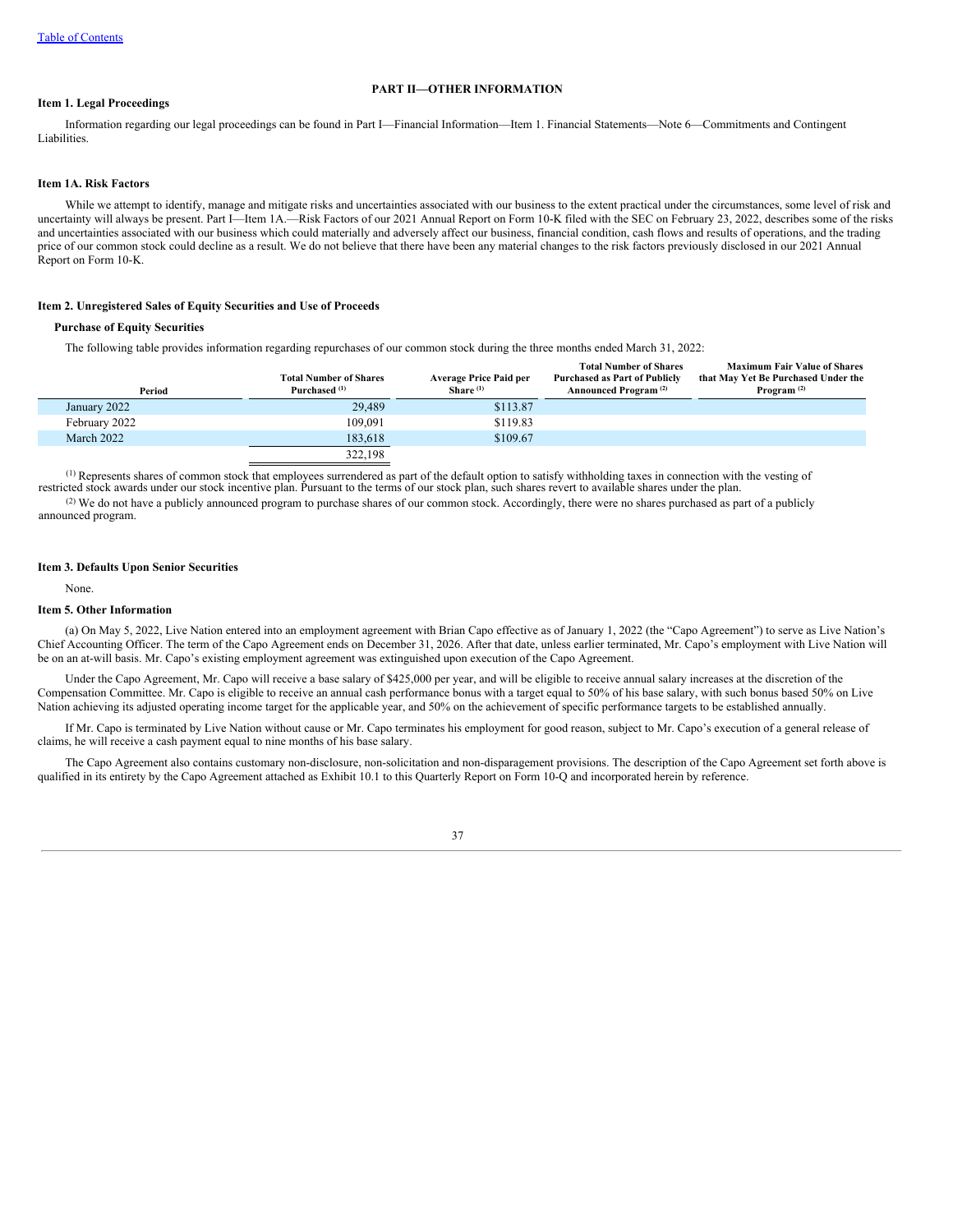### **PART II—OTHER INFORMATION**

# <span id="page-37-0"></span>**Item 1. Legal Proceedings**

Information regarding our legal proceedings can be found in Part I—Financial Information—Item 1. Financial Statements—Note 6—Commitments and Contingent Liabilities.

#### <span id="page-37-1"></span>**Item 1A. Risk Factors**

While we attempt to identify, manage and mitigate risks and uncertainties associated with our business to the extent practical under the circumstances, some level of risk and uncertainty will always be present. Part I—Item 1A.—Risk Factors of our 2021 Annual Report on Form 10-K filed with the SEC on February 23, 2022, describes some of the risks and uncertainties associated with our business which could materially and adversely affect our business, financial condition, cash flows and results of operations, and the trading price of our common stock could decline as a result. We do not believe that there have been any material changes to the risk factors previously disclosed in our 2021 Annual Report on Form 10-K.

#### <span id="page-37-2"></span>**Item 2. Unregistered Sales of Equity Securities and Use of Proceeds**

### **Purchase of Equity Securities**

The following table provides information regarding repurchases of our common stock during the three months ended March 31, 2022:

| Period        | <b>Total Number of Shares</b><br>Purchased <sup>(1)</sup> | Average Price Paid per<br>Share $(1)$ | <b>Total Number of Shares</b><br><b>Purchased as Part of Publicly</b><br>Announced Program <sup>(2)</sup> | <b>Maximum Fair Value of Shares</b><br>that May Yet Be Purchased Under the<br>Program $(2)$ |
|---------------|-----------------------------------------------------------|---------------------------------------|-----------------------------------------------------------------------------------------------------------|---------------------------------------------------------------------------------------------|
| January 2022  | 29,489                                                    | \$113.87                              |                                                                                                           |                                                                                             |
| February 2022 | 109.091                                                   | \$119.83                              |                                                                                                           |                                                                                             |
| March 2022    | 183.618                                                   | \$109.67                              |                                                                                                           |                                                                                             |
|               | 322,198                                                   |                                       |                                                                                                           |                                                                                             |

 $(1)$  Represents shares of common stock that employees surrendered as part of the default option to satisfy withholding taxes in connection with the vesting of restricted stock awards under our stock incentive plan. Pursuant to the terms of our stock plan, such shares revert to available shares under the plan.

We do not have a publicly announced program to purchase shares of our common stock. Accordingly, there were no shares purchased as part of a publicly (2) announced program.

#### <span id="page-37-3"></span>**Item 3. Defaults Upon Senior Securities**

None.

#### <span id="page-37-4"></span>**Item 5. Other Information**

(a) On May 5, 2022, Live Nation entered into an employment agreement with Brian Capo effective as of January 1, 2022 (the "Capo Agreement") to serve as Live Nation's Chief Accounting Officer. The term of the Capo Agreement ends on December 31, 2026. After that date, unless earlier terminated, Mr. Capo's employment with Live Nation will be on an at-will basis. Mr. Capo's existing employment agreement was extinguished upon execution of the Capo Agreement.

Under the Capo Agreement, Mr. Capo will receive a base salary of \$425,000 per year, and will be eligible to receive annual salary increases at the discretion of the Compensation Committee. Mr. Capo is eligible to receive an annual cash performance bonus with a target equal to 50% of his base salary, with such bonus based 50% on Live Nation achieving its adjusted operating income target for the applicable year, and 50% on the achievement of specific performance targets to be established annually.

If Mr. Capo is terminated by Live Nation without cause or Mr. Capo terminates his employment for good reason, subject to Mr. Capo's execution of a general release of claims, he will receive a cash payment equal to nine months of his base salary.

<span id="page-37-5"></span>The Capo Agreement also contains customary non-disclosure, non-solicitation and non-disparagement provisions. The description of the Capo Agreement set forth above is qualified in its entirety by the Capo Agreement attached as Exhibit 10.1 to this Quarterly Report on Form 10-Q and incorporated herein by reference.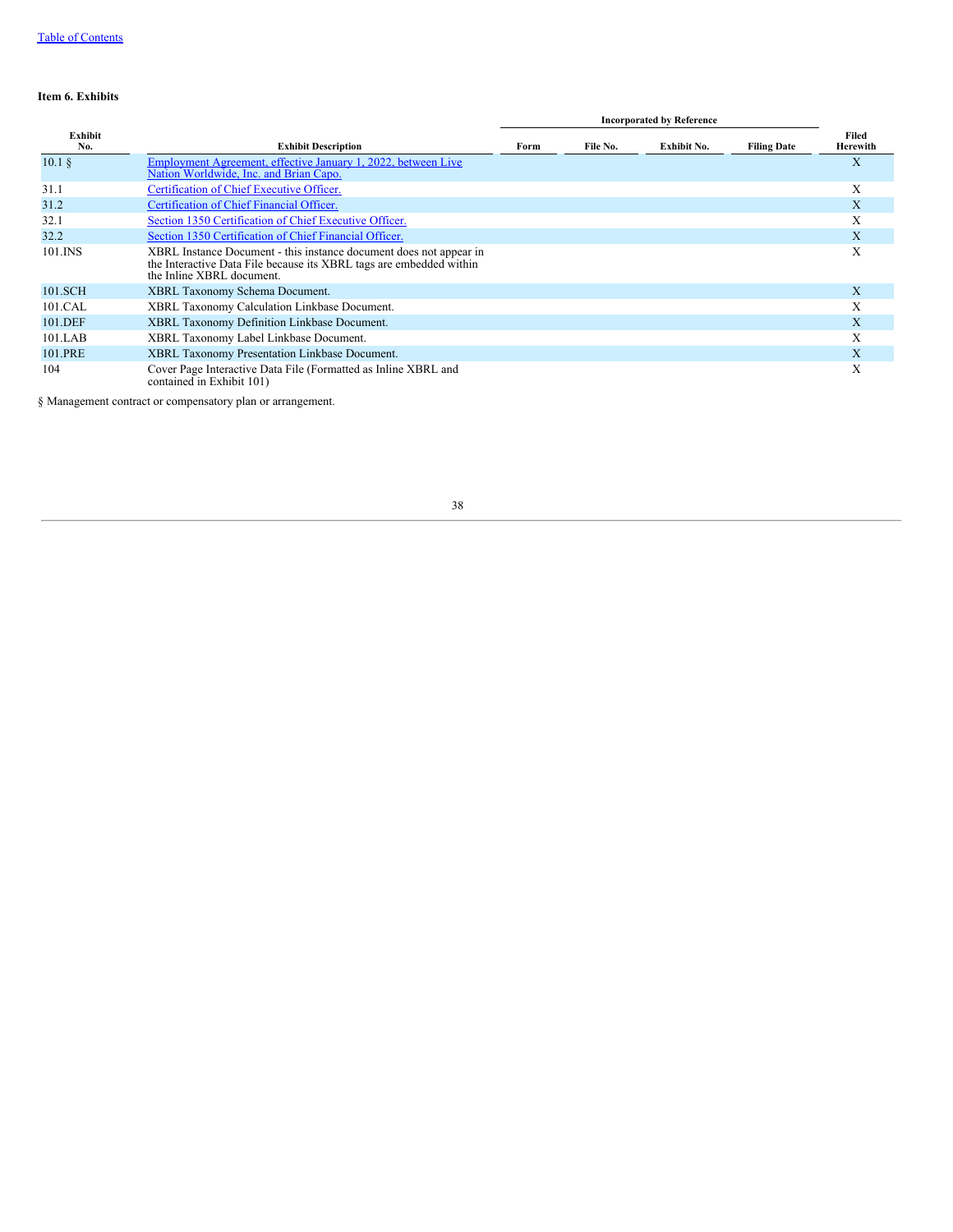# **Item 6. Exhibits**

|                |                                                                                                                                                                        | <b>Incorporated by Reference</b> |          |             |                    |                   |
|----------------|------------------------------------------------------------------------------------------------------------------------------------------------------------------------|----------------------------------|----------|-------------|--------------------|-------------------|
| Exhibit<br>No. | <b>Exhibit Description</b>                                                                                                                                             | Form                             | File No. | Exhibit No. | <b>Filing Date</b> | Filed<br>Herewith |
|                | Employment Agreement, effective January 1, 2022, between Live<br>Nation Worldwide, Inc. and Brian Capo.                                                                |                                  |          |             |                    | X                 |
| 31.1           | Certification of Chief Executive Officer.                                                                                                                              |                                  |          |             |                    | X                 |
| 31.2           | Certification of Chief Financial Officer.                                                                                                                              |                                  |          |             |                    | $\overline{X}$    |
| 32.1           | Section 1350 Certification of Chief Executive Officer.                                                                                                                 |                                  |          |             |                    | X                 |
| 32.2           | Section 1350 Certification of Chief Financial Officer.                                                                                                                 |                                  |          |             |                    | X                 |
| 101.INS        | XBRL Instance Document - this instance document does not appear in<br>the Interactive Data File because its XBRL tags are embedded within<br>the Inline XBRL document. |                                  |          |             |                    | Х                 |
| 101.SCH        | XBRL Taxonomy Schema Document.                                                                                                                                         |                                  |          |             |                    | X                 |
| 101.CAL        | XBRL Taxonomy Calculation Linkbase Document.                                                                                                                           |                                  |          |             |                    | X                 |
| 101.DEF        | XBRL Taxonomy Definition Linkbase Document.                                                                                                                            |                                  |          |             |                    | $\mathbf{X}$      |
| 101.LAB        | XBRL Taxonomy Label Linkbase Document.                                                                                                                                 |                                  |          |             |                    | Х                 |
| 101.PRE        | XBRL Taxonomy Presentation Linkbase Document.                                                                                                                          |                                  |          |             |                    | $\mathbf{X}$      |
| 104            | Cover Page Interactive Data File (Formatted as Inline XBRL and<br>contained in Exhibit 101)                                                                            |                                  |          |             |                    | X                 |

§ Management contract or compensatory plan or arrangement.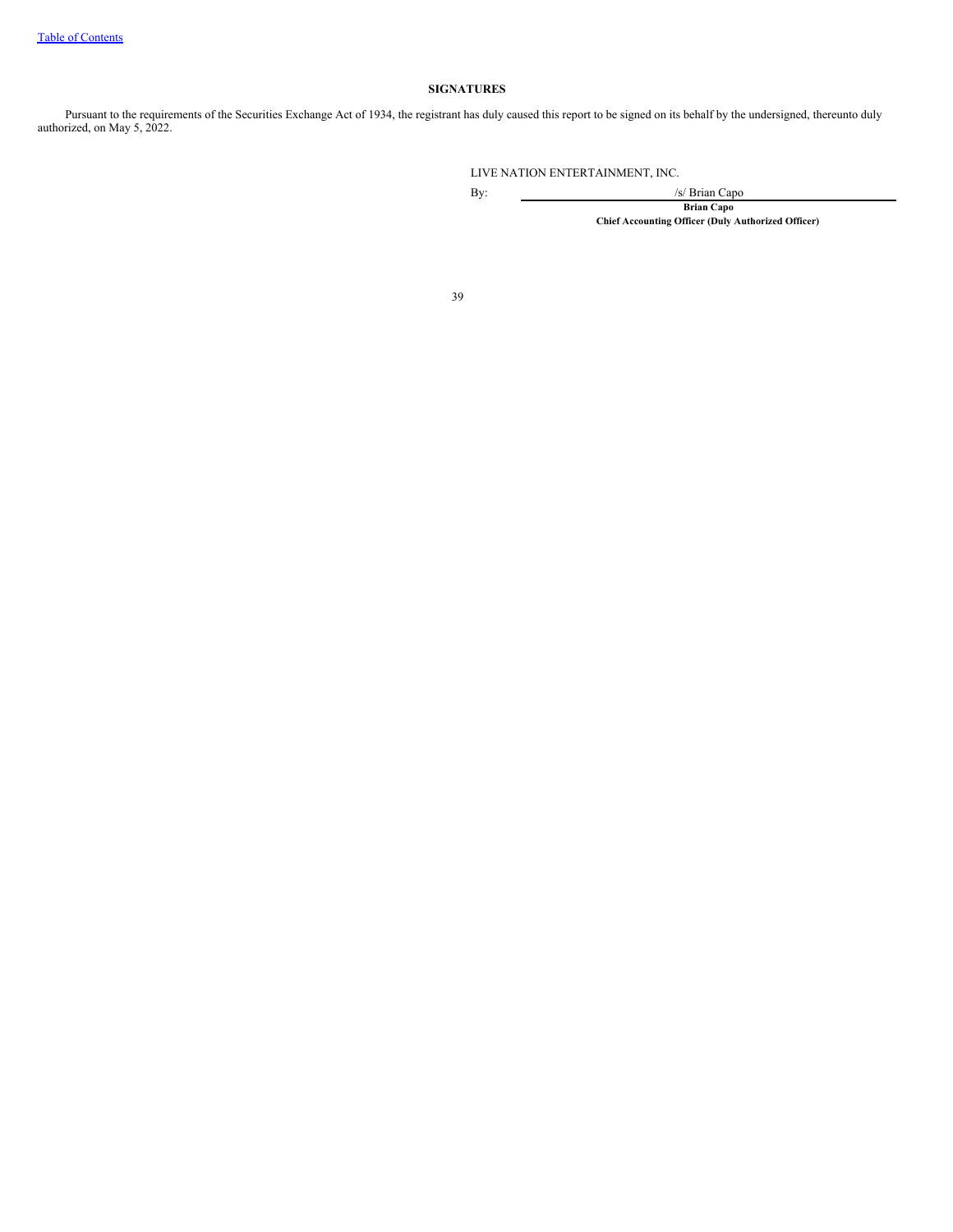# **SIGNATURES**

Pursuant to the requirements of the Securities Exchange Act of 1934, the registrant has duly caused this report to be signed on its behalf by the undersigned, thereunto duly authorized, on May 5, 2022.

LIVE NATION ENTERTAINMENT, INC.

By:  $\frac{1}{s}$  /s/ Brian Capo

**Brian Capo Chief Accounting Officer (Duly Authorized Officer)**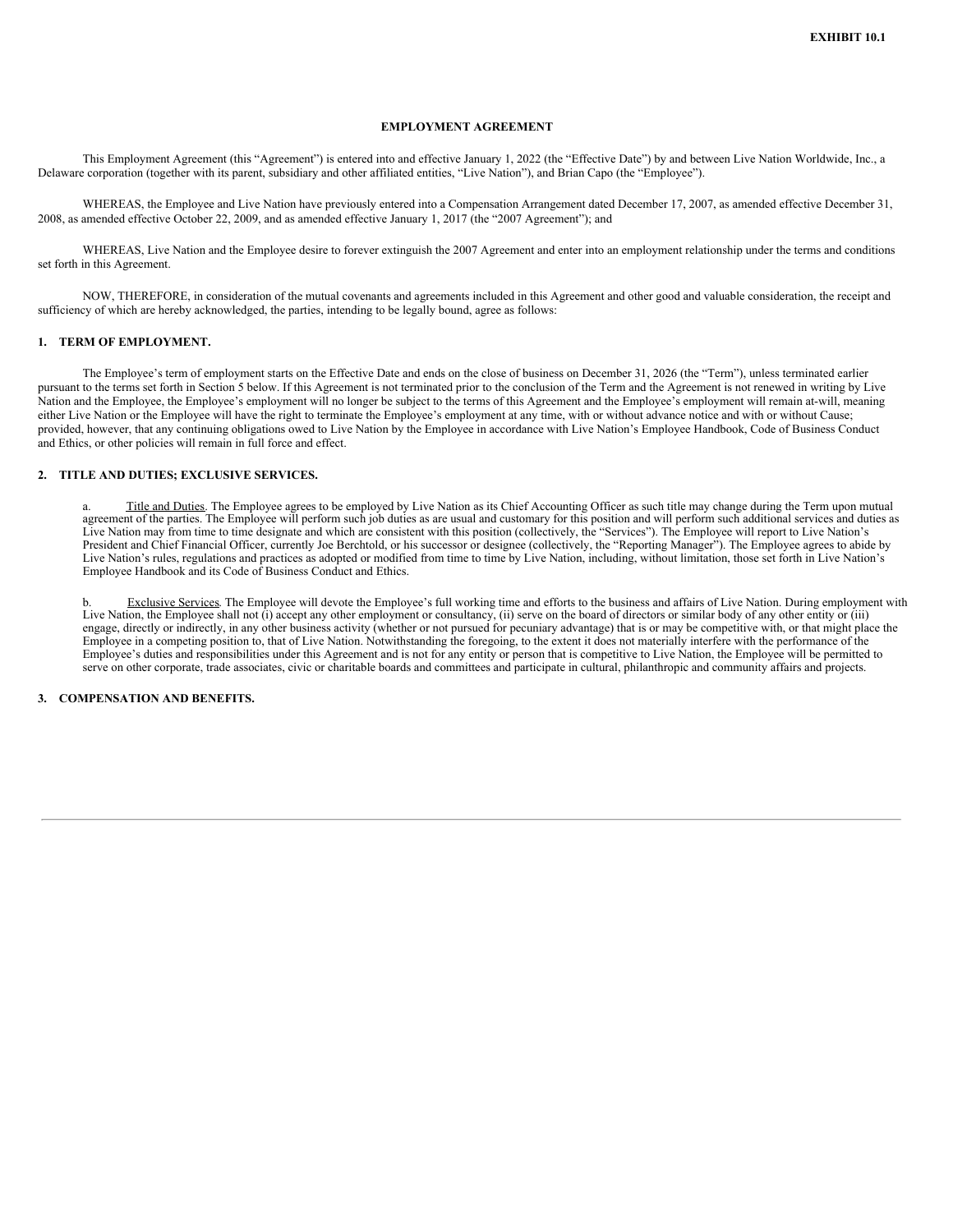### **EMPLOYMENT AGREEMENT**

This Employment Agreement (this "Agreement") is entered into and effective January 1, 2022 (the "Effective Date") by and between Live Nation Worldwide, Inc., a Delaware corporation (together with its parent, subsidiary and other affiliated entities, "Live Nation"), and Brian Capo (the "Employee").

WHEREAS, the Employee and Live Nation have previously entered into a Compensation Arrangement dated December 17, 2007, as amended effective December 31, 2008, as amended effective October 22, 2009, and as amended effective January 1, 2017 (the "2007 Agreement"); and

WHEREAS, Live Nation and the Employee desire to forever extinguish the 2007 Agreement and enter into an employment relationship under the terms and conditions set forth in this Agreement.

NOW, THEREFORE, in consideration of the mutual covenants and agreements included in this Agreement and other good and valuable consideration, the receipt and sufficiency of which are hereby acknowledged, the parties, intending to be legally bound, agree as follows:

# **1. TERM OF EMPLOYMENT.**

The Employee's term of employment starts on the Effective Date and ends on the close of business on December 31, 2026 (the "Term"), unless terminated earlier pursuant to the terms set forth in Section 5 below. If this Agreement is not terminated prior to the conclusion of the Term and the Agreement is not renewed in writing by Live Nation and the Employee, the Employee's employment will no longer be subject to the terms of this Agreement and the Employee's employment will remain at-will, meaning either Live Nation or the Employee will have the right to terminate the Employee's employment at any time, with or without advance notice and with or without Cause; provided, however, that any continuing obligations owed to Live Nation by the Employee in accordance with Live Nation's Employee Handbook, Code of Business Conduct and Ethics, or other policies will remain in full force and effect.

# **2. TITLE AND DUTIES; EXCLUSIVE SERVICES.**

a. Title and Duties. The Employee agrees to be employed by Live Nation as its Chief Accounting Officer as such title may change during the Term upon mutual agreement of the parties. The Employee will perform such job duties as are usual and customary for this position and will perform such additional services and duties as Live Nation may from time to time designate and which are consistent with this position (collectively, the "Services"). The Employee will report to Live Nation's President and Chief Financial Officer, currently Joe Berchtold, or his successor or designee (collectively, the "Reporting Manager"). The Employee agrees to abide by Live Nation's rules, regulations and practices as adopted or modified from time to time by Live Nation, including, without limitation, those set forth in Live Nation's Employee Handbook and its Code of Business Conduct and Ethics.

b. Exclusive Services. The Employee will devote the Employee's full working time and efforts to the business and affairs of Live Nation. During employment with Live Nation, the Employee shall not (i) accept any other employment or consultancy, (ii) serve on the board of directors or similar body of any other entity or (iii) engage, directly or indirectly, in any other business activity (whether or not pursued for pecuniary advantage) that is or may be competitive with, or that might place the Employee in a competing position to, that of Live Nation. Notwithstanding the foregoing, to the extent it does not materially interfere with the performance of the Employee's duties and responsibilities under this Agreement and is not for any entity or person that is competitive to Live Nation, the Employee will be permitted to serve on other corporate, trade associates, civic or charitable boards and committees and participate in cultural, philanthropic and community affairs and projects.

# **3. COMPENSATION AND BENEFITS.**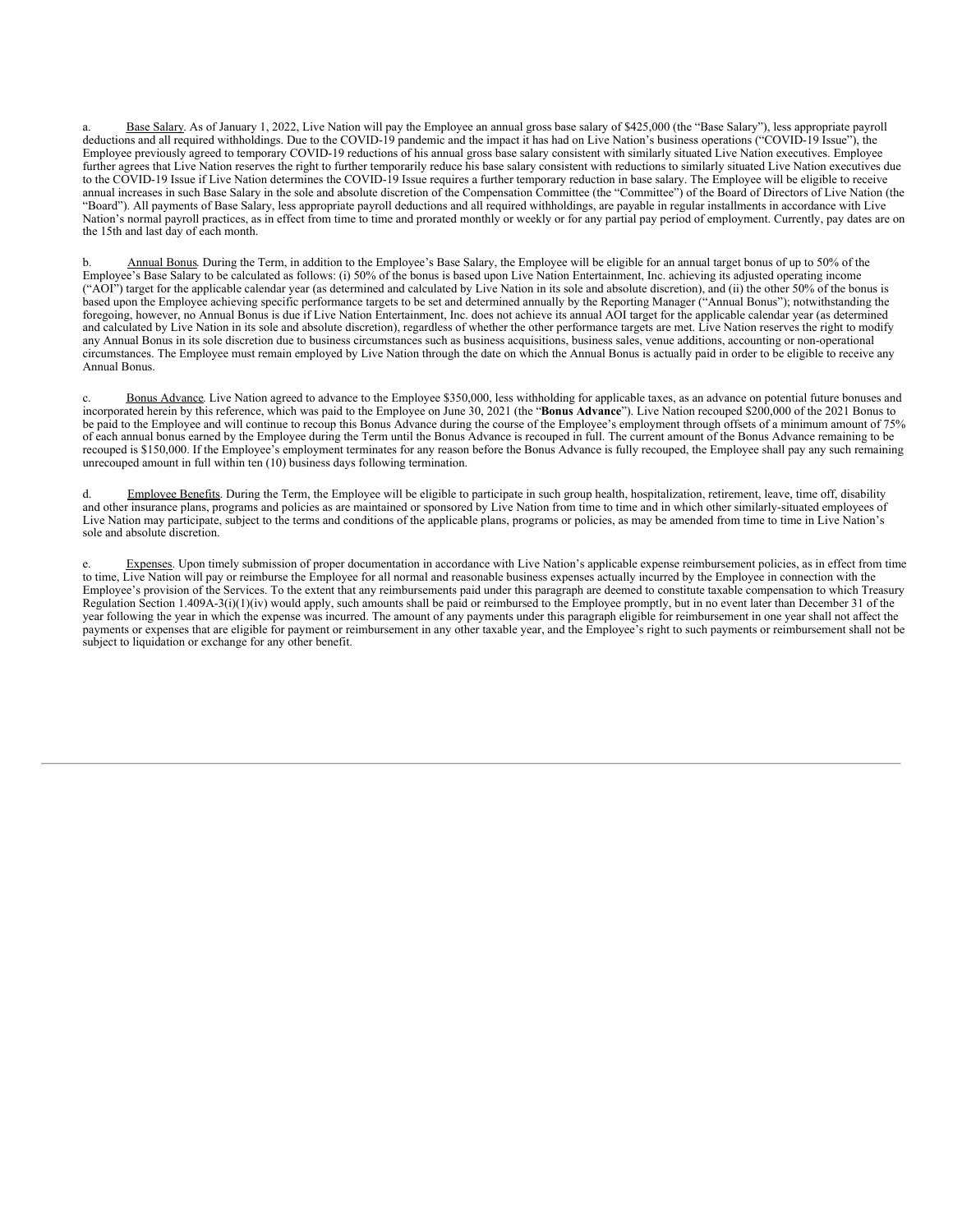Base Salary. As of January 1, 2022, Live Nation will pay the Employee an annual gross base salary of \$425,000 (the "Base Salary"), less appropriate payroll deductions and all required withholdings. Due to the COVID-19 pandemic and the impact it has had on Live Nation's business operations ("COVID-19 Issue"), the Employee previously agreed to temporary COVID-19 reductions of his annual gross base salary consistent with similarly situated Live Nation executives. Employee further agrees that Live Nation reserves the right to further temporarily reduce his base salary consistent with reductions to similarly situated Live Nation executives due to the COVID-19 Issue if Live Nation determines the COVID-19 Issue requires a further temporary reduction in base salary. The Employee will be eligible to receive annual increases in such Base Salary in the sole and absolute discretion of the Compensation Committee (the "Committee") of the Board of Directors of Live Nation (the "Board"). All payments of Base Salary, less appropriate payroll deductions and all required withholdings, are payable in regular installments in accordance with Live Nation's normal payroll practices, as in effect from time to time and prorated monthly or weekly or for any partial pay period of employment. Currently, pay dates are on the 15th and last day of each month.

b. Annual Bonus. During the Term, in addition to the Employee's Base Salary, the Employee will be eligible for an annual target bonus of up to 50% of the Employee's Base Salary to be calculated as follows: (i) 50% of the bonus is based upon Live Nation Entertainment, Inc. achieving its adjusted operating income  $(4\Delta OI^2)$  target for the applicable calendar year (as determined and calculated by Live Nation in its sole and absolute discretion), and (ii) the other 50% of the bonus is based upon the Employee achieving specific performance targets to be set and determined annually by the Reporting Manager ("Annual Bonus"); notwithstanding the foregoing, however, no Annual Bonus is due if Live Nation Entertainment, Inc. does not achieve its annual AOI target for the applicable calendar year (as determined and calculated by Live Nation in its sole and absolute discretion), regardless of whether the other performance targets are met. Live Nation reserves the right to modify any Annual Bonus in its sole discretion due to business circumstances such as business acquisitions, business sales, venue additions, accounting or non-operational circumstances. The Employee must remain employed by Live Nation through the date on which the Annual Bonus is actually paid in order to be eligible to receive any Annual Bonus.

c. Bonus Advance. Live Nation agreed to advance to the Employee \$350,000, less withholding for applicable taxes, as an advance on potential future bonuses and incorporated herein by this reference, which was paid to the Employee on June 30, 2021 (the "**Bonus Advance**"). Live Nation recouped \$200,000 of the 2021 Bonus to be paid to the Employee and will continue to recoup this Bonus Advance during the course of the Employee's employment through offsets of a minimum amount of 75% of each annual bonus earned by the Employee during the Term until the Bonus Advance is recouped in full. The current amount of the Bonus Advance remaining to be recouped is \$150,000. If the Employee's employment terminates for any reason before the Bonus Advance is fully recouped, the Employee shall pay any such remaining unrecouped amount in full within ten (10) business days following termination.

d. Employee Benefits. During the Term, the Employee will be eligible to participate in such group health, hospitalization, retirement, leave, time off, disability and other insurance plans, programs and policies as are maintained or sponsored by Live Nation from time to time and in which other similarly-situated employees of Live Nation may participate, subject to the terms and conditions of the applicable plans, programs or policies, as may be amended from time to time in Live Nation's sole and absolute discretion.

e. Expenses. Upon timely submission of proper documentation in accordance with Live Nation's applicable expense reimbursement policies, as in effect from time to time, Live Nation will pay or reimburse the Employee for all normal and reasonable business expenses actually incurred by the Employee in connection with the Employee's provision of the Services. To the extent that any reimbursements paid under this paragraph are deemed to constitute taxable compensation to which Treasury Regulation Section 1.409A-3(i)(1)(iv) would apply, such amounts shall be paid or reimbursed to the Employee promptly, but in no event later than December 31 of the year following the year in which the expense was incurred. The amount of any payments under this paragraph eligible for reimbursement in one year shall not affect the payments or expenses that are eligible for payment or reimbursement in any other taxable year, and the Employee's right to such payments or reimbursement shall not be subject to liquidation or exchange for any other benefit.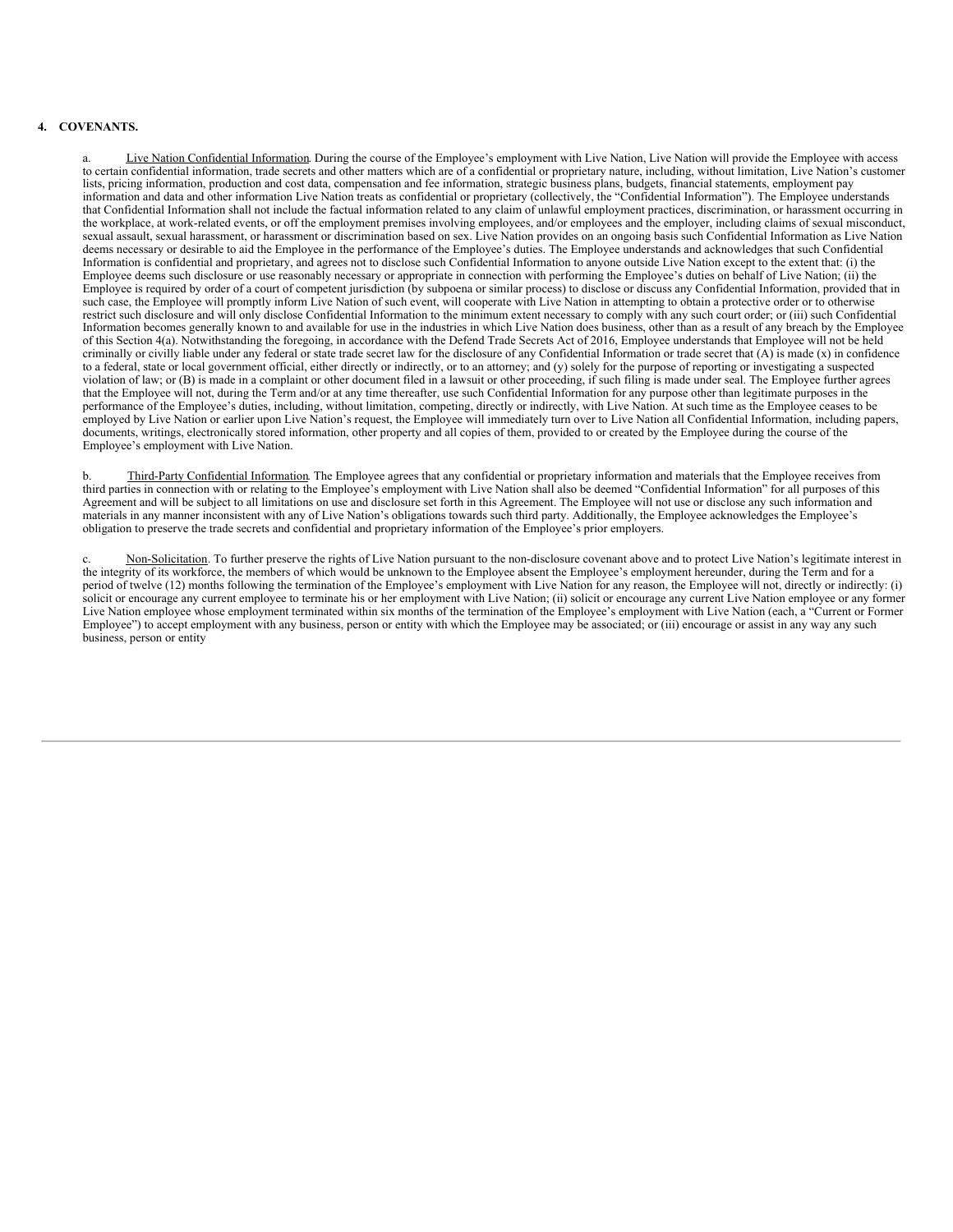# **4. COVENANTS.**

a. Live Nation Confidential Information. During the course of the Employee's employment with Live Nation, Live Nation will provide the Employee with access to certain confidential information, trade secrets and other matters which are of a confidential or proprietary nature, including, without limitation, Live Nation's customer lists, pricing information, production and cost data, compensation and fee information, strategic business plans, budgets, financial statements, employment pay information and data and other information Live Nation treats as confidential or proprietary (collectively, the "Confidential Information"). The Employee understands that Confidential Information shall not include the factual information related to any claim of unlawful employment practices, discrimination, or harassment occurring in the workplace, at work-related events, or off the employment premises involving employees, and/or employees and the employer, including claims of sexual misconduct, sexual assault, sexual harassment, or harassment or discrimination based on sex. Live Nation provides on an ongoing basis such Confidential Information as Live Nation deems necessary or desirable to aid the Employee in the performance of the Employee's duties. The Employee understands and acknowledges that such Confidential Information is confidential and proprietary, and agrees not to disclose such Confidential Information to anyone outside Live Nation except to the extent that: (i) the Employee deems such disclosure or use reasonably necessary or appropriate in connection with performing the Employee's duties on behalf of Live Nation; (ii) the Employee is required by order of a court of competent jurisdiction (by subpoena or similar process) to disclose or discuss any Confidential Information, provided that in such case, the Employee will promptly inform Live Nation of such event, will cooperate with Live Nation in attempting to obtain a protective order or to otherwise restrict such disclosure and will only disclose Confidential Information to the minimum extent necessary to comply with any such court order; or (iii) such Confidential Information becomes generally known to and available for use in the industries in which Live Nation does business, other than as a result of any breach by the Employee of this Section 4(a). Notwithstanding the foregoing, in accordance with the Defend Trade Secrets Act of 2016, Employee understands that Employee will not be held criminally or civilly liable under any federal or state trade secret law for the disclosure of any Confidential Information or trade secret that  $(A)$  is made  $(x)$  in confidence to a federal, state or local government official, either directly or indirectly, or to an attorney; and (y) solely for the purpose of reporting or investigating a suspected violation of law; or (B) is made in a complaint or other document filed in a lawsuit or other proceeding, if such filing is made under seal. The Employee further agrees that the Employee will not, during the Term and/or at any time thereafter, use such Confidential Information for any purpose other than legitimate purposes in the performance of the Employee's duties, including, without limitation, competing, directly or indirectly, with Live Nation. At such time as the Employee ceases to be employed by Live Nation or earlier upon Live Nation's request, the Employee will immediately turn over to Live Nation all Confidential Information, including papers, documents, writings, electronically stored information, other property and all copies of them, provided to or created by the Employee during the course of the Employee's employment with Live Nation.

b. Third-Party Confidential Information. The Employee agrees that any confidential or proprietary information and materials that the Employee receives from third parties in connection with or relating to the Employee's employment with Live Nation shall also be deemed "Confidential Information" for all purposes of this Agreement and will be subject to all limitations on use and disclosure set forth in this Agreement. The Employee will not use or disclose any such information and materials in any manner inconsistent with any of Live Nation's obligations towards such third party. Additionally, the Employee acknowledges the Employee's obligation to preserve the trade secrets and confidential and proprietary information of the Employee's prior employers.

Non-Solicitation. To further preserve the rights of Live Nation pursuant to the non-disclosure covenant above and to protect Live Nation's legitimate interest in the integrity of its workforce, the members of which would be unknown to the Employee absent the Employee's employment hereunder, during the Term and for a period of twelve (12) months following the termination of the Employee's employment with Live Nation for any reason, the Employee will not, directly or indirectly: (i) solicit or encourage any current employee to terminate his or her employment with Live Nation; (ii) solicit or encourage any current Live Nation employee or any former Live Nation employee whose employment terminated within six months of the termination of the Employee's employment with Live Nation (each, a "Current or Former") Employee") to accept employment with any business, person or entity with which the Employee may be associated; or (iii) encourage or assist in any way any such business, person or entity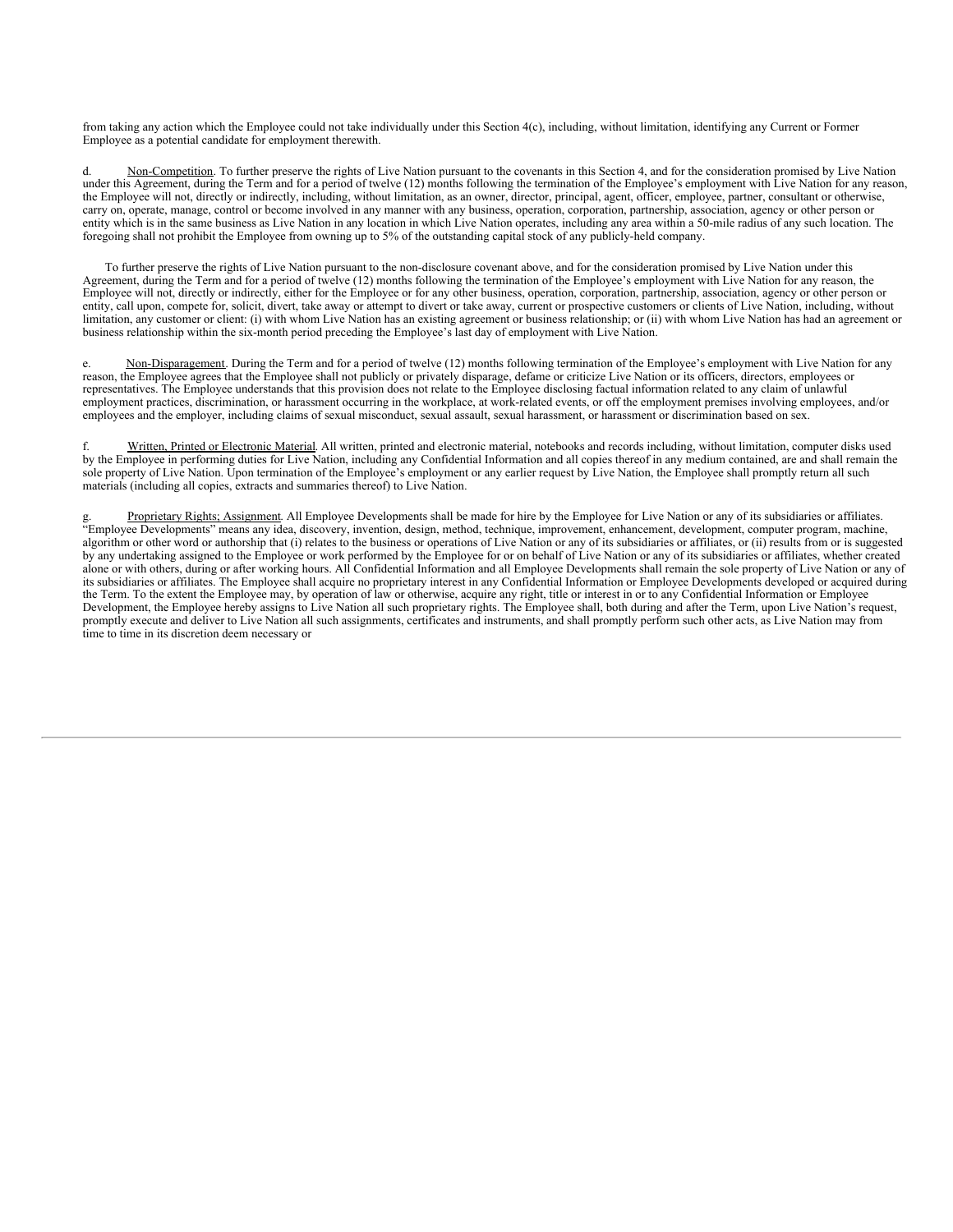from taking any action which the Employee could not take individually under this Section 4(c), including, without limitation, identifying any Current or Former Employee as a potential candidate for employment therewith.

d. Non-Competition. To further preserve the rights of Live Nation pursuant to the covenants in this Section 4, and for the consideration promised by Live Nation under this Agreement, during the Term and for a period of twelve (12) months following the termination of the Employee's employment with Live Nation for any reason, the Employee will not, directly or indirectly, including, without limitation, as an owner, director, principal, agent, officer, employee, partner, consultant or otherwise, carry on, operate, manage, control or become involved in any manner with any business, operation, corporation, partnership, association, agency or other person or entity which is in the same business as Live Nation in any location in which Live Nation operates, including any area within a 50-mile radius of any such location. The foregoing shall not prohibit the Employee from owning up to 5% of the outstanding capital stock of any publicly-held company.

To further preserve the rights of Live Nation pursuant to the non-disclosure covenant above, and for the consideration promised by Live Nation under this Agreement, during the Term and for a period of twelve (12) months following the termination of the Employee's employment with Live Nation for any reason, the Employee will not, directly or indirectly, either for the Employee or for any other business, operation, corporation, partnership, association, agency or other person or entity, call upon, compete for, solicit, divert, take away or attempt to divert or take away, current or prospective customers or clients of Live Nation, including, without limitation, any customer or client: (i) with whom Live Nation has an existing agreement or business relationship; or (ii) with whom Live Nation has had an agreement or business relationship within the six-month period preceding the Employee's last day of employment with Live Nation.

e. Non-Disparagement. During the Term and for a period of twelve (12) months following termination of the Employee's employment with Live Nation for any reason, the Employee agrees that the Employee shall not publicly or privately disparage, defame or criticize Live Nation or its officers, directors, employees or representatives. The Employee understands that this provision does not relate to the Employee disclosing factual information related to any claim of unlawful employment practices, discrimination, or harassment occurring in the workplace, at work-related events, or off the employment premises involving employees, and/or employees and the employer, including claims of sexual misconduct, sexual assault, sexual harassment, or harassment or discrimination based on sex.

f. Written, Printed or Electronic Material. All written, printed and electronic material, notebooks and records including, without limitation, computer disks used by the Employee in performing duties for Live Nation, including any Confidential Information and all copies thereof in any medium contained, are and shall remain the sole property of Live Nation. Upon termination of the Employee's employment or any earlier request by Live Nation, the Employee shall promptly return all such materials (including all copies, extracts and summaries thereof) to Live Nation.

Proprietary Rights; Assignment. All Employee Developments shall be made for hire by the Employee for Live Nation or any of its subsidiaries or affiliates. g. Proprietary Rights: Assignment. All Employee Developments statu be made to the Computer of Live Computer in the Second Computer program, machine, improvement, and the "Employee Development," machine, incomputer program, algorithm or other word or authorship that (i) relates to the business or operations of Live Nation or any of its subsidiaries or affiliates, or (ii) results from or is suggested by any undertaking assigned to the Employee or work performed by the Employee for or on behalf of Live Nation or any of its subsidiaries or affiliates, whether created alone or with others, during or after working hours. All Confidential Information and all Employee Developments shall remain the sole property of Live Nation or any of its subsidiaries or affiliates. The Employee shall acquire no proprietary interest in any Confidential Information or Employee Developments developed or acquired during the Term. To the extent the Employee may, by operation of law or otherwise, acquire any right, title or interest in or to any Confidential Information or Employee Development, the Employee hereby assigns to Live Nation all such proprietary rights. The Employee shall, both during and after the Term, upon Live Nation's request, promptly execute and deliver to Live Nation all such assignments, certificates and instruments, and shall promptly perform such other acts, as Live Nation may from time to time in its discretion deem necessary or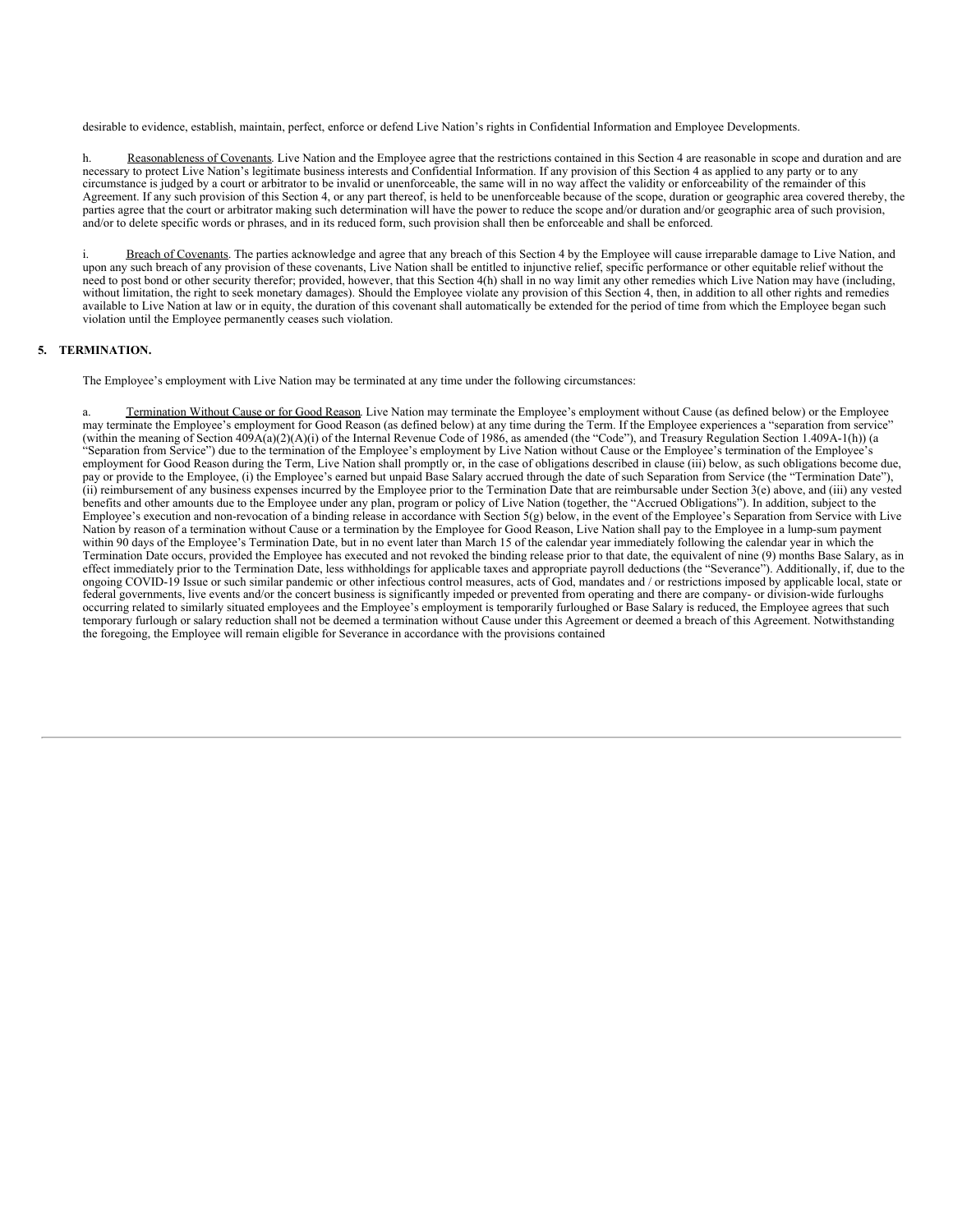desirable to evidence, establish, maintain, perfect, enforce or defend Live Nation's rights in Confidential Information and Employee Developments.

h. Reasonableness of Covenants. Live Nation and the Employee agree that the restrictions contained in this Section 4 are reasonable in scope and duration and are necessary to protect Live Nation's legitimate business interests and Confidential Information. If any provision of this Section 4 as applied to any party or to any circumstance is judged by a court or arbitrator to be invalid or unenforceable, the same will in no way affect the validity or enforceability of the remainder of this Agreement. If any such provision of this Section 4, or any part thereof, is held to be unenforceable because of the scope, duration or geographic area covered thereby, the parties agree that the court or arbitrator making such determination will have the power to reduce the scope and/or duration and/or geographic area of such provision, and/or to delete specific words or phrases, and in its reduced form, such provision shall then be enforceable and shall be enforced.

Breach of Covenants. The parties acknowledge and agree that any breach of this Section 4 by the Employee will cause irreparable damage to Live Nation, and upon any such breach of any provision of these covenants, Live Nation shall be entitled to injunctive relief, specific performance or other equitable relief without the need to post bond or other security therefor; provided, however, that this Section 4(h) shall in no way limit any other remedies which Live Nation may have (including, without limitation, the right to seek monetary damages). Should the Employee violate any provision of this Section 4, then, in addition to all other rights and remedies available to Live Nation at law or in equity, the duration of this covenant shall automatically be extended for the period of time from which the Employee began such violation until the Employee permanently ceases such violation.

# **5. TERMINATION.**

The Employee's employment with Live Nation may be terminated at any time under the following circumstances:

a. Termination Without Cause or for Good Reason. Live Nation may terminate the Employee's employment without Cause (as defined below) or the Employee may terminate the Employee's employment for Good Reason (as defined below) at any time during the Term. If the Employee experiences a "separation from service" (within the meaning of Section 409A(a)(2)(A)(i) of the Internal Revenue Code of 1986, as amended (the "Code"), and Treasury Regulation Section 1.409A-1(h)) (a "Separation from Service") due to the termination of the Employee's employment by Live Nation without Cause or the Employee's termination of the Employee's employment for Good Reason during the Term, Live Nation shall promptly or, in the case of obligations described in clause (iii) below, as such obligations become due, pay or provide to the Employee, (i) the Employee's earned but unpaid Base Salary accrued through the date of such Separation from Service (the "Termination Date"), (ii) reimbursement of any business expenses incurred by the Employee prior to the Termination Date that are reimbursable under Section 3(e) above, and (iii) any vested benefits and other amounts due to the Employee under any plan, program or policy of Live Nation (together, the "Accrued Obligations"). In addition, subject to the Employee's execution and non-revocation of a binding release in accordance with Section 5(g) below, in the event of the Employee's Separation from Service with Live Nation by reason of a termination without Cause or a termination by the Employee for Good Reason, Live Nation shall pay to the Employee in a lump-sum payment within 90 days of the Employee's Termination Date, but in no event later than March 15 of the calendar year immediately following the calendar year in which the Termination Date occurs, provided the Employee has executed and not revoked the binding release prior to that date, the equivalent of nine (9) months Base Salary, as in effect immediately prior to the Termination Date, less withholdings for applicable taxes and appropriate payroll deductions (the "Severance"). Additionally, if, due to the ongoing COVID-19 Issue or such similar pandemic or other infectious control measures, acts of God, mandates and / or restrictions imposed by applicable local, state or federal governments, live events and/or the concert business is significantly impeded or prevented from operating and there are company- or division-wide furloughs occurring related to similarly situated employees and the Employee's employment is temporarily furloughed or Base Salary is reduced, the Employee agrees that such temporary furlough or salary reduction shall not be deemed a termination without Cause under this Agreement or deemed a breach of this Agreement. Notwithstanding the foregoing, the Employee will remain eligible for Severance in accordance with the provisions contained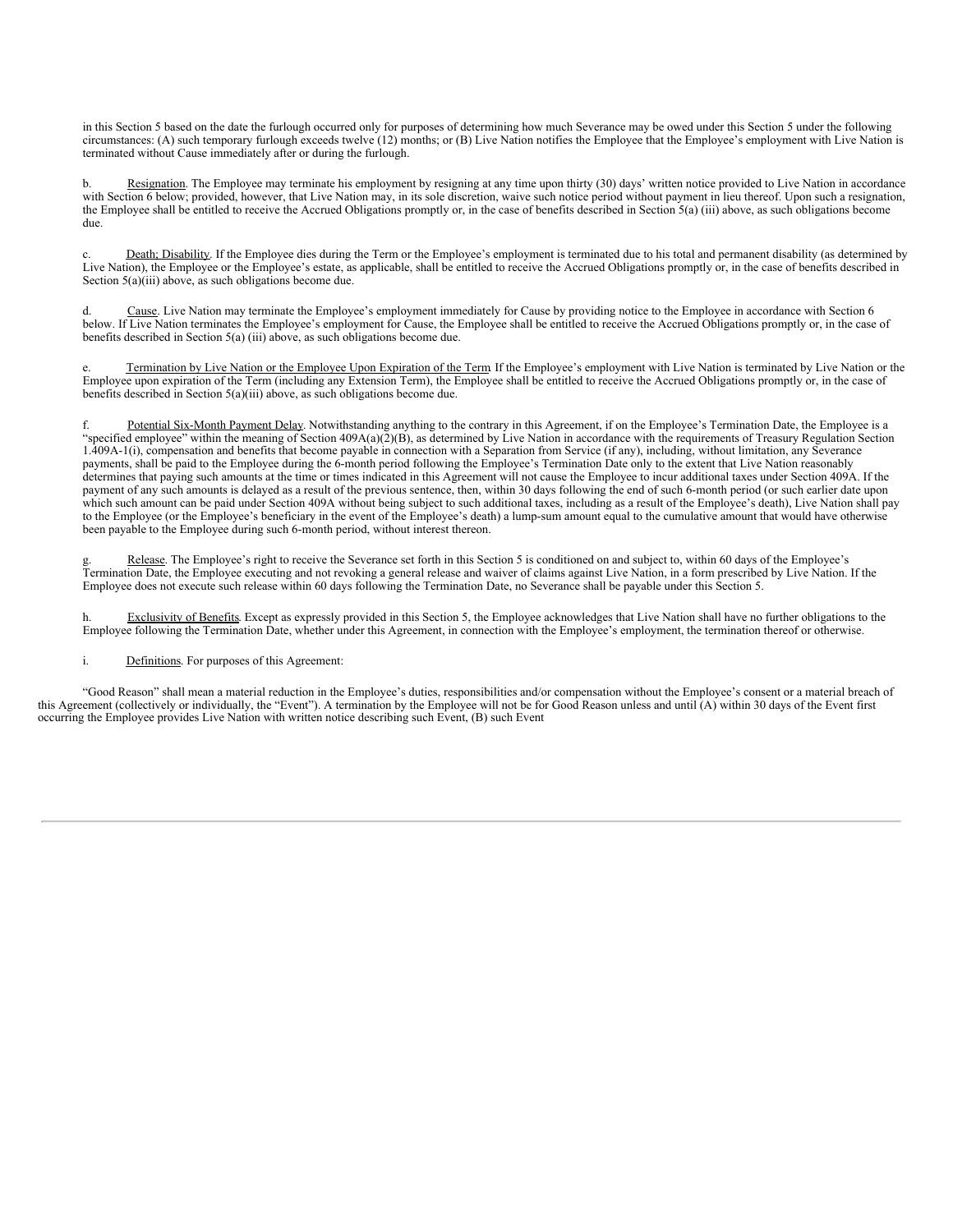<span id="page-45-0"></span>in this Section 5 based on the date the furlough occurred only for purposes of determining how much Severance may be owed under this Section 5 under the following circumstances: (A) such temporary furlough exceeds twelve (12) months; or (B) Live Nation notifies the Employee that the Employee's employment with Live Nation is terminated without Cause immediately after or during the furlough.

b. Resignation. The Employee may terminate his employment by resigning at any time upon thirty (30) days' written notice provided to Live Nation in accordance with Section 6 below; provided, however, that Live Nation may, in its sole discretion, waive such notice period without payment in lieu thereof. Upon such a resignation, the Employee shall be entitled to receive the Accrued Obligations promptly or, in the case of benefits described in Section 5(a) (iii) above, as such obligations become due.

c. Death; Disability. If the Employee dies during the Term or the Employee's employment is terminated due to his total and permanent disability (as determined by Live Nation), the Employee or the Employee's estate, as applicable, shall be entitled to receive the Accrued Obligations promptly or, in the case of benefits described in Section  $5(a)(iii)$  above, as such obligations become due.

d. Cause. Live Nation may terminate the Employee's employment immediately for Cause by providing notice to the Employee in accordance with Section 6 below. If Live Nation terminates the Employee's employment for Cause, the Employee shall be entitled to receive the Accrued Obligations promptly or, in the case of benefits described in Section 5(a) (iii) above, as such obligations become due.

Termination by Live Nation or the Employee Upon Expiration of the Term. If the Employee's employment with Live Nation is terminated by Live Nation or the Employee upon expiration of the Term (including any Extension Term), the Employee shall be entitled to receive the Accrued Obligations promptly or, in the case of benefits described in Section 5(a)(iii) above, as such obligations become due.

Potential Six-Month Payment Delay. Notwithstanding anything to the contrary in this Agreement, if on the Employee's Termination Date, the Employee is a "specified employee" within the meaning of Section 409A(a)(2)(B), as determined by Live Nation in accordance with the requirements of Treasury Regulation Section 1.409A-1(i), compensation and benefits that become payable in connection with a Separation from Service (if any), including, without limitation, any Severance payments, shall be paid to the Employee during the 6-month period following the Employee's Termination Date only to the extent that Live Nation reasonably determines that paying such amounts at the time or times indicated in this Agreement will not cause the Employee to incur additional taxes under Section 409A. If the payment of any such amounts is delayed as a result of the previous sentence, then, within 30 days following the end of such 6-month period (or such earlier date upon which such amount can be paid under Section 409A without being subject to such additional taxes, including as a result of the Employee's death), Live Nation shall pay to the Employee (or the Employee's beneficiary in the event of the Employee's death) a lump-sum amount equal to the cumulative amount that would have otherwise been payable to the Employee during such 6-month period, without interest thereon.

Release. The Employee's right to receive the Severance set forth in this Section 5 is conditioned on and subject to, within 60 days of the Employee's g. Release. The Employee s right to receive the overance set total in ans occupited is commutated on and only even by the matter of claims against Live Nation, in a form prescribed by Live Nation. If the Termination Date, Employee does not execute such release within 60 days following the Termination Date, no Severance shall be payable under this Section 5.

h. Exclusivity of Benefits. Except as expressly provided in this Section 5, the Employee acknowledges that Live Nation shall have no further obligations to the Employee following the Termination Date, whether under this Agreement, in connection with the Employee's employment, the termination thereof or otherwise.

i. Definitions. For purposes of this Agreement:

"Good Reason" shall mean a material reduction in the Employee's duties, responsibilities and/or compensation without the Employee's consent or a material breach of this Agreement (collectively or individually, the "Event"). A termination by the Employee will not be for Good Reason unless and until (A) within 30 days of the Event first occurring the Employee provides Live Nation with written notice describing such Event, (B) such Event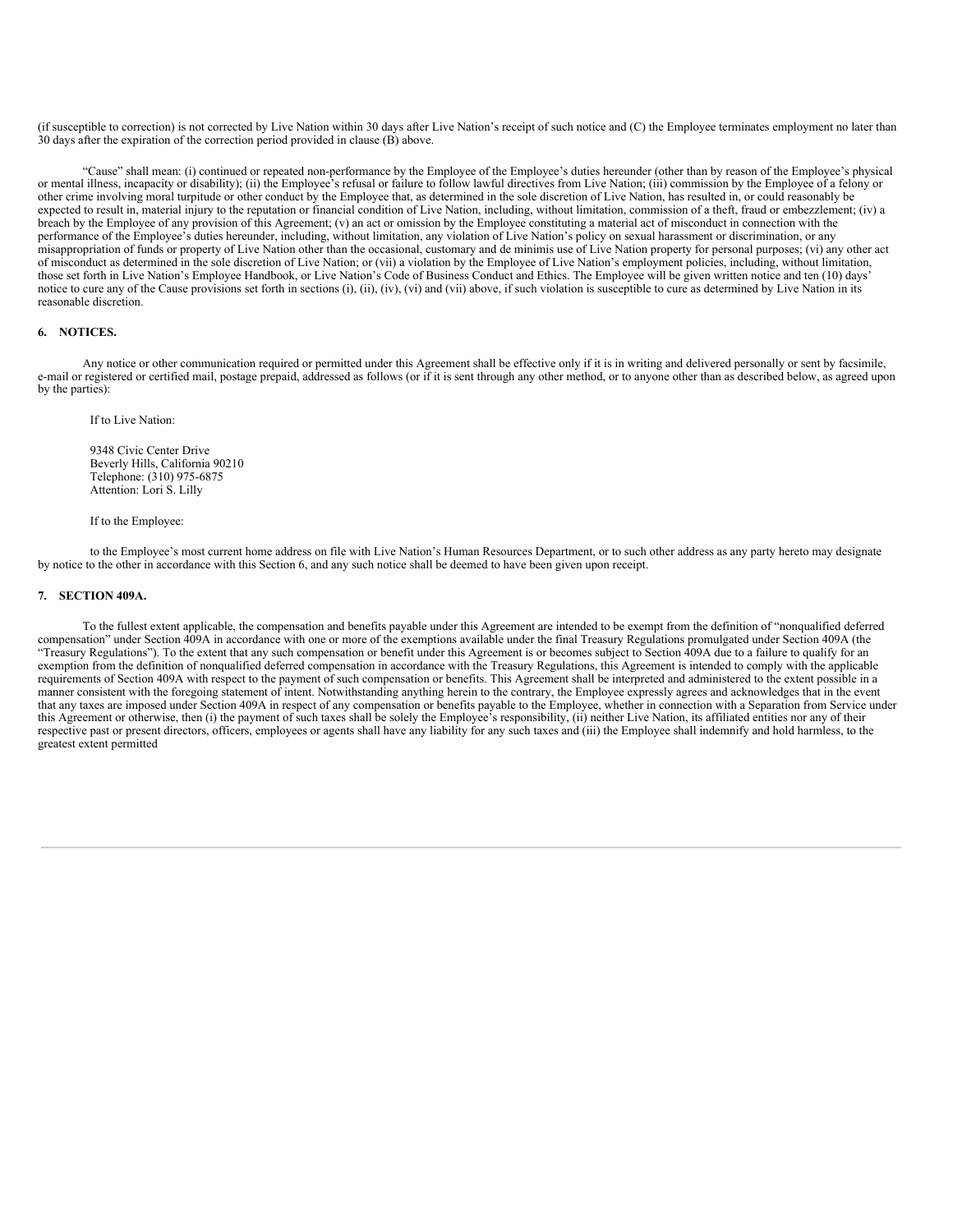(if susceptible to correction) is not corrected by Live Nation within 30 days after Live Nation's receipt of such notice and (C) the Employee terminates employment no later than 30 days after the expiration of the correction period provided in clause (B) above.

"Cause" shall mean: (i) continued or repeated non-performance by the Employee of the Employee's duties hereunder (other than by reason of the Employee's physical or mental illness, incapacity or disability); (ii) the Employee's refusal or failure to follow lawful directives from Live Nation; (iii) commission by the Employee of a felony or other crime involving moral turpitude or other conduct by the Employee that, as determined in the sole discretion of Live Nation, has resulted in, or could reasonably be expected to result in, material injury to the reputation or financial condition of Live Nation, including, without limitation, commission of a theft, fraud or embezzlement; (iv) a breach by the Employee of any provision of this Agreement; (v) an act or omission by the Employee constituting a material act of misconduct in connection with the performance of the Employee's duties hereunder, including, without limitation, any violation of Live Nation's policy on sexual harassment or discrimination, or any misappropriation of funds or property of Live Nation other than the occasional, customary and de minimis use of Live Nation property for personal purposes; (vi) any other act of misconduct as determined in the sole discretion of Live Nation; or (vii) a violation by the Employee of Live Nation's employment policies, including, without limitation, those set forth in Live Nation's Employee Handbook, or Live Nation's Code of Business Conduct and Ethics. The Employee will be given written notice and ten (10) days' notice to cure any of the Cause provisions set forth in sections (i), (ii), (iv), (vi) and (vii) above, if such violation is susceptible to cure as determined by Live Nation in its reasonable discretion.

# **6. NOTICES.**

Any notice or other communication required or permitted under this Agreement shall be effective only if it is in writing and delivered personally or sent by facsimile, e-mail or registered or certified mail, postage prepaid, addressed as follows (or if it is sent through any other method, or to anyone other than as described below, as agreed upon by the parties):

If to Live Nation:

9348 Civic Center Drive Beverly Hills, California 90210 Telephone: (310) 975-6875 Attention: Lori S. Lilly

If to the Employee:

to the Employee's most current home address on file with Live Nation's Human Resources Department, or to such other address as any party hereto may designate by notice to the other in accordance with this Section 6, and any such notice shall be deemed to have been given upon receipt.

# **7. SECTION 409A.**

To the fullest extent applicable, the compensation and benefits payable under this Agreement are intended to be exempt from the definition of "nonqualified deferred compensation" under Section 409A in accordance with one or more of the exemptions available under the final Treasury Regulations promulgated under Section 409A (the "Treasury Regulations"). To the extent that any such compensation or benefit under this Agreement is or becomes subject to Section 409A due to a failure to qualify for an exemption from the definition of nonqualified deferred compensation in accordance with the Treasury Regulations, this Agreement is intended to comply with the applicable requirements of Section 409A with respect to the payment of such compensation or benefits. This Agreement shall be interpreted and administered to the extent possible in a manner consistent with the foregoing statement of intent. Notwithstanding anything herein to the contrary, the Employee expressly agrees and acknowledges that in the event that any taxes are imposed under Section 409A in respect of any compensation or benefits payable to the Employee, whether in connection with a Separation from Service under this Agreement or otherwise, then (i) the payment of such taxes shall be solely the Employee's responsibility, (ii) neither Live Nation, its affiliated entities nor any of their respective past or present directors, officers, employees or agents shall have any liability for any such taxes and (iii) the Employee shall indemnify and hold harmless, to the greatest extent permitted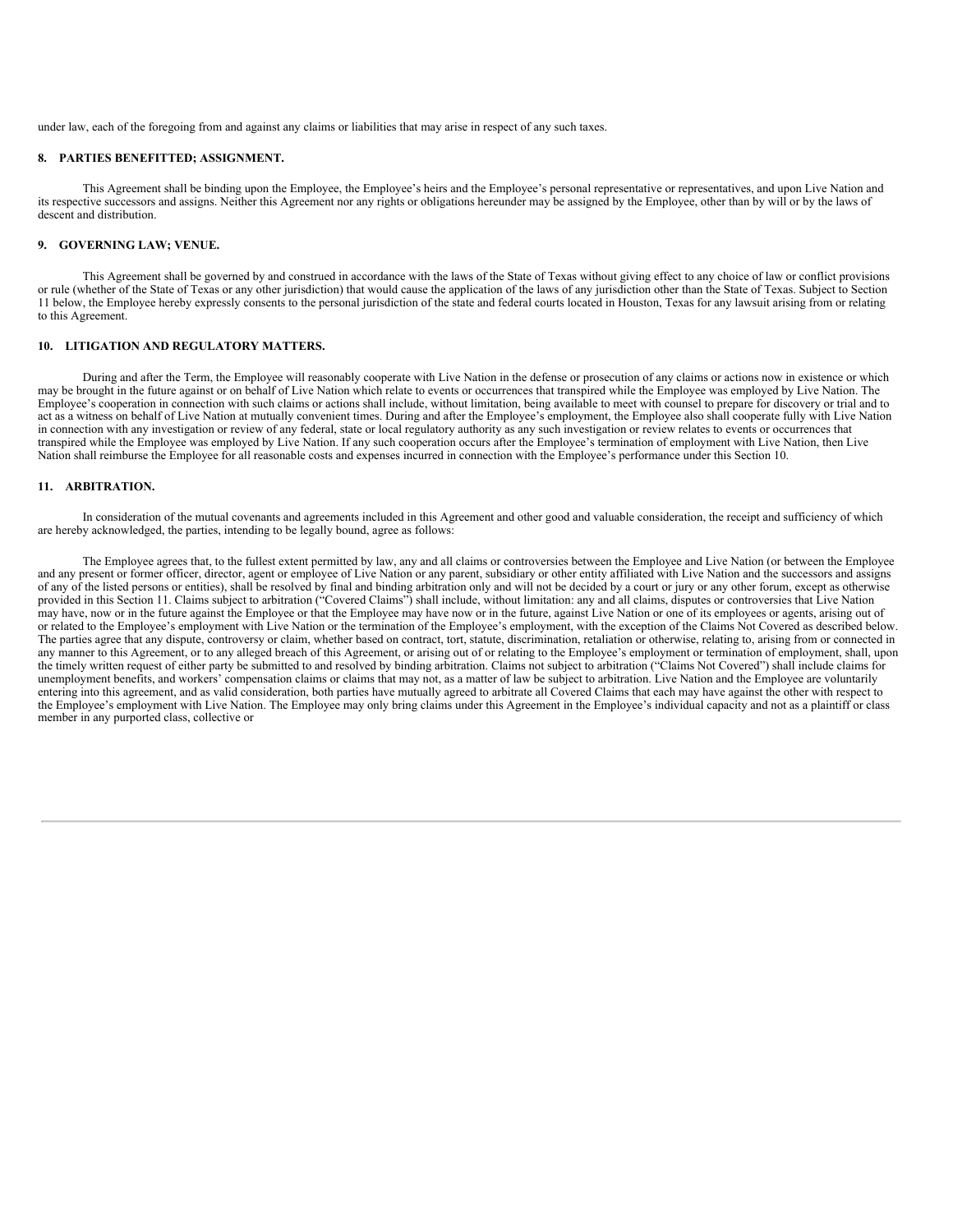under law, each of the foregoing from and against any claims or liabilities that may arise in respect of any such taxes.

# **8. PARTIES BENEFITTED; ASSIGNMENT.**

This Agreement shall be binding upon the Employee, the Employee's heirs and the Employee's personal representative or representatives, and upon Live Nation and its respective successors and assigns. Neither this Agreement nor any rights or obligations hereunder may be assigned by the Employee, other than by will or by the laws of descent and distribution.

# **9. GOVERNING LAW; VENUE.**

This Agreement shall be governed by and construed in accordance with the laws of the State of Texas without giving effect to any choice of law or conflict provisions or rule (whether of the State of Texas or any other jurisdiction) that would cause the application of the laws of any jurisdiction other than the State of Texas. Subject to Section 11 below, the Employee hereby expressly consents to the personal jurisdiction of the state and federal courts located in Houston, Texas for any lawsuit arising from or relating to this Agreement.

### **10. LITIGATION AND REGULATORY MATTERS.**

During and after the Term, the Employee will reasonably cooperate with Live Nation in the defense or prosecution of any claims or actions now in existence or which may be brought in the future against or on behalf of Live Nation which relate to events or occurrences that transpired while the Employee was employed by Live Nation. The Employee's cooperation in connection with such claims or actions shall include, without limitation, being available to meet with counsel to prepare for discovery or trial and to act as a witness on behalf of Live Nation at mutually convenient times. During and after the Employee's employment, the Employee also shall cooperate fully with Live Nation in connection with any investigation or review of any federal, state or local regulatory authority as any such investigation or review relates to events or occurrences that transpired while the Employee was employed by Live Nation. If any such cooperation occurs after the Employee's termination of employment with Live Nation, then Live Nation shall reimburse the Employee for all reasonable costs and expenses incurred in connection with the Employee's performance under this Section 10.

# **11. ARBITRATION.**

In consideration of the mutual covenants and agreements included in this Agreement and other good and valuable consideration, the receipt and sufficiency of which are hereby acknowledged, the parties, intending to be legally bound, agree as follows:

The Employee agrees that, to the fullest extent permitted by law, any and all claims or controversies between the Employee and Live Nation (or between the Employee and any present or former officer, director, agent or employee of Live Nation or any parent, subsidiary or other entity affiliated with Live Nation and the successors and assigns of any of the listed persons or entities), shall be resolved by final and binding arbitration only and will not be decided by a court or jury or any other forum, except as otherwise provided in this Section 11. Claims subject to arbitration ("Covered Claims") shall include, without limitation: any and all claims, disputes or controversies that Live Nation may have, now or in the future against the Employee or that the Employee may have now or in the future, against Live Nation or one of its employees or agents, arising out of or related to the Employee's employment with Live Nation or the termination of the Employee's employment, with the exception of the Claims Not Covered as described below. The parties agree that any dispute, controversy or claim, whether based on contract, tort, statute, discrimination, retaliation or otherwise, relating to, arising from or connected in any manner to this Agreement, or to any alleged breach of this Agreement, or arising out of or relating to the Employee's employment or termination of employment, shall, upon the timely written request of either party be submitted to and resolved by binding arbitration. Claims not subject to arbitration ("Claims Not Covered") shall include claims for unemployment benefits, and workers' compensation claims or claims that may not, as a matter of law be subject to arbitration. Live Nation and the Employee are voluntarily entering into this agreement, and as valid consideration, both parties have mutually agreed to arbitrate all Covered Claims that each may have against the other with respect to the Employee's employment with Live Nation. The Employee may only bring claims under this Agreement in the Employee's individual capacity and not as a plaintiff or class member in any purported class, collective or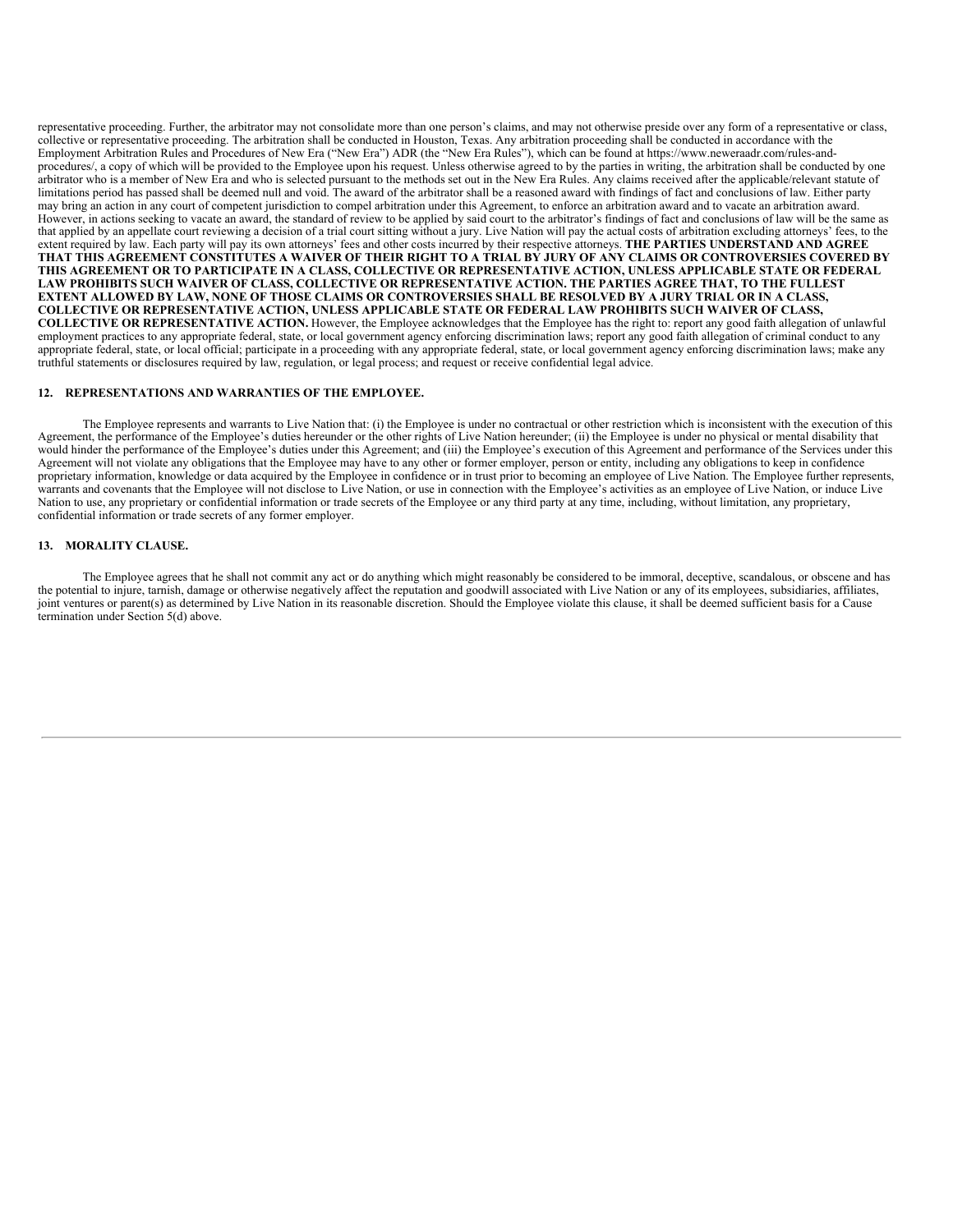representative proceeding. Further, the arbitrator may not consolidate more than one person's claims, and may not otherwise preside over any form of a representative or class, collective or representative proceeding. The arbitration shall be conducted in Houston, Texas. Any arbitration proceeding shall be conducted in accordance with the Employment Arbitration Rules and Procedures of New Era ("New Era") ADR (the "New Era Rules"), which can be found at https://www.neweraadr.com/rules-andprocedures/, a copy of which will be provided to the Employee upon his request. Unless otherwise agreed to by the parties in writing, the arbitration shall be conducted by one arbitrator who is a member of New Era and who is selected pursuant to the methods set out in the New Era Rules. Any claims received after the applicable/relevant statute of limitations period has passed shall be deemed null and void. The award of the arbitrator shall be a reasoned award with findings of fact and conclusions of law. Either party may bring an action in any court of competent jurisdiction to compel arbitration under this Agreement, to enforce an arbitration award and to vacate an arbitration award. However, in actions seeking to vacate an award, the standard of review to be applied by said court to the arbitrator's findings of fact and conclusions of law will be the same as that applied by an appellate court reviewing a decision of a trial court sitting without a jury. Live Nation will pay the actual costs of arbitration excluding attorneys' fees, to the extent required by law. Each party will pay its own attorneys' fees and other costs incurred by their respective attorneys. **THE PARTIES UNDERSTAND AND AGREE** THAT THIS AGREEMENT CONSTITUTES A WAIVER OF THEIR RIGHT TO A TRIAL BY JURY OF ANY CLAIMS OR CONTROVERSIES COVERED BY THIS AGREEMENT OR TO PARTICIPATE IN A CLASS, COLLECTIVE OR REPRESENTATIVE ACTION, UNLESS APPLICABLE STATE OR FEDERAL LAW PROHIBITS SUCH WAIVER OF CLASS, COLLECTIVE OR REPRESENTATIVE ACTION. THE PARTIES AGREE THAT, TO THE FULLEST EXTENT ALLOWED BY LAW, NONE OF THOSE CLAIMS OR CONTROVERSIES SHALL BE RESOLVED BY A JURY TRIAL OR IN A CLASS, **COLLECTIVE OR REPRESENTATIVE ACTION, UNLESS APPLICABLE STATE OR FEDERAL LAW PROHIBITS SUCH WAIVER OF CLASS, COLLECTIVE OR REPRESENTATIVE ACTION.** However, the Employee acknowledges that the Employee has the right to: report any good faith allegation of unlawful employment practices to any appropriate federal, state, or local government agency enforcing discrimination laws; report any good faith allegation of criminal conduct to any appropriate federal, state, or local official; participate in a proceeding with any appropriate federal, state, or local government agency enforcing discrimination laws; make any truthful statements or disclosures required by law, regulation, or legal process; and request or receive confidential legal advice.

# **12. REPRESENTATIONS AND WARRANTIES OF THE EMPLOYEE.**

The Employee represents and warrants to Live Nation that: (i) the Employee is under no contractual or other restriction which is inconsistent with the execution of this Agreement, the performance of the Employee's duties hereunder or the other rights of Live Nation hereunder; (ii) the Employee is under no physical or mental disability that would hinder the performance of the Employee's duties under this Agreement; and (iii) the Employee's execution of this Agreement and performance of the Services under this Agreement will not violate any obligations that the Employee may have to any other or former employer, person or entity, including any obligations to keep in confidence proprietary information, knowledge or data acquired by the Employee in confidence or in trust prior to becoming an employee of Live Nation. The Employee further represents, warrants and covenants that the Employee will not disclose to Live Nation, or use in connection with the Employee's activities as an employee of Live Nation, or induce Live Nation to use, any proprietary or confidential information or trade secrets of the Employee or any third party at any time, including, without limitation, any proprietary, confidential information or trade secrets of any former employer.

#### **13. MORALITY CLAUSE.**

The Employee agrees that he shall not commit any act or do anything which might reasonably be considered to be immoral, deceptive, scandalous, or obscene and has the potential to injure, tarnish, damage or otherwise negatively affect the reputation and goodwill associated with Live Nation or any of its employees, subsidiaries, affiliates, joint ventures or parent(s) as determined by Live Nation in its reasonable discretion. Should the Employee violate this clause, it shall be deemed sufficient basis for a Cause termination under Section 5(d) above.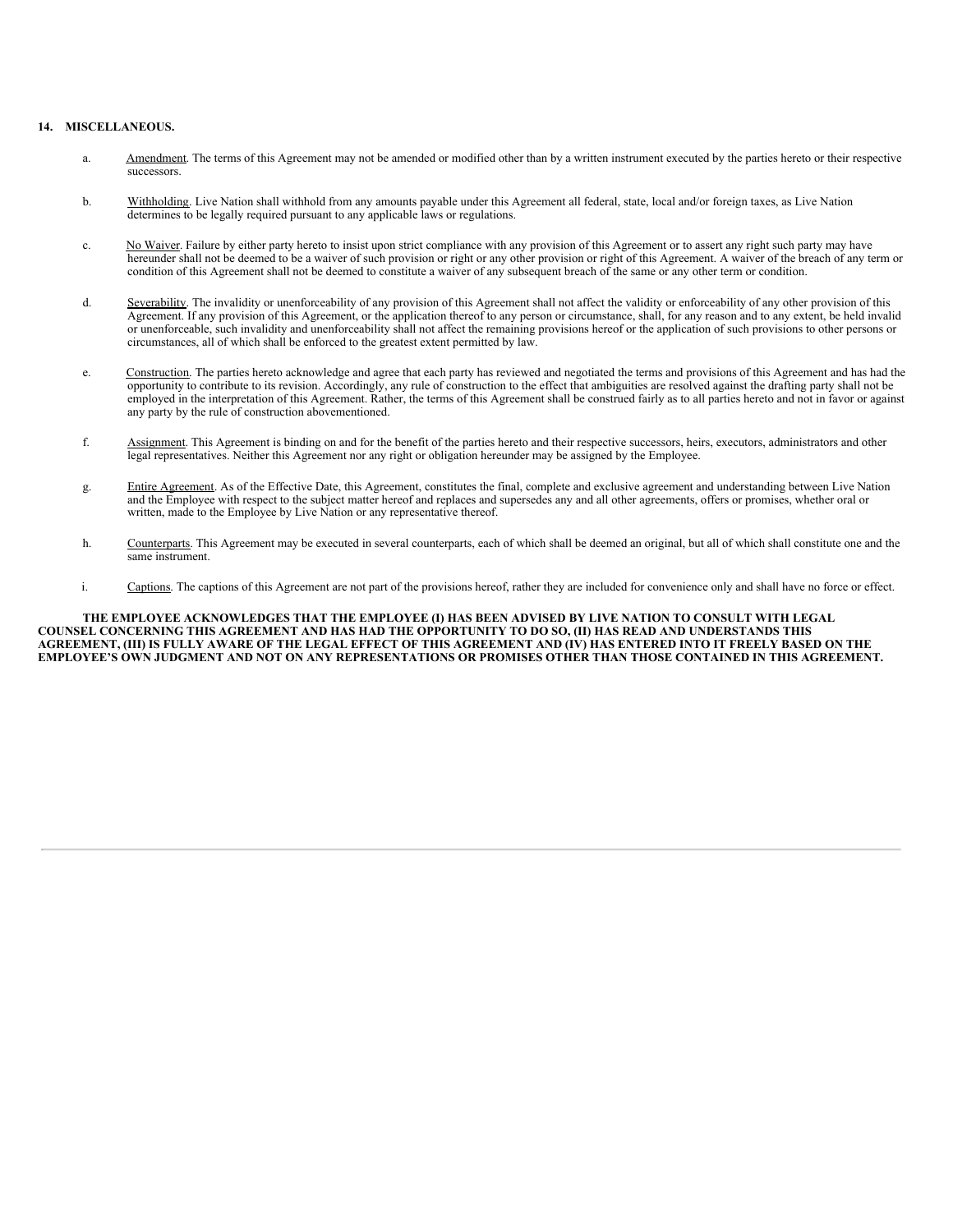# **14. MISCELLANEOUS.**

- a. Amendment. The terms of this Agreement may not be amended or modified other than by a written instrument executed by the parties hereto or their respective successors.
- b. Withholding. Live Nation shall withhold from any amounts payable under this Agreement all federal, state, local and/or foreign taxes, as Live Nation determines to be legally required pursuant to any applicable laws or regulations.
- c. No Waiver. Failure by either party hereto to insist upon strict compliance with any provision of this Agreement or to assert any right such party may have hereunder shall not be deemed to be a waiver of such provision or right or any other provision or right of this Agreement. A waiver of the breach of any term or condition of this Agreement shall not be deemed to constitute a waiver of any subsequent breach of the same or any other term or condition.
- d. Severability. The invalidity or unenforceability of any provision of this Agreement shall not affect the validity or enforceability of any other provision of this Agreement. If any provision of this Agreement, or the application thereof to any person or circumstance, shall, for any reason and to any extent, be held invalid or unenforceable, such invalidity and unenforceability shall not affect the remaining provisions hereof or the application of such provisions to other persons or circumstances, all of which shall be enforced to the greatest extent permitted by law.
- e. Construction. The parties hereto acknowledge and agree that each party has reviewed and negotiated the terms and provisions of this Agreement and has had the opportunity to contribute to its revision. Accordingly, any rule of construction to the effect that ambiguities are resolved against the drafting party shall not be employed in the interpretation of this Agreement. Rather, the terms of this Agreement shall be construed fairly as to all parties hereto and not in favor or against any party by the rule of construction abovementioned.
- f. Assignment. This Agreement is binding on and for the benefit of the parties hereto and their respective successors, heirs, executors, administrators and other legal representatives. Neither this Agreement nor any right or obligation hereunder may be assigned by the Employee.
- g. Entire Agreement. As of the Effective Date, this Agreement, constitutes the final, complete and exclusive agreement and understanding between Live Nation and the Employee with respect to the subject matter hereof and replaces and supersedes any and all other agreements, offers or promises, whether oral or written, made to the Employee by Live Nation or any representative thereof.
- h. Counterparts. This Agreement may be executed in several counterparts, each of which shall be deemed an original, but all of which shall constitute one and the same instrument.
- i. Captions. The captions of this Agreement are not part of the provisions hereof, rather they are included for convenience only and shall have no force or effect.

**THE EMPLOYEE ACKNOWLEDGES THAT THE EMPLOYEE (I) HAS BEEN ADVISED BY LIVE NATION TO CONSULT WITH LEGAL** COUNSEL CONCERNING THIS AGREEMENT AND HAS HAD THE OPPORTUNITY TO DO SO, (II) HAS READ AND UNDERSTANDS THIS AGREEMENT, (III) IS FULLY AWARE OF THE LEGAL EFFECT OF THIS AGREEMENT AND (IV) HAS ENTERED INTO IT FREELY BASED ON THE EMPLOYEE'S OWN JUDGMENT AND NOT ON ANY REPRESENTATIONS OR PROMISES OTHER THAN THOSE CONTAINED IN THIS AGREEMENT.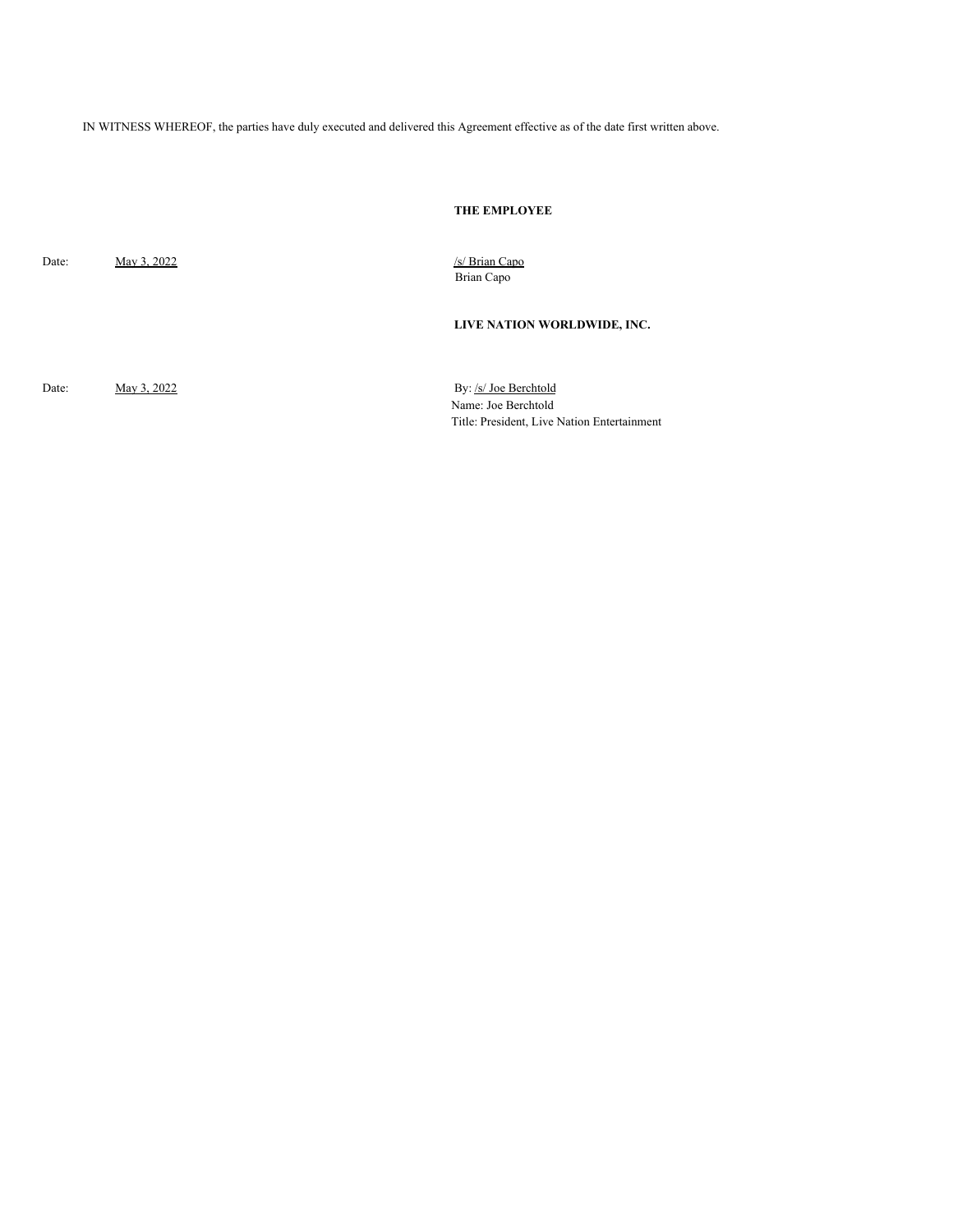IN WITNESS WHEREOF, the parties have duly executed and delivered this Agreement effective as of the date first written above.

# **THE EMPLOYEE**

Date: May 3, 2022 /s/ Brian Capo

Brian Capo

# **LIVE NATION WORLDWIDE, INC.**

Date: May 3, 2022 Berchtold By: /s/ Joe Berchtold

Name: Joe Berchtold Title: President, Live Nation Entertainment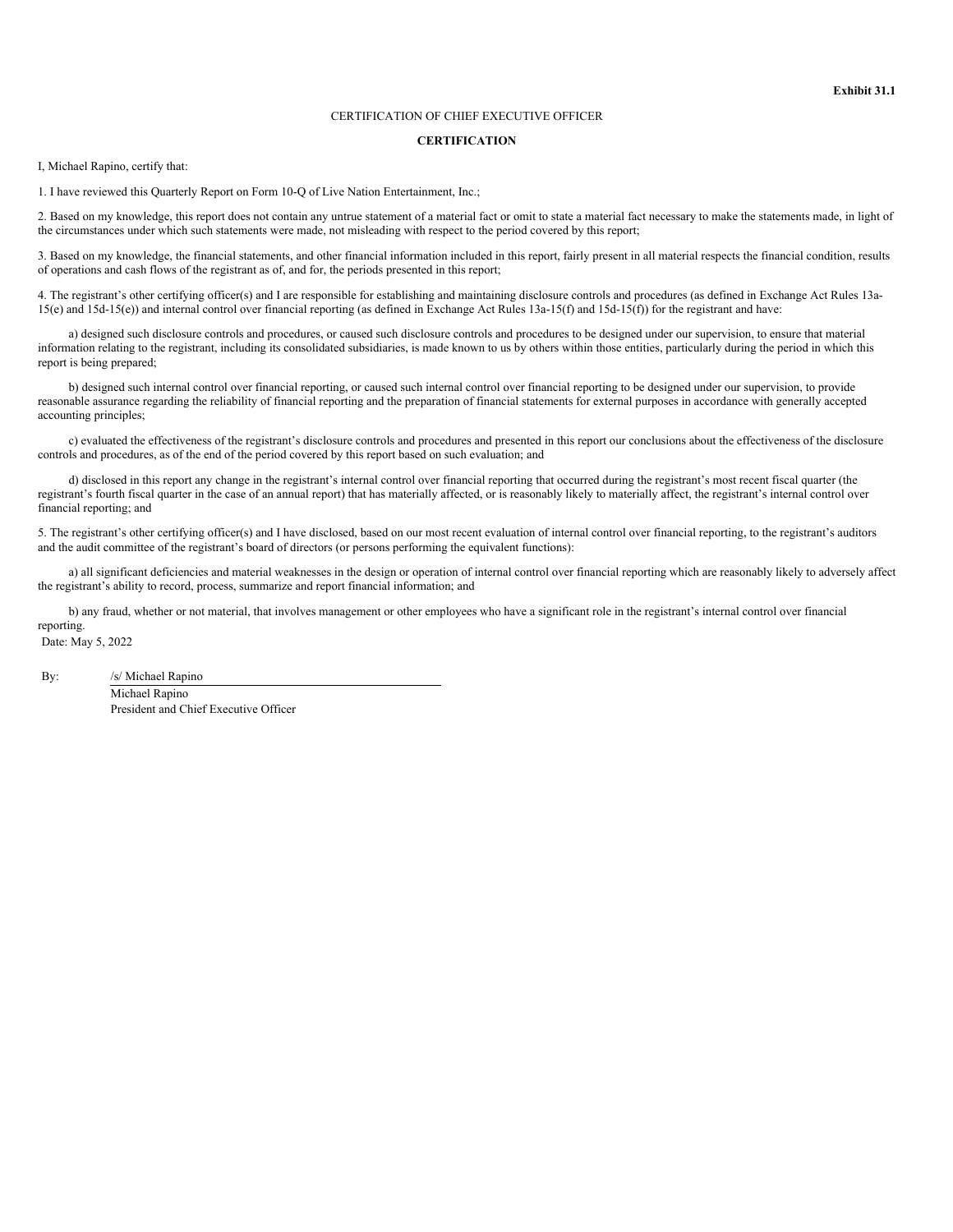# CERTIFICATION OF CHIEF EXECUTIVE OFFICER

### **CERTIFICATION**

<span id="page-51-0"></span>I, Michael Rapino, certify that:

1. I have reviewed this Quarterly Report on Form 10-Q of Live Nation Entertainment, Inc.;

2. Based on my knowledge, this report does not contain any untrue statement of a material fact or omit to state a material fact necessary to make the statements made, in light of the circumstances under which such statements were made, not misleading with respect to the period covered by this report;

3. Based on my knowledge, the financial statements, and other financial information included in this report, fairly present in all material respects the financial condition, results of operations and cash flows of the registrant as of, and for, the periods presented in this report;

4. The registrant's other certifying officer(s) and I are responsible for establishing and maintaining disclosure controls and procedures (as defined in Exchange Act Rules 13a-15(e) and 15d-15(e)) and internal control over financial reporting (as defined in Exchange Act Rules 13a-15(f) and 15d-15(f)) for the registrant and have:

a) designed such disclosure controls and procedures, or caused such disclosure controls and procedures to be designed under our supervision, to ensure that material information relating to the registrant, including its consolidated subsidiaries, is made known to us by others within those entities, particularly during the period in which this report is being prepared;

b) designed such internal control over financial reporting, or caused such internal control over financial reporting to be designed under our supervision, to provide reasonable assurance regarding the reliability of financial reporting and the preparation of financial statements for external purposes in accordance with generally accepted accounting principles:

c) evaluated the effectiveness of the registrant's disclosure controls and procedures and presented in this report our conclusions about the effectiveness of the disclosure controls and procedures, as of the end of the period covered by this report based on such evaluation; and

d) disclosed in this report any change in the registrant's internal control over financial reporting that occurred during the registrant's most recent fiscal quarter (the registrant's fourth fiscal quarter in the case of an annual report) that has materially affected, or is reasonably likely to materially affect, the registrant's internal control over financial reporting; and

5. The registrant's other certifying officer(s) and I have disclosed, based on our most recent evaluation of internal control over financial reporting, to the registrant's auditors and the audit committee of the registrant's board of directors (or persons performing the equivalent functions):

a) all significant deficiencies and material weaknesses in the design or operation of internal control over financial reporting which are reasonably likely to adversely affect the registrant's ability to record, process, summarize and report financial information; and

b) any fraud, whether or not material, that involves management or other employees who have a significant role in the registrant's internal control over financial reporting.

Date: May 5, 2022

By: /s/ Michael Rapino

Michael Rapino President and Chief Executive Officer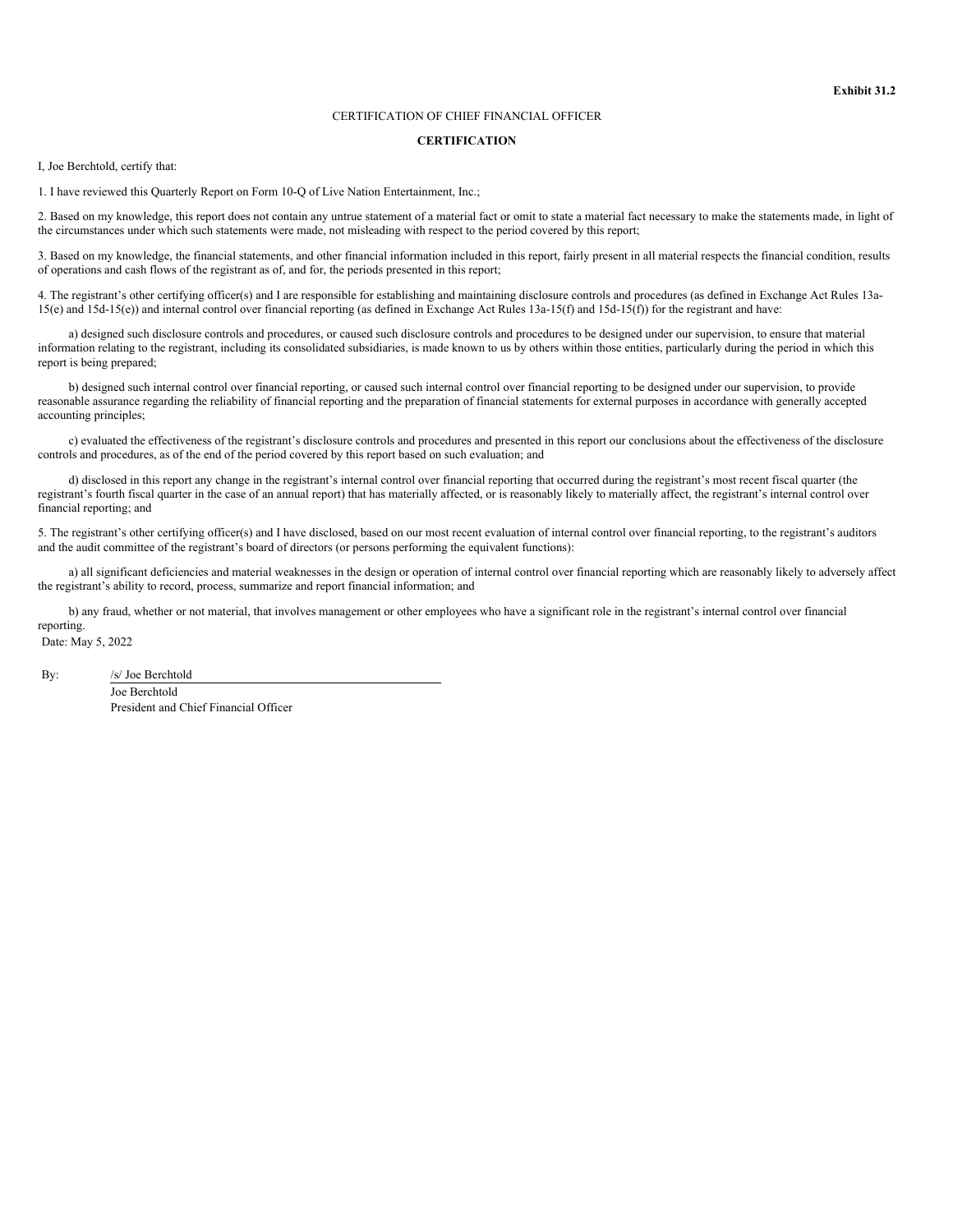# CERTIFICATION OF CHIEF FINANCIAL OFFICER

### **CERTIFICATION**

<span id="page-52-0"></span>I, Joe Berchtold, certify that:

1. I have reviewed this Quarterly Report on Form 10-Q of Live Nation Entertainment, Inc.;

2. Based on my knowledge, this report does not contain any untrue statement of a material fact or omit to state a material fact necessary to make the statements made, in light of the circumstances under which such statements were made, not misleading with respect to the period covered by this report;

3. Based on my knowledge, the financial statements, and other financial information included in this report, fairly present in all material respects the financial condition, results of operations and cash flows of the registrant as of, and for, the periods presented in this report;

4. The registrant's other certifying officer(s) and I are responsible for establishing and maintaining disclosure controls and procedures (as defined in Exchange Act Rules 13a-15(e) and 15d-15(e)) and internal control over financial reporting (as defined in Exchange Act Rules 13a-15(f) and 15d-15(f)) for the registrant and have:

a) designed such disclosure controls and procedures, or caused such disclosure controls and procedures to be designed under our supervision, to ensure that material information relating to the registrant, including its consolidated subsidiaries, is made known to us by others within those entities, particularly during the period in which this report is being prepared;

b) designed such internal control over financial reporting, or caused such internal control over financial reporting to be designed under our supervision, to provide reasonable assurance regarding the reliability of financial reporting and the preparation of financial statements for external purposes in accordance with generally accepted accounting principles:

c) evaluated the effectiveness of the registrant's disclosure controls and procedures and presented in this report our conclusions about the effectiveness of the disclosure controls and procedures, as of the end of the period covered by this report based on such evaluation; and

d) disclosed in this report any change in the registrant's internal control over financial reporting that occurred during the registrant's most recent fiscal quarter (the registrant's fourth fiscal quarter in the case of an annual report) that has materially affected, or is reasonably likely to materially affect, the registrant's internal control over financial reporting; and

5. The registrant's other certifying officer(s) and I have disclosed, based on our most recent evaluation of internal control over financial reporting, to the registrant's auditors and the audit committee of the registrant's board of directors (or persons performing the equivalent functions):

a) all significant deficiencies and material weaknesses in the design or operation of internal control over financial reporting which are reasonably likely to adversely affect the registrant's ability to record, process, summarize and report financial information; and

b) any fraud, whether or not material, that involves management or other employees who have a significant role in the registrant's internal control over financial reporting.

Date: May 5, 2022

By: /s/ Joe Berchtold

Joe Berchtold President and Chief Financial Officer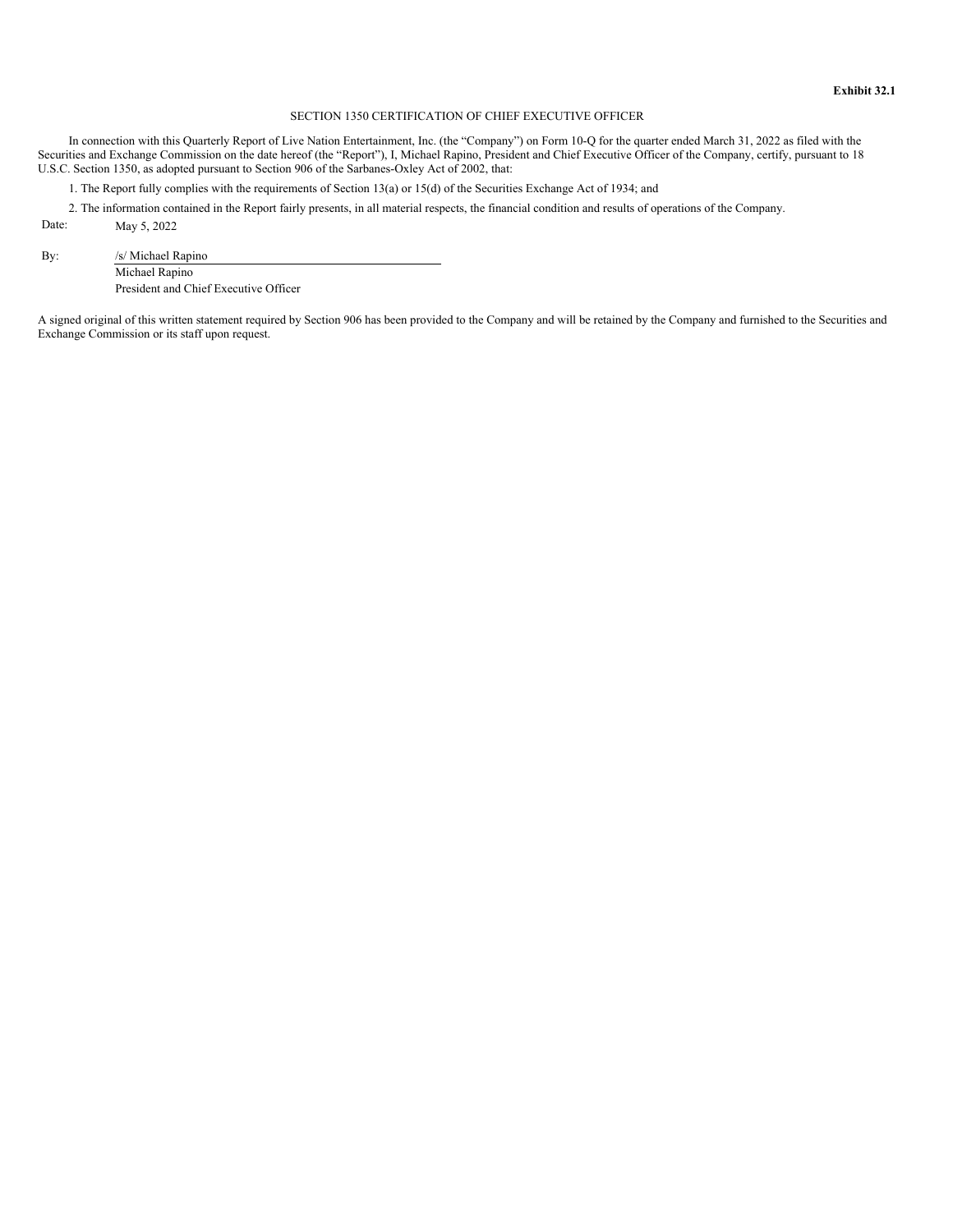# SECTION 1350 CERTIFICATION OF CHIEF EXECUTIVE OFFICER

<span id="page-53-0"></span>In connection with this Quarterly Report of Live Nation Entertainment, Inc. (the "Company") on Form 10-Q for the quarter ended March 31, 2022 as filed with the Securities and Exchange Commission on the date hereof (the "Report"), I, Michael Rapino, President and Chief Executive Officer of the Company, certify, pursuant to 18 U.S.C. Section 1350, as adopted pursuant to Section 906 of the Sarbanes-Oxley Act of 2002, that:

1. The Report fully complies with the requirements of Section 13(a) or 15(d) of the Securities Exchange Act of 1934; and

2. The information contained in the Report fairly presents, in all material respects, the financial condition and results of operations of the Company.

Date: May 5, 2022

By: /s/ Michael Rapino

Michael Rapino President and Chief Executive Officer

A signed original of this written statement required by Section 906 has been provided to the Company and will be retained by the Company and furnished to the Securities and Exchange Commission or its staff upon request.